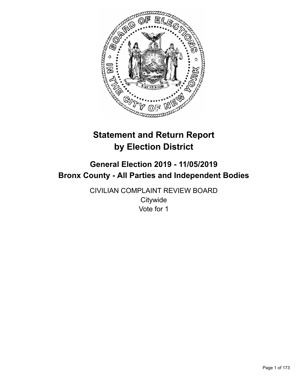

# **Statement and Return Report by Election District**

# **General Election 2019 - 11/05/2019 Bronx County - All Parties and Independent Bodies**

CIVILIAN COMPLAINT REVIEW BOARD **Citywide** Vote for 1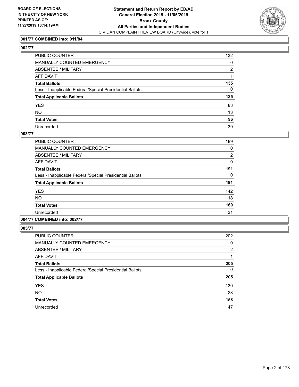

## **001/77 COMBINED into: 011/84**

# **002/77**

| PUBLIC COUNTER                                           | 132            |
|----------------------------------------------------------|----------------|
| MANUALLY COUNTED EMERGENCY                               | 0              |
| ABSENTEE / MILITARY                                      | $\overline{2}$ |
| AFFIDAVIT                                                |                |
| Total Ballots                                            | 135            |
| Less - Inapplicable Federal/Special Presidential Ballots | $\mathbf{0}$   |
| <b>Total Applicable Ballots</b>                          | 135            |
| YES                                                      | 83             |
| NO.                                                      | 13             |
| <b>Total Votes</b>                                       | 96             |
| Unrecorded                                               | 39             |

#### **003/77**

| PUBLIC COUNTER                                           | 189            |
|----------------------------------------------------------|----------------|
| MANUALLY COUNTED EMERGENCY                               | 0              |
| ABSENTEE / MILITARY                                      | $\overline{2}$ |
| AFFIDAVIT                                                | $\Omega$       |
| <b>Total Ballots</b>                                     | 191            |
| Less - Inapplicable Federal/Special Presidential Ballots | 0              |
| <b>Total Applicable Ballots</b>                          | 191            |
| <b>YES</b>                                               | 142            |
| <b>NO</b>                                                | 18             |
| <b>Total Votes</b>                                       | 160            |
| Unrecorded                                               | 31             |
|                                                          |                |

# **004/77 COMBINED into: 002/77**

| <b>PUBLIC COUNTER</b>                                    | 202            |
|----------------------------------------------------------|----------------|
| MANUALLY COUNTED EMERGENCY                               | 0              |
| ABSENTEE / MILITARY                                      | $\overline{2}$ |
| AFFIDAVIT                                                | 1              |
| <b>Total Ballots</b>                                     | 205            |
| Less - Inapplicable Federal/Special Presidential Ballots | 0              |
| <b>Total Applicable Ballots</b>                          | 205            |
| <b>YES</b>                                               | 130            |
| <b>NO</b>                                                | 28             |
| <b>Total Votes</b>                                       | 158            |
| Unrecorded                                               | 47             |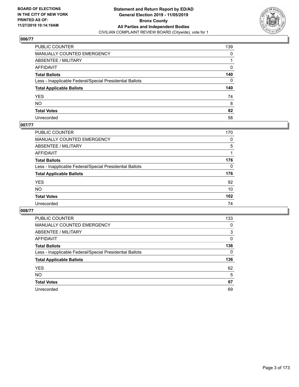

| PUBLIC COUNTER                                           | 139          |
|----------------------------------------------------------|--------------|
| MANUALLY COUNTED EMERGENCY                               | $\mathbf{0}$ |
| ABSENTEE / MILITARY                                      |              |
| AFFIDAVIT                                                | 0            |
| Total Ballots                                            | 140          |
| Less - Inapplicable Federal/Special Presidential Ballots | $\mathbf{0}$ |
| <b>Total Applicable Ballots</b>                          | 140          |
| YES                                                      | 74           |
| NO.                                                      | 8            |
| <b>Total Votes</b>                                       | 82           |
| Unrecorded                                               | 58           |

## **007/77**

| <b>PUBLIC COUNTER</b>                                    | 170      |
|----------------------------------------------------------|----------|
| <b>MANUALLY COUNTED EMERGENCY</b>                        | 0        |
| ABSENTEE / MILITARY                                      | 5        |
| AFFIDAVIT                                                |          |
| <b>Total Ballots</b>                                     | 176      |
| Less - Inapplicable Federal/Special Presidential Ballots | $\Omega$ |
| <b>Total Applicable Ballots</b>                          | 176      |
| <b>YES</b>                                               | 92       |
| <b>NO</b>                                                | 10       |
| <b>Total Votes</b>                                       | 102      |
| Unrecorded                                               | 74       |

| PUBLIC COUNTER                                           | 133      |
|----------------------------------------------------------|----------|
| <b>MANUALLY COUNTED EMERGENCY</b>                        | $\Omega$ |
| ABSENTEE / MILITARY                                      | 3        |
| AFFIDAVIT                                                | 0        |
| <b>Total Ballots</b>                                     | 136      |
| Less - Inapplicable Federal/Special Presidential Ballots | $\Omega$ |
| <b>Total Applicable Ballots</b>                          | 136      |
| <b>YES</b>                                               | 62       |
| <b>NO</b>                                                | 5        |
| <b>Total Votes</b>                                       | 67       |
| Unrecorded                                               | 69       |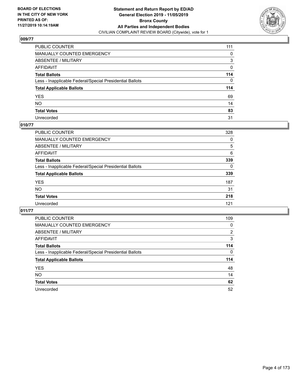

| PUBLIC COUNTER                                           | 111      |
|----------------------------------------------------------|----------|
| MANUALLY COUNTED EMERGENCY                               | 0        |
| ABSENTEE / MILITARY                                      | 3        |
| AFFIDAVIT                                                | 0        |
| Total Ballots                                            | 114      |
| Less - Inapplicable Federal/Special Presidential Ballots | $\Omega$ |
| <b>Total Applicable Ballots</b>                          | 114      |
| YES                                                      | 69       |
| NO.                                                      | 14       |
| <b>Total Votes</b>                                       | 83       |
| Unrecorded                                               | 31       |

## **010/77**

| <b>PUBLIC COUNTER</b>                                    | 328      |
|----------------------------------------------------------|----------|
| MANUALLY COUNTED EMERGENCY                               | 0        |
| ABSENTEE / MILITARY                                      | 5        |
| AFFIDAVIT                                                | 6        |
| <b>Total Ballots</b>                                     | 339      |
| Less - Inapplicable Federal/Special Presidential Ballots | $\Omega$ |
| <b>Total Applicable Ballots</b>                          | 339      |
| <b>YES</b>                                               | 187      |
| <b>NO</b>                                                | 31       |
| <b>Total Votes</b>                                       | 218      |
| Unrecorded                                               | 121      |

| <b>PUBLIC COUNTER</b>                                    | 109          |
|----------------------------------------------------------|--------------|
| MANUALLY COUNTED EMERGENCY                               | 0            |
| ABSENTEE / MILITARY                                      | 2            |
| AFFIDAVIT                                                | 3            |
| <b>Total Ballots</b>                                     | 114          |
| Less - Inapplicable Federal/Special Presidential Ballots | $\mathbf{0}$ |
| <b>Total Applicable Ballots</b>                          | 114          |
| <b>YES</b>                                               | 48           |
| NO.                                                      | 14           |
| <b>Total Votes</b>                                       | 62           |
| Unrecorded                                               | 52           |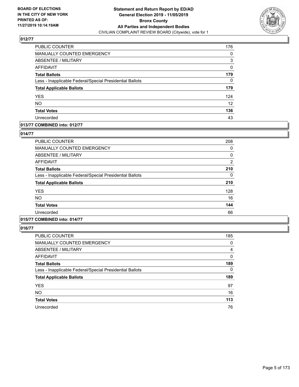

| <b>PUBLIC COUNTER</b>                                    | 176               |
|----------------------------------------------------------|-------------------|
| MANUALLY COUNTED EMERGENCY                               | 0                 |
| <b>ABSENTEE / MILITARY</b>                               | 3                 |
| <b>AFFIDAVIT</b>                                         | 0                 |
| <b>Total Ballots</b>                                     | 179               |
| Less - Inapplicable Federal/Special Presidential Ballots | 0                 |
| <b>Total Applicable Ballots</b>                          | 179               |
| <b>YES</b>                                               | 124               |
| <b>NO</b>                                                | $12 \overline{ }$ |
| <b>Total Votes</b>                                       | 136               |
| Unrecorded                                               | 43                |

## **013/77 COMBINED into: 012/77**

## **014/77**

| <b>PUBLIC COUNTER</b>                                    | 208            |
|----------------------------------------------------------|----------------|
| MANUALLY COUNTED EMERGENCY                               | 0              |
| ABSENTEE / MILITARY                                      | 0              |
| AFFIDAVIT                                                | $\overline{2}$ |
| <b>Total Ballots</b>                                     | 210            |
| Less - Inapplicable Federal/Special Presidential Ballots | 0              |
| <b>Total Applicable Ballots</b>                          | 210            |
| <b>YES</b>                                               | 128            |
| <b>NO</b>                                                | 16             |
| <b>Total Votes</b>                                       | 144            |
| Unrecorded                                               | 66             |
|                                                          |                |

# **015/77 COMBINED into: 014/77**

| <b>PUBLIC COUNTER</b>                                    | 185 |
|----------------------------------------------------------|-----|
| <b>MANUALLY COUNTED EMERGENCY</b>                        | 0   |
| ABSENTEE / MILITARY                                      | 4   |
| AFFIDAVIT                                                | 0   |
| <b>Total Ballots</b>                                     | 189 |
| Less - Inapplicable Federal/Special Presidential Ballots | 0   |
| <b>Total Applicable Ballots</b>                          | 189 |
| <b>YES</b>                                               | 97  |
| <b>NO</b>                                                | 16  |
| <b>Total Votes</b>                                       | 113 |
| Unrecorded                                               | 76  |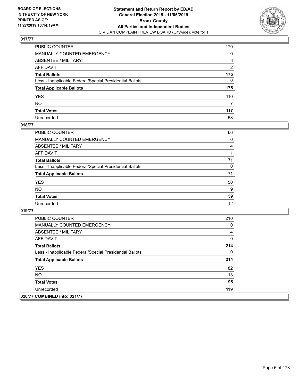

| PUBLIC COUNTER                                           | 170 |
|----------------------------------------------------------|-----|
| MANUALLY COUNTED EMERGENCY                               | 0   |
| ABSENTEE / MILITARY                                      | 3   |
| AFFIDAVIT                                                | 2   |
| Total Ballots                                            | 175 |
| Less - Inapplicable Federal/Special Presidential Ballots | 0   |
| <b>Total Applicable Ballots</b>                          | 175 |
| YES                                                      | 110 |
| NO.                                                      | 7   |
| <b>Total Votes</b>                                       | 117 |
| Unrecorded                                               | 58  |

## **018/77**

| <b>PUBLIC COUNTER</b>                                    | 66 |
|----------------------------------------------------------|----|
| MANUALLY COUNTED EMERGENCY                               | 0  |
| ABSENTEE / MILITARY                                      | 4  |
| AFFIDAVIT                                                |    |
| <b>Total Ballots</b>                                     | 71 |
| Less - Inapplicable Federal/Special Presidential Ballots | 0  |
| <b>Total Applicable Ballots</b>                          | 71 |
| <b>YES</b>                                               | 50 |
| <b>NO</b>                                                | 9  |
| <b>Total Votes</b>                                       | 59 |
| Unrecorded                                               | 12 |

| <b>PUBLIC COUNTER</b>                                    | 210 |
|----------------------------------------------------------|-----|
| <b>MANUALLY COUNTED EMERGENCY</b>                        | 0   |
| ABSENTEE / MILITARY                                      | 4   |
| AFFIDAVIT                                                | 0   |
| <b>Total Ballots</b>                                     | 214 |
| Less - Inapplicable Federal/Special Presidential Ballots | 0   |
| <b>Total Applicable Ballots</b>                          | 214 |
| <b>YES</b>                                               | 82  |
| <b>NO</b>                                                | 13  |
| <b>Total Votes</b>                                       | 95  |
| Unrecorded                                               | 119 |
| 020/77 COMBINED into: 021/77                             |     |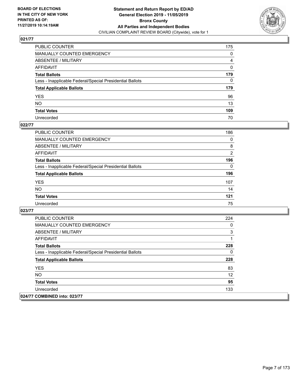

| PUBLIC COUNTER                                           | 175 |
|----------------------------------------------------------|-----|
| MANUALLY COUNTED EMERGENCY                               | 0   |
| ABSENTEE / MILITARY                                      | 4   |
| AFFIDAVIT                                                | 0   |
| Total Ballots                                            | 179 |
| Less - Inapplicable Federal/Special Presidential Ballots | 0   |
| <b>Total Applicable Ballots</b>                          | 179 |
| YES                                                      | 96  |
| NO.                                                      | 13  |
| <b>Total Votes</b>                                       | 109 |
| Unrecorded                                               | 70  |

## **022/77**

| <b>PUBLIC COUNTER</b>                                    | 186            |
|----------------------------------------------------------|----------------|
| <b>MANUALLY COUNTED EMERGENCY</b>                        | 0              |
| ABSENTEE / MILITARY                                      | 8              |
| AFFIDAVIT                                                | $\overline{2}$ |
| <b>Total Ballots</b>                                     | 196            |
| Less - Inapplicable Federal/Special Presidential Ballots | $\Omega$       |
| <b>Total Applicable Ballots</b>                          | 196            |
| <b>YES</b>                                               | 107            |
| <b>NO</b>                                                | 14             |
| <b>Total Votes</b>                                       | 121            |
| Unrecorded                                               | 75             |

| <b>PUBLIC COUNTER</b>                                    | 224 |
|----------------------------------------------------------|-----|
| <b>MANUALLY COUNTED EMERGENCY</b>                        | 0   |
| ABSENTEE / MILITARY                                      | 3   |
| AFFIDAVIT                                                |     |
| <b>Total Ballots</b>                                     | 228 |
| Less - Inapplicable Federal/Special Presidential Ballots | 0   |
| <b>Total Applicable Ballots</b>                          | 228 |
| <b>YES</b>                                               | 83  |
| NO.                                                      | 12  |
| <b>Total Votes</b>                                       | 95  |
| Unrecorded                                               | 133 |
| 024/77 COMBINED into: 023/77                             |     |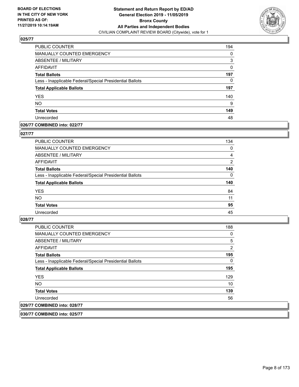

| <b>PUBLIC COUNTER</b>                                    | 194 |
|----------------------------------------------------------|-----|
| MANUALLY COUNTED EMERGENCY                               | 0   |
| <b>ABSENTEE / MILITARY</b>                               | 3   |
| AFFIDAVIT                                                | 0   |
| <b>Total Ballots</b>                                     | 197 |
| Less - Inapplicable Federal/Special Presidential Ballots | 0   |
| <b>Total Applicable Ballots</b>                          | 197 |
| <b>YES</b>                                               | 140 |
| <b>NO</b>                                                | 9   |
| <b>Total Votes</b>                                       | 149 |
| Unrecorded                                               | 48  |

## **026/77 COMBINED into: 022/77**

#### **027/77**

| <b>PUBLIC COUNTER</b>                                    | 134            |
|----------------------------------------------------------|----------------|
| MANUALLY COUNTED EMERGENCY                               | $\Omega$       |
| ABSENTEE / MILITARY                                      | 4              |
| AFFIDAVIT                                                | $\overline{2}$ |
| <b>Total Ballots</b>                                     | 140            |
| Less - Inapplicable Federal/Special Presidential Ballots | $\Omega$       |
| <b>Total Applicable Ballots</b>                          | 140            |
| <b>YES</b>                                               | 84             |
| <b>NO</b>                                                | 11             |
| <b>Total Votes</b>                                       | 95             |
| Unrecorded                                               | 45             |
|                                                          |                |

## **028/77**

| 029/77 COMBINED into: 028/77                             |     |
|----------------------------------------------------------|-----|
| Unrecorded                                               | 56  |
| <b>Total Votes</b>                                       | 139 |
| NO.                                                      | 10  |
| <b>YES</b>                                               | 129 |
| <b>Total Applicable Ballots</b>                          | 195 |
| Less - Inapplicable Federal/Special Presidential Ballots | 0   |
| <b>Total Ballots</b>                                     | 195 |
| AFFIDAVIT                                                | 2   |
| ABSENTEE / MILITARY                                      | 5   |
| <b>MANUALLY COUNTED EMERGENCY</b>                        | 0   |
| <b>PUBLIC COUNTER</b>                                    | 188 |

**030/77 COMBINED into: 025/77**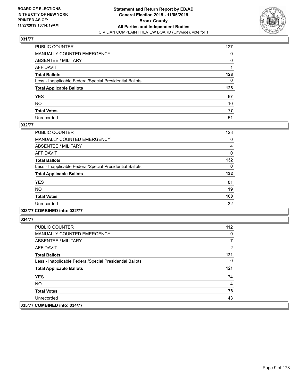

| PUBLIC COUNTER                                           | 127          |
|----------------------------------------------------------|--------------|
| MANUALLY COUNTED EMERGENCY                               | $\mathbf{0}$ |
| ABSENTEE / MILITARY                                      | 0            |
| AFFIDAVIT                                                |              |
| Total Ballots                                            | 128          |
| Less - Inapplicable Federal/Special Presidential Ballots | $\mathbf{0}$ |
| <b>Total Applicable Ballots</b>                          | 128          |
| YES                                                      | 67           |
| NO.                                                      | 10           |
| <b>Total Votes</b>                                       | 77           |
| Unrecorded                                               | 51           |

## **032/77**

| <b>PUBLIC COUNTER</b>                                    | 128      |
|----------------------------------------------------------|----------|
| MANUALLY COUNTED EMERGENCY                               | 0        |
| ABSENTEE / MILITARY                                      | 4        |
| <b>AFFIDAVIT</b>                                         | 0        |
| <b>Total Ballots</b>                                     | 132      |
| Less - Inapplicable Federal/Special Presidential Ballots | $\Omega$ |
| <b>Total Applicable Ballots</b>                          | 132      |
| <b>YES</b>                                               | 81       |
| NO.                                                      | 19       |
| <b>Total Votes</b>                                       | 100      |
| Unrecorded                                               | 32       |
|                                                          |          |

**033/77 COMBINED into: 032/77**

| <b>PUBLIC COUNTER</b>                                    | 112 |
|----------------------------------------------------------|-----|
| <b>MANUALLY COUNTED EMERGENCY</b>                        | 0   |
| ABSENTEE / MILITARY                                      |     |
| AFFIDAVIT                                                | 2   |
| <b>Total Ballots</b>                                     | 121 |
| Less - Inapplicable Federal/Special Presidential Ballots | 0   |
| <b>Total Applicable Ballots</b>                          | 121 |
| <b>YES</b>                                               | 74  |
| NO.                                                      | 4   |
| <b>Total Votes</b>                                       | 78  |
| Unrecorded                                               | 43  |
| 035/77 COMBINED into: 034/77                             |     |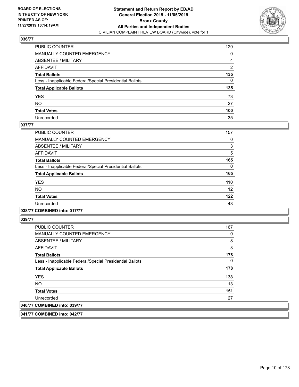

| PUBLIC COUNTER                                           | 129 |
|----------------------------------------------------------|-----|
| MANUALLY COUNTED EMERGENCY                               | 0   |
| ABSENTEE / MILITARY                                      | 4   |
| AFFIDAVIT                                                | 2   |
| Total Ballots                                            | 135 |
| Less - Inapplicable Federal/Special Presidential Ballots | 0   |
| <b>Total Applicable Ballots</b>                          | 135 |
| YES                                                      | 73  |
| NO.                                                      | 27  |
| <b>Total Votes</b>                                       | 100 |
| Unrecorded                                               | 35  |

## **037/77**

| PUBLIC COUNTER                                           | 157 |
|----------------------------------------------------------|-----|
| <b>MANUALLY COUNTED EMERGENCY</b>                        | 0   |
| ABSENTEE / MILITARY                                      | 3   |
| <b>AFFIDAVIT</b>                                         | 5   |
| <b>Total Ballots</b>                                     | 165 |
| Less - Inapplicable Federal/Special Presidential Ballots | 0   |
| <b>Total Applicable Ballots</b>                          | 165 |
| <b>YES</b>                                               | 110 |
| <b>NO</b>                                                | 12  |
| <b>Total Votes</b>                                       | 122 |
| Unrecorded                                               | 43  |
|                                                          |     |

## **038/77 COMBINED into: 017/77**

**039/77** 

| <b>PUBLIC COUNTER</b>                                    | 167      |
|----------------------------------------------------------|----------|
| MANUALLY COUNTED EMERGENCY                               | 0        |
| ABSENTEE / MILITARY                                      | 8        |
| AFFIDAVIT                                                | 3        |
| <b>Total Ballots</b>                                     | 178      |
| Less - Inapplicable Federal/Special Presidential Ballots | $\Omega$ |
| <b>Total Applicable Ballots</b>                          | 178      |
| <b>YES</b>                                               | 138      |
| <b>NO</b>                                                | 13       |
| <b>Total Votes</b>                                       | 151      |
| Unrecorded                                               | 27       |
| 040/77 COMBINED into: 039/77                             |          |

**041/77 COMBINED into: 042/77**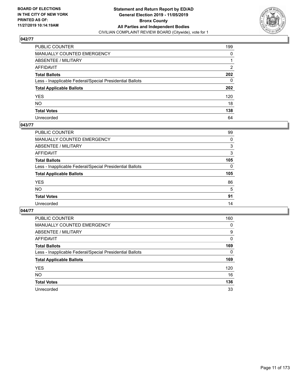

| PUBLIC COUNTER                                           | 199 |
|----------------------------------------------------------|-----|
| MANUALLY COUNTED EMERGENCY                               | 0   |
| ABSENTEE / MILITARY                                      | 1   |
| AFFIDAVIT                                                | 2   |
| Total Ballots                                            | 202 |
| Less - Inapplicable Federal/Special Presidential Ballots | 0   |
| <b>Total Applicable Ballots</b>                          | 202 |
| YES                                                      | 120 |
| NO.                                                      | 18  |
| <b>Total Votes</b>                                       | 138 |
| Unrecorded                                               | 64  |

#### **043/77**

| PUBLIC COUNTER                                           | 99       |
|----------------------------------------------------------|----------|
| MANUALLY COUNTED EMERGENCY                               | 0        |
| ABSENTEE / MILITARY                                      | 3        |
| AFFIDAVIT                                                | 3        |
| <b>Total Ballots</b>                                     | 105      |
| Less - Inapplicable Federal/Special Presidential Ballots | $\Omega$ |
| <b>Total Applicable Ballots</b>                          | 105      |
| <b>YES</b>                                               | 86       |
| <b>NO</b>                                                | 5        |
| <b>Total Votes</b>                                       | 91       |
| Unrecorded                                               | 14       |

| PUBLIC COUNTER                                           | 160      |
|----------------------------------------------------------|----------|
| <b>MANUALLY COUNTED EMERGENCY</b>                        | $\Omega$ |
| ABSENTEE / MILITARY                                      | 9        |
| <b>AFFIDAVIT</b>                                         | 0        |
| <b>Total Ballots</b>                                     | 169      |
| Less - Inapplicable Federal/Special Presidential Ballots | $\Omega$ |
| <b>Total Applicable Ballots</b>                          | 169      |
| <b>YES</b>                                               | 120      |
| <b>NO</b>                                                | 16       |
| <b>Total Votes</b>                                       | 136      |
| Unrecorded                                               | 33       |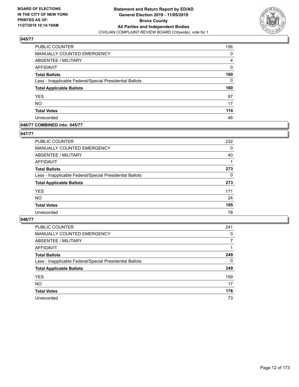

| <b>PUBLIC COUNTER</b>                                    | 156 |
|----------------------------------------------------------|-----|
| MANUALLY COUNTED EMERGENCY                               | 0   |
| <b>ABSENTEE / MILITARY</b>                               | 4   |
| AFFIDAVIT                                                | 0   |
| <b>Total Ballots</b>                                     | 160 |
| Less - Inapplicable Federal/Special Presidential Ballots | 0   |
| <b>Total Applicable Ballots</b>                          | 160 |
| <b>YES</b>                                               | 97  |
| <b>NO</b>                                                | 17  |
| <b>Total Votes</b>                                       | 114 |
| Unrecorded                                               | 46  |

## **046/77 COMBINED into: 045/77**

## **047/77**

| <b>PUBLIC COUNTER</b>                                    | 232      |
|----------------------------------------------------------|----------|
| <b>MANUALLY COUNTED EMERGENCY</b>                        | 0        |
| ABSENTEE / MILITARY                                      | 40       |
| AFFIDAVIT                                                |          |
| <b>Total Ballots</b>                                     | 273      |
| Less - Inapplicable Federal/Special Presidential Ballots | $\Omega$ |
| <b>Total Applicable Ballots</b>                          | 273      |
| <b>YES</b>                                               | 171      |
| <b>NO</b>                                                | 24       |
| <b>Total Votes</b>                                       | 195      |
| Unrecorded                                               | 78       |

| <b>PUBLIC COUNTER</b>                                    | 241      |
|----------------------------------------------------------|----------|
| MANUALLY COUNTED EMERGENCY                               | 0        |
| ABSENTEE / MILITARY                                      | 7        |
| AFFIDAVIT                                                |          |
| <b>Total Ballots</b>                                     | 249      |
| Less - Inapplicable Federal/Special Presidential Ballots | $\Omega$ |
| <b>Total Applicable Ballots</b>                          | 249      |
| <b>YES</b>                                               | 159      |
| <b>NO</b>                                                | 17       |
| <b>Total Votes</b>                                       | 176      |
| Unrecorded                                               | 73       |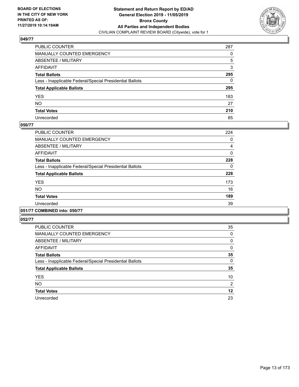

| PUBLIC COUNTER                                           | 287          |
|----------------------------------------------------------|--------------|
| MANUALLY COUNTED EMERGENCY                               | $\Omega$     |
| ABSENTEE / MILITARY                                      | 5            |
| AFFIDAVIT                                                | 3            |
| Total Ballots                                            | 295          |
| Less - Inapplicable Federal/Special Presidential Ballots | $\mathbf{0}$ |
| <b>Total Applicable Ballots</b>                          | 295          |
| YES                                                      | 183          |
| NO.                                                      | 27           |
| <b>Total Votes</b>                                       | 210          |
| Unrecorded                                               | 85           |

## **050/77**

| <b>PUBLIC COUNTER</b>                                    | 224 |
|----------------------------------------------------------|-----|
| <b>MANUALLY COUNTED EMERGENCY</b>                        | 0   |
| ABSENTEE / MILITARY                                      | 4   |
| AFFIDAVIT                                                | 0   |
| <b>Total Ballots</b>                                     | 228 |
| Less - Inapplicable Federal/Special Presidential Ballots | 0   |
| <b>Total Applicable Ballots</b>                          | 228 |
| <b>YES</b>                                               | 173 |
| <b>NO</b>                                                | 16  |
| <b>Total Votes</b>                                       | 189 |
| Unrecorded                                               | 39  |
|                                                          |     |

## **051/77 COMBINED into: 050/77**

| <b>PUBLIC COUNTER</b>                                    | 35             |
|----------------------------------------------------------|----------------|
| MANUALLY COUNTED EMERGENCY                               | 0              |
| ABSENTEE / MILITARY                                      | 0              |
| AFFIDAVIT                                                | 0              |
| <b>Total Ballots</b>                                     | 35             |
| Less - Inapplicable Federal/Special Presidential Ballots | 0              |
| <b>Total Applicable Ballots</b>                          | 35             |
| <b>YES</b>                                               | 10             |
| <b>NO</b>                                                | $\overline{2}$ |
| <b>Total Votes</b>                                       | 12             |
| Unrecorded                                               | 23             |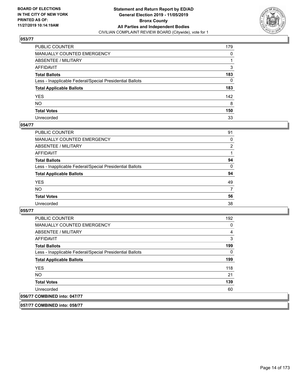

| PUBLIC COUNTER                                           | 179 |
|----------------------------------------------------------|-----|
| MANUALLY COUNTED EMERGENCY                               | 0   |
| ABSENTEE / MILITARY                                      | 1   |
| AFFIDAVIT                                                | 3   |
| Total Ballots                                            | 183 |
| Less - Inapplicable Federal/Special Presidential Ballots | 0   |
| <b>Total Applicable Ballots</b>                          | 183 |
| YES                                                      | 142 |
| NO.                                                      | 8   |
| <b>Total Votes</b>                                       | 150 |
| Unrecorded                                               | 33  |

## **054/77**

| PUBLIC COUNTER                                           | 91       |
|----------------------------------------------------------|----------|
| MANUALLY COUNTED EMERGENCY                               | $\Omega$ |
| ABSENTEE / MILITARY                                      | 2        |
| AFFIDAVIT                                                |          |
| <b>Total Ballots</b>                                     | 94       |
| Less - Inapplicable Federal/Special Presidential Ballots | $\Omega$ |
| <b>Total Applicable Ballots</b>                          | 94       |
| <b>YES</b>                                               | 49       |
| <b>NO</b>                                                | 7        |
| <b>Total Votes</b>                                       | 56       |
| Unrecorded                                               | 38       |

**055/77** 

| <b>PUBLIC COUNTER</b>                                    | 192 |
|----------------------------------------------------------|-----|
| <b>MANUALLY COUNTED EMERGENCY</b>                        | 0   |
| ABSENTEE / MILITARY                                      | 4   |
| <b>AFFIDAVIT</b>                                         | 3   |
| <b>Total Ballots</b>                                     | 199 |
| Less - Inapplicable Federal/Special Presidential Ballots | 0   |
| <b>Total Applicable Ballots</b>                          | 199 |
| <b>YES</b>                                               | 118 |
| NO.                                                      | 21  |
| <b>Total Votes</b>                                       | 139 |
| Unrecorded                                               | 60  |
| 056/77 COMBINED into: 047/77                             |     |

**057/77 COMBINED into: 058/77**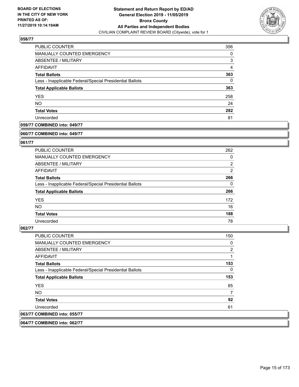

| <b>PUBLIC COUNTER</b>                                    | 356 |
|----------------------------------------------------------|-----|
| <b>MANUALLY COUNTED EMERGENCY</b>                        | 0   |
| ABSENTEE / MILITARY                                      | 3   |
| AFFIDAVIT                                                | 4   |
| <b>Total Ballots</b>                                     | 363 |
| Less - Inapplicable Federal/Special Presidential Ballots | 0   |
| <b>Total Applicable Ballots</b>                          | 363 |
| <b>YES</b>                                               | 258 |
| <b>NO</b>                                                | 24  |
| <b>Total Votes</b>                                       | 282 |
| Unrecorded                                               | 81  |

## **059/77 COMBINED into: 049/77**

#### **060/77 COMBINED into: 049/77**

## **061/77**

| <b>PUBLIC COUNTER</b>                                    | 262            |
|----------------------------------------------------------|----------------|
| <b>MANUALLY COUNTED EMERGENCY</b>                        | 0              |
| ABSENTEE / MILITARY                                      | $\overline{2}$ |
| AFFIDAVIT                                                | $\overline{2}$ |
| <b>Total Ballots</b>                                     | 266            |
| Less - Inapplicable Federal/Special Presidential Ballots | $\Omega$       |
| <b>Total Applicable Ballots</b>                          | 266            |
| <b>YES</b>                                               | 172            |
| NO.                                                      | 16             |
| <b>Total Votes</b>                                       | 188            |
| Unrecorded                                               | 78             |

#### **062/77**

| <b>PUBLIC COUNTER</b>                                    | 150 |
|----------------------------------------------------------|-----|
| <b>MANUALLY COUNTED EMERGENCY</b>                        | 0   |
| ABSENTEE / MILITARY                                      | 2   |
| <b>AFFIDAVIT</b>                                         | 1   |
| <b>Total Ballots</b>                                     | 153 |
| Less - Inapplicable Federal/Special Presidential Ballots | 0   |
| <b>Total Applicable Ballots</b>                          | 153 |
| <b>YES</b>                                               | 85  |
| <b>NO</b>                                                | 7   |
| <b>Total Votes</b>                                       | 92  |
| Unrecorded                                               | 61  |
| 063/77 COMBINED into: 055/77                             |     |

**064/77 COMBINED into: 062/77**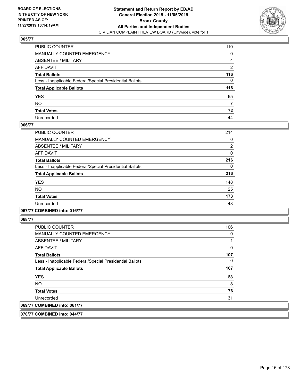

| PUBLIC COUNTER                                           | 110            |
|----------------------------------------------------------|----------------|
| MANUALLY COUNTED EMERGENCY                               | 0              |
| ABSENTEE / MILITARY                                      | 4              |
| AFFIDAVIT                                                | $\overline{2}$ |
| Total Ballots                                            | 116            |
| Less - Inapplicable Federal/Special Presidential Ballots | 0              |
| <b>Total Applicable Ballots</b>                          | 116            |
| YES                                                      | 65             |
| NO.                                                      | 7              |
| <b>Total Votes</b>                                       | 72             |
| Unrecorded                                               | 44             |

## **066/77**

| PUBLIC COUNTER                                           | 214 |
|----------------------------------------------------------|-----|
| <b>MANUALLY COUNTED EMERGENCY</b>                        | 0   |
| ABSENTEE / MILITARY                                      | 2   |
| <b>AFFIDAVIT</b>                                         | 0   |
| <b>Total Ballots</b>                                     | 216 |
| Less - Inapplicable Federal/Special Presidential Ballots | 0   |
| <b>Total Applicable Ballots</b>                          | 216 |
| <b>YES</b>                                               | 148 |
| <b>NO</b>                                                | 25  |
| <b>Total Votes</b>                                       | 173 |
| Unrecorded                                               | 43  |
|                                                          |     |

## **067/77 COMBINED into: 016/77**

| <b>PUBLIC COUNTER</b>                                    | 106          |
|----------------------------------------------------------|--------------|
| <b>MANUALLY COUNTED EMERGENCY</b>                        | 0            |
| ABSENTEE / MILITARY                                      |              |
| AFFIDAVIT                                                | $\mathbf{0}$ |
| <b>Total Ballots</b>                                     | 107          |
| Less - Inapplicable Federal/Special Presidential Ballots | 0            |
| <b>Total Applicable Ballots</b>                          | 107          |
| <b>YES</b>                                               | 68           |
| NO.                                                      | 8            |
| <b>Total Votes</b>                                       | 76           |
| Unrecorded                                               | 31           |
| 069/77 COMBINED into: 061/77                             |              |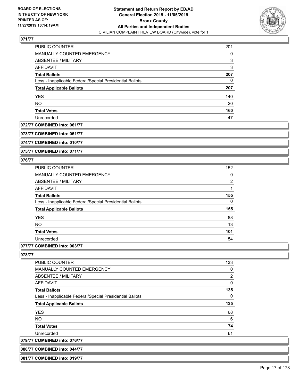

| <b>PUBLIC COUNTER</b>                                    | 201 |
|----------------------------------------------------------|-----|
| <b>MANUALLY COUNTED EMERGENCY</b>                        | 0   |
| ABSENTEE / MILITARY                                      | 3   |
| AFFIDAVIT                                                | 3   |
| <b>Total Ballots</b>                                     | 207 |
| Less - Inapplicable Federal/Special Presidential Ballots | 0   |
| <b>Total Applicable Ballots</b>                          | 207 |
| <b>YES</b>                                               | 140 |
| <b>NO</b>                                                | 20  |
| <b>Total Votes</b>                                       | 160 |
| Unrecorded                                               | 47  |

## **072/77 COMBINED into: 061/77**

**073/77 COMBINED into: 061/77**

**074/77 COMBINED into: 010/77**

**075/77 COMBINED into: 071/77**

#### **076/77**

| <b>PUBLIC COUNTER</b>                                    | 152            |
|----------------------------------------------------------|----------------|
| <b>MANUALLY COUNTED EMERGENCY</b>                        | 0              |
| ABSENTEE / MILITARY                                      | $\overline{2}$ |
| <b>AFFIDAVIT</b>                                         |                |
| <b>Total Ballots</b>                                     | 155            |
| Less - Inapplicable Federal/Special Presidential Ballots | 0              |
| <b>Total Applicable Ballots</b>                          | 155            |
| <b>YES</b>                                               | 88             |
| <b>NO</b>                                                | 13             |
| <b>Total Votes</b>                                       | 101            |
| Unrecorded                                               | 54             |
|                                                          |                |

# **077/77 COMBINED into: 003/77**

**078/77** 

| <b>PUBLIC COUNTER</b>                                    | 133            |
|----------------------------------------------------------|----------------|
| <b>MANUALLY COUNTED EMERGENCY</b>                        | 0              |
| ABSENTEE / MILITARY                                      | $\overline{2}$ |
| AFFIDAVIT                                                | 0              |
| <b>Total Ballots</b>                                     | 135            |
| Less - Inapplicable Federal/Special Presidential Ballots | 0              |
| <b>Total Applicable Ballots</b>                          | 135            |
| <b>YES</b>                                               | 68             |
| NO.                                                      | 6              |
| <b>Total Votes</b>                                       | 74             |
| Unrecorded                                               | 61             |
| 079/77 COMBINED into: 076/77                             |                |
|                                                          |                |

**080/77 COMBINED into: 044/77 081/77 COMBINED into: 019/77**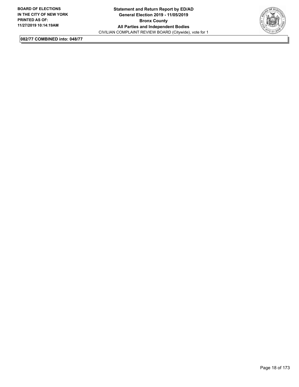

**082/77 COMBINED into: 048/77**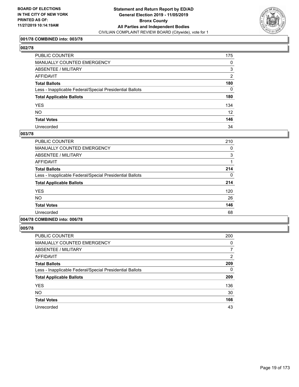

## **001/78 COMBINED into: 003/78**

# **002/78**

| PUBLIC COUNTER                                           | 175            |
|----------------------------------------------------------|----------------|
| <b>MANUALLY COUNTED EMERGENCY</b>                        | 0              |
| ABSENTEE / MILITARY                                      | 3              |
| <b>AFFIDAVIT</b>                                         | $\overline{2}$ |
| <b>Total Ballots</b>                                     | 180            |
| Less - Inapplicable Federal/Special Presidential Ballots | $\Omega$       |
| <b>Total Applicable Ballots</b>                          | 180            |
| YES                                                      | 134            |
| NO                                                       | 12             |
| <b>Total Votes</b>                                       | 146            |
| Unrecorded                                               | 34             |

#### **003/78**

| <b>PUBLIC COUNTER</b>                                    | 210 |
|----------------------------------------------------------|-----|
| <b>MANUALLY COUNTED EMERGENCY</b>                        | 0   |
| ABSENTEE / MILITARY                                      | 3   |
| AFFIDAVIT                                                |     |
| <b>Total Ballots</b>                                     | 214 |
| Less - Inapplicable Federal/Special Presidential Ballots | 0   |
| <b>Total Applicable Ballots</b>                          | 214 |
| <b>YES</b>                                               | 120 |
| <b>NO</b>                                                | 26  |
| <b>Total Votes</b>                                       | 146 |
| Unrecorded                                               | 68  |
|                                                          |     |

# **004/78 COMBINED into: 006/78**

| <b>PUBLIC COUNTER</b>                                    | 200      |
|----------------------------------------------------------|----------|
| MANUALLY COUNTED EMERGENCY                               | 0        |
| ABSENTEE / MILITARY                                      | 7        |
| AFFIDAVIT                                                | 2        |
| <b>Total Ballots</b>                                     | 209      |
| Less - Inapplicable Federal/Special Presidential Ballots | $\Omega$ |
| <b>Total Applicable Ballots</b>                          | 209      |
| <b>YES</b>                                               | 136      |
| <b>NO</b>                                                | 30       |
| <b>Total Votes</b>                                       | 166      |
| Unrecorded                                               | 43       |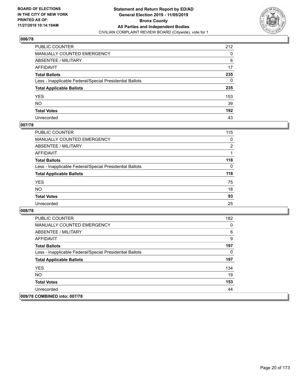

| PUBLIC COUNTER                                           | 212 |
|----------------------------------------------------------|-----|
| MANUALLY COUNTED EMERGENCY                               | 0   |
| ABSENTEE / MILITARY                                      | 6   |
| AFFIDAVIT                                                | 17  |
| Total Ballots                                            | 235 |
| Less - Inapplicable Federal/Special Presidential Ballots | 0   |
| <b>Total Applicable Ballots</b>                          | 235 |
| YES                                                      | 153 |
| NO.                                                      | 39  |
| <b>Total Votes</b>                                       | 192 |
| Unrecorded                                               | 43  |

## **007/78**

| <b>PUBLIC COUNTER</b>                                    | 115            |
|----------------------------------------------------------|----------------|
| <b>MANUALLY COUNTED EMERGENCY</b>                        | $\Omega$       |
| ABSENTEE / MILITARY                                      | $\overline{2}$ |
| AFFIDAVIT                                                |                |
| <b>Total Ballots</b>                                     | 118            |
| Less - Inapplicable Federal/Special Presidential Ballots | $\Omega$       |
| <b>Total Applicable Ballots</b>                          | 118            |
| <b>YES</b>                                               | 75             |
| <b>NO</b>                                                | 18             |
| <b>Total Votes</b>                                       | 93             |
| Unrecorded                                               | 25             |

| <b>PUBLIC COUNTER</b>                                    | 182 |
|----------------------------------------------------------|-----|
| <b>MANUALLY COUNTED EMERGENCY</b>                        | 0   |
| ABSENTEE / MILITARY                                      | 6   |
| AFFIDAVIT                                                | 9   |
| <b>Total Ballots</b>                                     | 197 |
| Less - Inapplicable Federal/Special Presidential Ballots | 0   |
| <b>Total Applicable Ballots</b>                          | 197 |
| <b>YES</b>                                               | 134 |
| <b>NO</b>                                                | 19  |
| <b>Total Votes</b>                                       | 153 |
| Unrecorded                                               | 44  |
| 009/78 COMBINED into: 007/78                             |     |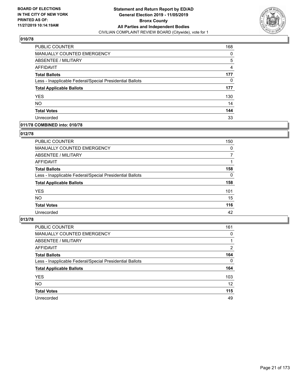

| PUBLIC COUNTER                                           | 168 |
|----------------------------------------------------------|-----|
| <b>MANUALLY COUNTED EMERGENCY</b>                        | 0   |
| ABSENTEE / MILITARY                                      | 5   |
| AFFIDAVIT                                                | 4   |
| <b>Total Ballots</b>                                     | 177 |
| Less - Inapplicable Federal/Special Presidential Ballots | 0   |
| <b>Total Applicable Ballots</b>                          | 177 |
| <b>YES</b>                                               | 130 |
| <b>NO</b>                                                | 14  |
| <b>Total Votes</b>                                       | 144 |
| Unrecorded                                               | 33  |

## **011/78 COMBINED into: 010/78**

#### **012/78**

| PUBLIC COUNTER                                           | 150      |
|----------------------------------------------------------|----------|
| MANUALLY COUNTED EMERGENCY                               | $\Omega$ |
| ABSENTEE / MILITARY                                      | 7        |
| AFFIDAVIT                                                |          |
| <b>Total Ballots</b>                                     | 158      |
| Less - Inapplicable Federal/Special Presidential Ballots | 0        |
| <b>Total Applicable Ballots</b>                          | 158      |
| <b>YES</b>                                               | 101      |
| <b>NO</b>                                                | 15       |
| <b>Total Votes</b>                                       | 116      |
| Unrecorded                                               | 42       |
|                                                          |          |

| <b>PUBLIC COUNTER</b>                                    | 161      |
|----------------------------------------------------------|----------|
| MANUALLY COUNTED EMERGENCY                               | $\Omega$ |
| ABSENTEE / MILITARY                                      |          |
| AFFIDAVIT                                                | 2        |
| <b>Total Ballots</b>                                     | 164      |
| Less - Inapplicable Federal/Special Presidential Ballots | $\Omega$ |
| <b>Total Applicable Ballots</b>                          | 164      |
| <b>YES</b>                                               | 103      |
| <b>NO</b>                                                | 12       |
| <b>Total Votes</b>                                       | 115      |
| Unrecorded                                               | 49       |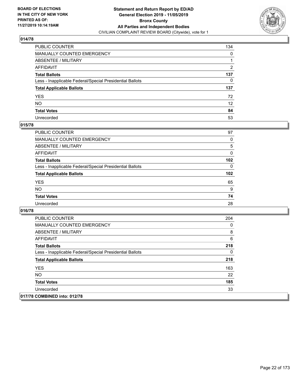

| PUBLIC COUNTER                                           | 134             |
|----------------------------------------------------------|-----------------|
| MANUALLY COUNTED EMERGENCY                               | 0               |
| ABSENTEE / MILITARY                                      | 1               |
| AFFIDAVIT                                                | 2               |
| Total Ballots                                            | 137             |
| Less - Inapplicable Federal/Special Presidential Ballots | 0               |
| <b>Total Applicable Ballots</b>                          | 137             |
| YES                                                      | 72              |
| NO.                                                      | 12 <sup>2</sup> |
| <b>Total Votes</b>                                       | 84              |
| Unrecorded                                               | 53              |

## **015/78**

| <b>PUBLIC COUNTER</b>                                    | 97       |
|----------------------------------------------------------|----------|
| <b>MANUALLY COUNTED EMERGENCY</b>                        | $\Omega$ |
| ABSENTEE / MILITARY                                      | 5        |
| AFFIDAVIT                                                | 0        |
| <b>Total Ballots</b>                                     | 102      |
| Less - Inapplicable Federal/Special Presidential Ballots | $\Omega$ |
| <b>Total Applicable Ballots</b>                          | 102      |
| <b>YES</b>                                               | 65       |
| <b>NO</b>                                                | 9        |
| <b>Total Votes</b>                                       | 74       |
| Unrecorded                                               | 28       |

| <b>PUBLIC COUNTER</b>                                    | 204 |
|----------------------------------------------------------|-----|
| <b>MANUALLY COUNTED EMERGENCY</b>                        | 0   |
| ABSENTEE / MILITARY                                      | 8   |
| AFFIDAVIT                                                | 6   |
| <b>Total Ballots</b>                                     | 218 |
| Less - Inapplicable Federal/Special Presidential Ballots | 0   |
| <b>Total Applicable Ballots</b>                          | 218 |
| <b>YES</b>                                               | 163 |
| <b>NO</b>                                                | 22  |
| <b>Total Votes</b>                                       | 185 |
| Unrecorded                                               | 33  |
| 017/78 COMBINED into: 012/78                             |     |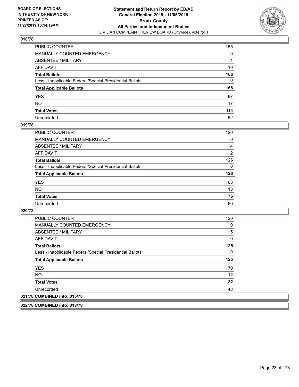

| PUBLIC COUNTER                                           | 155 |
|----------------------------------------------------------|-----|
| MANUALLY COUNTED EMERGENCY                               | 0   |
| ABSENTEE / MILITARY                                      | 1   |
| AFFIDAVIT                                                | 10  |
| Total Ballots                                            | 166 |
| Less - Inapplicable Federal/Special Presidential Ballots | 0   |
| <b>Total Applicable Ballots</b>                          | 166 |
| YES                                                      | 97  |
| NO.                                                      | 17  |
| <b>Total Votes</b>                                       | 114 |
| Unrecorded                                               | 52  |

#### **019/78**

| <b>PUBLIC COUNTER</b>                                    | 120      |
|----------------------------------------------------------|----------|
| MANUALLY COUNTED EMERGENCY                               | 0        |
| ABSENTEE / MILITARY                                      | 4        |
| AFFIDAVIT                                                | 2        |
| <b>Total Ballots</b>                                     | 126      |
| Less - Inapplicable Federal/Special Presidential Ballots | $\Omega$ |
| <b>Total Applicable Ballots</b>                          | 126      |
| <b>YES</b>                                               | 63       |
| <b>NO</b>                                                | 13       |
| <b>Total Votes</b>                                       | 76       |
| Unrecorded                                               | 50       |

#### **020/78**

| <b>PUBLIC COUNTER</b>                                    | 120 |
|----------------------------------------------------------|-----|
| <b>MANUALLY COUNTED EMERGENCY</b>                        | 0   |
| ABSENTEE / MILITARY                                      | 5   |
| AFFIDAVIT                                                | 0   |
| <b>Total Ballots</b>                                     | 125 |
| Less - Inapplicable Federal/Special Presidential Ballots | 0   |
| <b>Total Applicable Ballots</b>                          | 125 |
| <b>YES</b>                                               | 70  |
| NO.                                                      | 12  |
|                                                          |     |
| <b>Total Votes</b>                                       | 82  |
| Unrecorded                                               | 43  |

**022/78 COMBINED into: 013/78**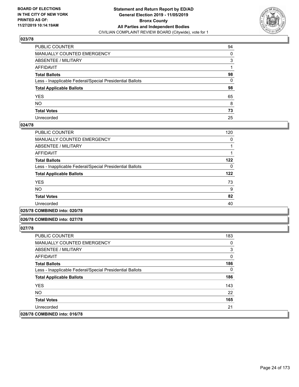

| PUBLIC COUNTER                                           | 94 |
|----------------------------------------------------------|----|
| MANUALLY COUNTED EMERGENCY                               | 0  |
| ABSENTEE / MILITARY                                      | 3  |
| AFFIDAVIT                                                |    |
| Total Ballots                                            | 98 |
| Less - Inapplicable Federal/Special Presidential Ballots | 0  |
| <b>Total Applicable Ballots</b>                          | 98 |
| YES                                                      | 65 |
| NO.                                                      | 8  |
| <b>Total Votes</b>                                       | 73 |
| Unrecorded                                               | 25 |

#### **024/78**

| <b>PUBLIC COUNTER</b>                                    | 120      |
|----------------------------------------------------------|----------|
| MANUALLY COUNTED EMERGENCY                               | $\Omega$ |
| ABSENTEE / MILITARY                                      |          |
| AFFIDAVIT                                                |          |
| <b>Total Ballots</b>                                     | 122      |
| Less - Inapplicable Federal/Special Presidential Ballots | $\Omega$ |
| <b>Total Applicable Ballots</b>                          | 122      |
| <b>YES</b>                                               | 73       |
| <b>NO</b>                                                | 9        |
| <b>Total Votes</b>                                       | 82       |
| Unrecorded                                               | 40       |
|                                                          |          |

**025/78 COMBINED into: 020/78**

#### **026/78 COMBINED into: 027/78**

| <b>PUBLIC COUNTER</b>                                    | 183 |
|----------------------------------------------------------|-----|
| <b>MANUALLY COUNTED EMERGENCY</b>                        | 0   |
| ABSENTEE / MILITARY                                      | 3   |
| AFFIDAVIT                                                | 0   |
| <b>Total Ballots</b>                                     | 186 |
| Less - Inapplicable Federal/Special Presidential Ballots | 0   |
| <b>Total Applicable Ballots</b>                          | 186 |
| <b>YES</b>                                               | 143 |
| NO.                                                      | 22  |
| <b>Total Votes</b>                                       | 165 |
| Unrecorded                                               | 21  |
| 028/78 COMBINED into: 016/78                             |     |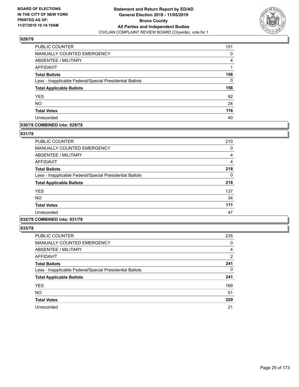

| PUBLIC COUNTER                                           | 151 |
|----------------------------------------------------------|-----|
| <b>MANUALLY COUNTED EMERGENCY</b>                        | 0   |
| ABSENTEE / MILITARY                                      | 4   |
| <b>AFFIDAVIT</b>                                         |     |
| <b>Total Ballots</b>                                     | 156 |
| Less - Inapplicable Federal/Special Presidential Ballots | 0   |
| <b>Total Applicable Ballots</b>                          | 156 |
| <b>YES</b>                                               | 92  |
| <b>NO</b>                                                | 24  |
| <b>Total Votes</b>                                       | 116 |
| Unrecorded                                               | 40  |

## **030/78 COMBINED into: 029/78**

#### **031/78**

| <b>PUBLIC COUNTER</b>                                    | 210 |
|----------------------------------------------------------|-----|
| <b>MANUALLY COUNTED EMERGENCY</b>                        | 0   |
| ABSENTEE / MILITARY                                      | 4   |
| AFFIDAVIT                                                | 4   |
| <b>Total Ballots</b>                                     | 218 |
| Less - Inapplicable Federal/Special Presidential Ballots | 0   |
| <b>Total Applicable Ballots</b>                          | 218 |
| <b>YES</b>                                               | 137 |
| <b>NO</b>                                                | 34  |
| <b>Total Votes</b>                                       | 171 |
| Unrecorded                                               | 47  |
|                                                          |     |

# **032/78 COMBINED into: 031/78**

| <b>PUBLIC COUNTER</b>                                    | 235            |
|----------------------------------------------------------|----------------|
| MANUALLY COUNTED EMERGENCY                               | 0              |
| ABSENTEE / MILITARY                                      | $\overline{4}$ |
| <b>AFFIDAVIT</b>                                         | 2              |
| <b>Total Ballots</b>                                     | 241            |
| Less - Inapplicable Federal/Special Presidential Ballots | $\Omega$       |
| <b>Total Applicable Ballots</b>                          | 241            |
| <b>YES</b>                                               | 169            |
| <b>NO</b>                                                | 51             |
| <b>Total Votes</b>                                       | 220            |
| Unrecorded                                               | 21             |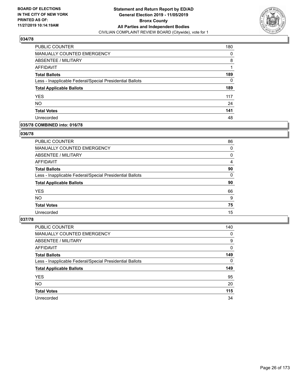

| PUBLIC COUNTER                                           | 180 |
|----------------------------------------------------------|-----|
| MANUALLY COUNTED EMERGENCY                               | 0   |
| ABSENTEE / MILITARY                                      | 8   |
| AFFIDAVIT                                                |     |
| <b>Total Ballots</b>                                     | 189 |
| Less - Inapplicable Federal/Special Presidential Ballots | 0   |
| <b>Total Applicable Ballots</b>                          | 189 |
| <b>YES</b>                                               | 117 |
| <b>NO</b>                                                | 24  |
| <b>Total Votes</b>                                       | 141 |
| Unrecorded                                               | 48  |

## **035/78 COMBINED into: 016/78**

#### **036/78**

| PUBLIC COUNTER                                           | 86       |
|----------------------------------------------------------|----------|
| <b>MANUALLY COUNTED EMERGENCY</b>                        | 0        |
| <b>ABSENTEE / MILITARY</b>                               | 0        |
| AFFIDAVIT                                                | 4        |
| <b>Total Ballots</b>                                     | 90       |
| Less - Inapplicable Federal/Special Presidential Ballots | $\Omega$ |
| <b>Total Applicable Ballots</b>                          | 90       |
| <b>YES</b>                                               | 66       |
| <b>NO</b>                                                | 9        |
| <b>Total Votes</b>                                       | 75       |
| Unrecorded                                               | 15       |

| <b>PUBLIC COUNTER</b>                                    | 140      |
|----------------------------------------------------------|----------|
| MANUALLY COUNTED EMERGENCY                               | 0        |
| ABSENTEE / MILITARY                                      | 9        |
| AFFIDAVIT                                                | $\Omega$ |
| <b>Total Ballots</b>                                     | 149      |
| Less - Inapplicable Federal/Special Presidential Ballots | $\Omega$ |
| <b>Total Applicable Ballots</b>                          | 149      |
| <b>YES</b>                                               | 95       |
| <b>NO</b>                                                | 20       |
| <b>Total Votes</b>                                       | 115      |
| Unrecorded                                               | 34       |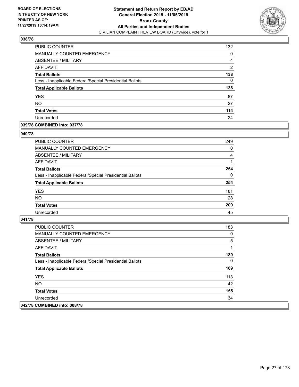

| PUBLIC COUNTER                                           | 132            |
|----------------------------------------------------------|----------------|
| <b>MANUALLY COUNTED EMERGENCY</b>                        | 0              |
| ABSENTEE / MILITARY                                      | 4              |
| AFFIDAVIT                                                | $\overline{2}$ |
| <b>Total Ballots</b>                                     | 138            |
| Less - Inapplicable Federal/Special Presidential Ballots | 0              |
| <b>Total Applicable Ballots</b>                          | 138            |
| <b>YES</b>                                               | 87             |
| <b>NO</b>                                                | 27             |
| <b>Total Votes</b>                                       | 114            |
| Unrecorded                                               | 24             |

## **039/78 COMBINED into: 037/78**

#### **040/78**

| <b>PUBLIC COUNTER</b>                                    | 249      |
|----------------------------------------------------------|----------|
| <b>MANUALLY COUNTED EMERGENCY</b>                        | 0        |
| ABSENTEE / MILITARY                                      | 4        |
| AFFIDAVIT                                                |          |
| <b>Total Ballots</b>                                     | 254      |
| Less - Inapplicable Federal/Special Presidential Ballots | $\Omega$ |
| <b>Total Applicable Ballots</b>                          | 254      |
| <b>YES</b>                                               | 181      |
| <b>NO</b>                                                | 28       |
| <b>Total Votes</b>                                       | 209      |
| Unrecorded                                               | 45       |

| <b>PUBLIC COUNTER</b>                                    | 183 |
|----------------------------------------------------------|-----|
| <b>MANUALLY COUNTED EMERGENCY</b>                        | 0   |
| ABSENTEE / MILITARY                                      | 5   |
| AFFIDAVIT                                                |     |
| <b>Total Ballots</b>                                     | 189 |
| Less - Inapplicable Federal/Special Presidential Ballots | 0   |
| <b>Total Applicable Ballots</b>                          | 189 |
| <b>YES</b>                                               | 113 |
| NO.                                                      | 42  |
| <b>Total Votes</b>                                       | 155 |
| Unrecorded                                               | 34  |
| 042/78 COMBINED into: 008/78                             |     |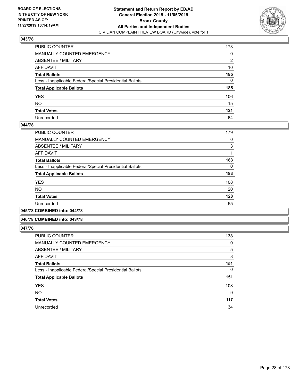

| PUBLIC COUNTER                                           | 173 |
|----------------------------------------------------------|-----|
| MANUALLY COUNTED EMERGENCY                               | 0   |
| ABSENTEE / MILITARY                                      | 2   |
| AFFIDAVIT                                                | 10  |
| Total Ballots                                            | 185 |
| Less - Inapplicable Federal/Special Presidential Ballots | 0   |
| <b>Total Applicable Ballots</b>                          | 185 |
| YES                                                      | 106 |
| NO.                                                      | 15  |
| <b>Total Votes</b>                                       | 121 |
| Unrecorded                                               | 64  |

#### **044/78**

| PUBLIC COUNTER                                           | 179 |
|----------------------------------------------------------|-----|
| <b>MANUALLY COUNTED EMERGENCY</b>                        | 0   |
| ABSENTEE / MILITARY                                      | 3   |
| AFFIDAVIT                                                |     |
| <b>Total Ballots</b>                                     | 183 |
| Less - Inapplicable Federal/Special Presidential Ballots | 0   |
| <b>Total Applicable Ballots</b>                          | 183 |
| <b>YES</b>                                               | 108 |
| <b>NO</b>                                                | 20  |
| <b>Total Votes</b>                                       | 128 |
| Unrecorded                                               | 55  |
|                                                          |     |

**045/78 COMBINED into: 044/78**

#### **046/78 COMBINED into: 043/78**

| <b>PUBLIC COUNTER</b>                                    | 138      |
|----------------------------------------------------------|----------|
| <b>MANUALLY COUNTED EMERGENCY</b>                        | 0        |
| ABSENTEE / MILITARY                                      | 5        |
| <b>AFFIDAVIT</b>                                         | 8        |
| <b>Total Ballots</b>                                     | 151      |
| Less - Inapplicable Federal/Special Presidential Ballots | $\Omega$ |
| <b>Total Applicable Ballots</b>                          | 151      |
| <b>YES</b>                                               | 108      |
| <b>NO</b>                                                | 9        |
| <b>Total Votes</b>                                       | 117      |
| Unrecorded                                               | 34       |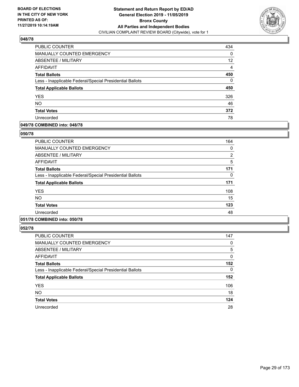

| PUBLIC COUNTER                                           | 434               |
|----------------------------------------------------------|-------------------|
| <b>MANUALLY COUNTED EMERGENCY</b>                        | 0                 |
| ABSENTEE / MILITARY                                      | $12 \overline{ }$ |
| AFFIDAVIT                                                | 4                 |
| <b>Total Ballots</b>                                     | 450               |
| Less - Inapplicable Federal/Special Presidential Ballots | 0                 |
| <b>Total Applicable Ballots</b>                          | 450               |
| <b>YES</b>                                               | 326               |
| <b>NO</b>                                                | 46                |
| <b>Total Votes</b>                                       | 372               |
| Unrecorded                                               | 78                |

# **049/78 COMBINED into: 048/78**

#### **050/78**

| <b>PUBLIC COUNTER</b>                                    | 164            |
|----------------------------------------------------------|----------------|
| <b>MANUALLY COUNTED EMERGENCY</b>                        | 0              |
| ABSENTEE / MILITARY                                      | $\overline{2}$ |
| AFFIDAVIT                                                | 5              |
| <b>Total Ballots</b>                                     | 171            |
| Less - Inapplicable Federal/Special Presidential Ballots | 0              |
| <b>Total Applicable Ballots</b>                          | 171            |
| <b>YES</b>                                               | 108            |
| <b>NO</b>                                                | 15             |
| <b>Total Votes</b>                                       | 123            |
| Unrecorded                                               | 48             |
|                                                          |                |

# **051/78 COMBINED into: 050/78**

| <b>PUBLIC COUNTER</b>                                    | 147 |
|----------------------------------------------------------|-----|
| MANUALLY COUNTED EMERGENCY                               | 0   |
| ABSENTEE / MILITARY                                      | 5   |
| AFFIDAVIT                                                | 0   |
| <b>Total Ballots</b>                                     | 152 |
| Less - Inapplicable Federal/Special Presidential Ballots | 0   |
| <b>Total Applicable Ballots</b>                          | 152 |
| <b>YES</b>                                               | 106 |
| <b>NO</b>                                                | 18  |
| <b>Total Votes</b>                                       | 124 |
| Unrecorded                                               | 28  |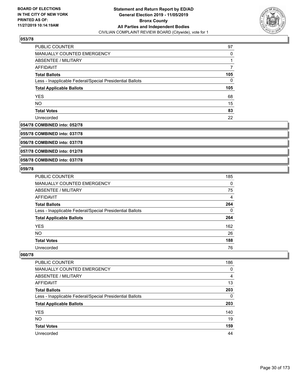

| PUBLIC COUNTER                                           | 97  |
|----------------------------------------------------------|-----|
| MANUALLY COUNTED EMERGENCY                               | 0   |
| ABSENTEE / MILITARY                                      |     |
| AFFIDAVIT                                                |     |
| <b>Total Ballots</b>                                     | 105 |
| Less - Inapplicable Federal/Special Presidential Ballots | 0   |
| <b>Total Applicable Ballots</b>                          | 105 |
| <b>YES</b>                                               | 68  |
| <b>NO</b>                                                | 15  |
| <b>Total Votes</b>                                       | 83  |
| Unrecorded                                               | 22  |

#### **054/78 COMBINED into: 052/78**

**055/78 COMBINED into: 037/78**

**056/78 COMBINED into: 037/78**

**057/78 COMBINED into: 012/78**

**058/78 COMBINED into: 037/78**

## **059/78**

| PUBLIC COUNTER                                           | 185 |
|----------------------------------------------------------|-----|
| MANUALLY COUNTED EMERGENCY                               | 0   |
| ABSENTEE / MILITARY                                      | 75  |
| AFFIDAVIT                                                | 4   |
| <b>Total Ballots</b>                                     | 264 |
| Less - Inapplicable Federal/Special Presidential Ballots | 0   |
| <b>Total Applicable Ballots</b>                          | 264 |
| <b>YES</b>                                               | 162 |
| <b>NO</b>                                                | 26  |
| <b>Total Votes</b>                                       | 188 |
| Unrecorded                                               | 76  |

| <b>PUBLIC COUNTER</b>                                    | 186      |
|----------------------------------------------------------|----------|
| MANUALLY COUNTED EMERGENCY                               | 0        |
| ABSENTEE / MILITARY                                      | 4        |
| AFFIDAVIT                                                | 13       |
| <b>Total Ballots</b>                                     | 203      |
| Less - Inapplicable Federal/Special Presidential Ballots | $\Omega$ |
| <b>Total Applicable Ballots</b>                          | 203      |
| <b>YES</b>                                               | 140      |
| <b>NO</b>                                                | 19       |
| <b>Total Votes</b>                                       | 159      |
| Unrecorded                                               | 44       |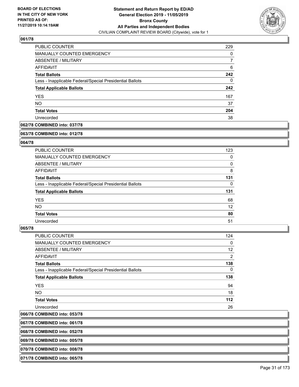

| PUBLIC COUNTER                                           | 229 |
|----------------------------------------------------------|-----|
| <b>MANUALLY COUNTED EMERGENCY</b>                        | 0   |
| ABSENTEE / MILITARY                                      |     |
| AFFIDAVIT                                                | 6   |
| <b>Total Ballots</b>                                     | 242 |
| Less - Inapplicable Federal/Special Presidential Ballots | 0   |
| <b>Total Applicable Ballots</b>                          | 242 |
| <b>YES</b>                                               | 167 |
| <b>NO</b>                                                | 37  |
| <b>Total Votes</b>                                       | 204 |
| Unrecorded                                               | 38  |

#### **062/78 COMBINED into: 037/78**

#### **063/78 COMBINED into: 012/78**

## **064/78**

| <b>PUBLIC COUNTER</b>                                    | 123      |
|----------------------------------------------------------|----------|
| <b>MANUALLY COUNTED EMERGENCY</b>                        | 0        |
| ABSENTEE / MILITARY                                      | 0        |
| <b>AFFIDAVIT</b>                                         | 8        |
| <b>Total Ballots</b>                                     | 131      |
| Less - Inapplicable Federal/Special Presidential Ballots | $\Omega$ |
| <b>Total Applicable Ballots</b>                          | 131      |
| <b>YES</b>                                               | 68       |
| <b>NO</b>                                                | 12       |
| <b>Total Votes</b>                                       | 80       |
| Unrecorded                                               | 51       |

#### **065/78**

| <b>PUBLIC COUNTER</b>                                    | 124            |
|----------------------------------------------------------|----------------|
| MANUALLY COUNTED EMERGENCY                               | 0              |
| ABSENTEE / MILITARY                                      | 12             |
| AFFIDAVIT                                                | $\overline{2}$ |
| <b>Total Ballots</b>                                     | 138            |
| Less - Inapplicable Federal/Special Presidential Ballots | $\Omega$       |
| <b>Total Applicable Ballots</b>                          | 138            |
| <b>YES</b>                                               | 94             |
| NO.                                                      | 18             |
| <b>Total Votes</b>                                       | 112            |
| Unrecorded                                               | 26             |
|                                                          |                |

# **066/78 COMBINED into: 053/78**

**067/78 COMBINED into: 061/78**

**068/78 COMBINED into: 052/78**

**069/78 COMBINED into: 005/78**

**070/78 COMBINED into: 008/78**

**071/78 COMBINED into: 065/78**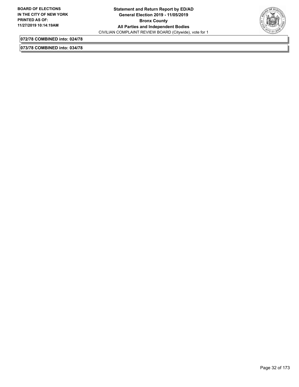

**072/78 COMBINED into: 024/78**

**073/78 COMBINED into: 034/78**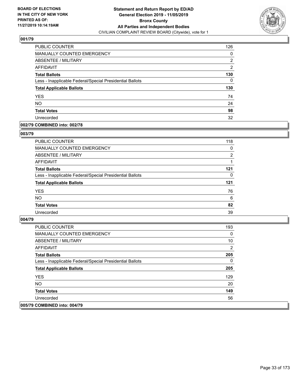

| PUBLIC COUNTER                                           | 126 |
|----------------------------------------------------------|-----|
| <b>MANUALLY COUNTED EMERGENCY</b>                        | 0   |
| <b>ABSENTEE / MILITARY</b>                               | 2   |
| <b>AFFIDAVIT</b>                                         | 2   |
| <b>Total Ballots</b>                                     | 130 |
| Less - Inapplicable Federal/Special Presidential Ballots | 0   |
| <b>Total Applicable Ballots</b>                          | 130 |
| <b>YES</b>                                               | 74  |
| <b>NO</b>                                                | 24  |
| <b>Total Votes</b>                                       | 98  |
| Unrecorded                                               | 32  |

#### **002/79 COMBINED into: 002/78**

#### **003/79**

| <b>PUBLIC COUNTER</b>                                    | 118      |
|----------------------------------------------------------|----------|
| <b>MANUALLY COUNTED EMERGENCY</b>                        | 0        |
| <b>ABSENTEE / MILITARY</b>                               | 2        |
| AFFIDAVIT                                                |          |
| <b>Total Ballots</b>                                     | 121      |
| Less - Inapplicable Federal/Special Presidential Ballots | $\Omega$ |
| <b>Total Applicable Ballots</b>                          | 121      |
| <b>YES</b>                                               | 76       |
| <b>NO</b>                                                | 6        |
| <b>Total Votes</b>                                       | 82       |
| Unrecorded                                               | 39       |

| <b>PUBLIC COUNTER</b>                                    | 193 |
|----------------------------------------------------------|-----|
| <b>MANUALLY COUNTED EMERGENCY</b>                        | 0   |
| ABSENTEE / MILITARY                                      | 10  |
| AFFIDAVIT                                                | 2   |
| <b>Total Ballots</b>                                     | 205 |
| Less - Inapplicable Federal/Special Presidential Ballots | 0   |
| <b>Total Applicable Ballots</b>                          | 205 |
| <b>YES</b>                                               | 129 |
| NO.                                                      | 20  |
| <b>Total Votes</b>                                       | 149 |
| Unrecorded                                               | 56  |
| 005/79 COMBINED into: 004/79                             |     |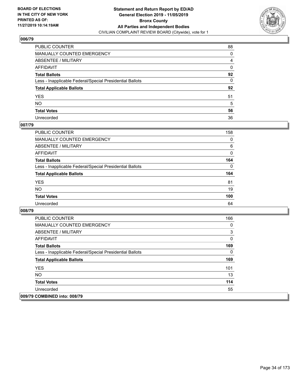

| PUBLIC COUNTER                                           | 88           |
|----------------------------------------------------------|--------------|
| MANUALLY COUNTED EMERGENCY                               | $\Omega$     |
| ABSENTEE / MILITARY                                      | 4            |
| AFFIDAVIT                                                | 0            |
| Total Ballots                                            | 92           |
| Less - Inapplicable Federal/Special Presidential Ballots | $\mathbf{0}$ |
| <b>Total Applicable Ballots</b>                          | 92           |
| YES                                                      | 51           |
| NO.                                                      | 5            |
| <b>Total Votes</b>                                       | 56           |
| Unrecorded                                               | 36           |

## **007/79**

| <b>PUBLIC COUNTER</b>                                    | 158      |
|----------------------------------------------------------|----------|
| <b>MANUALLY COUNTED EMERGENCY</b>                        | 0        |
| ABSENTEE / MILITARY                                      | 6        |
| AFFIDAVIT                                                | $\Omega$ |
| <b>Total Ballots</b>                                     | 164      |
| Less - Inapplicable Federal/Special Presidential Ballots | $\Omega$ |
| <b>Total Applicable Ballots</b>                          | 164      |
| <b>YES</b>                                               | 81       |
| <b>NO</b>                                                | 19       |
| <b>Total Votes</b>                                       | 100      |
| Unrecorded                                               | 64       |

| <b>PUBLIC COUNTER</b>                                    | 166 |
|----------------------------------------------------------|-----|
| <b>MANUALLY COUNTED EMERGENCY</b>                        | 0   |
| ABSENTEE / MILITARY                                      | 3   |
| AFFIDAVIT                                                | 0   |
| <b>Total Ballots</b>                                     | 169 |
| Less - Inapplicable Federal/Special Presidential Ballots | 0   |
| <b>Total Applicable Ballots</b>                          | 169 |
| <b>YES</b>                                               | 101 |
| NO.                                                      | 13  |
| <b>Total Votes</b>                                       | 114 |
| Unrecorded                                               | 55  |
| 009/79 COMBINED into: 008/79                             |     |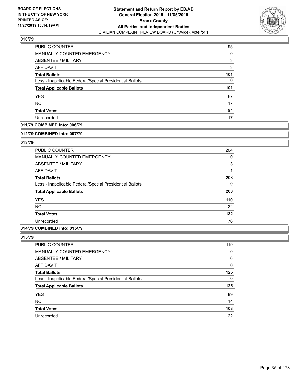

| PUBLIC COUNTER                                           | 95  |
|----------------------------------------------------------|-----|
| <b>MANUALLY COUNTED EMERGENCY</b>                        | 0   |
| ABSENTEE / MILITARY                                      | 3   |
| AFFIDAVIT                                                | 3   |
| <b>Total Ballots</b>                                     | 101 |
| Less - Inapplicable Federal/Special Presidential Ballots | 0   |
| <b>Total Applicable Ballots</b>                          | 101 |
| <b>YES</b>                                               | 67  |
| <b>NO</b>                                                | 17  |
| <b>Total Votes</b>                                       | 84  |
| Unrecorded                                               | 17  |

## **011/79 COMBINED into: 006/79**

#### **012/79 COMBINED into: 007/79**

## **013/79**

| <b>PUBLIC COUNTER</b>                                    | 204      |
|----------------------------------------------------------|----------|
| <b>MANUALLY COUNTED EMERGENCY</b>                        | 0        |
| ABSENTEE / MILITARY                                      | 3        |
| AFFIDAVIT                                                |          |
| <b>Total Ballots</b>                                     | 208      |
| Less - Inapplicable Federal/Special Presidential Ballots | $\Omega$ |
| <b>Total Applicable Ballots</b>                          | 208      |
| <b>YES</b>                                               | 110      |
| <b>NO</b>                                                | 22       |
| <b>Total Votes</b>                                       | 132      |
| Unrecorded                                               | 76       |

#### **014/79 COMBINED into: 015/79**

| <b>PUBLIC COUNTER</b>                                    | 119 |
|----------------------------------------------------------|-----|
| MANUALLY COUNTED EMERGENCY                               | 0   |
| ABSENTEE / MILITARY                                      | 6   |
| AFFIDAVIT                                                | 0   |
| <b>Total Ballots</b>                                     | 125 |
| Less - Inapplicable Federal/Special Presidential Ballots | 0   |
| <b>Total Applicable Ballots</b>                          | 125 |
| <b>YES</b>                                               | 89  |
| <b>NO</b>                                                | 14  |
| <b>Total Votes</b>                                       | 103 |
| Unrecorded                                               | 22  |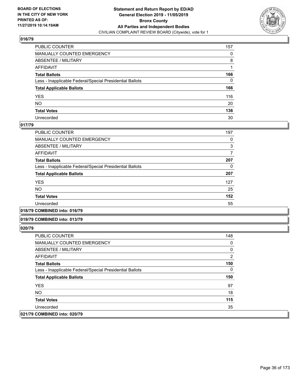

| PUBLIC COUNTER                                           | 157      |
|----------------------------------------------------------|----------|
| MANUALLY COUNTED EMERGENCY                               | 0        |
| ABSENTEE / MILITARY                                      | 8        |
| AFFIDAVIT                                                |          |
| Total Ballots                                            | 166      |
| Less - Inapplicable Federal/Special Presidential Ballots | $\Omega$ |
| <b>Total Applicable Ballots</b>                          | 166      |
| YES                                                      | 116      |
| NO.                                                      | 20       |
| <b>Total Votes</b>                                       | 136      |
| Unrecorded                                               | 30       |

## **017/79**

| 197 |
|-----|
| 0   |
| 3   |
|     |
| 207 |
| 0   |
| 207 |
| 127 |
| 25  |
| 152 |
| 55  |
|     |

#### **018/79 COMBINED into: 016/79**

#### **019/79 COMBINED into: 013/79**

| <b>PUBLIC COUNTER</b>                                    | 148 |
|----------------------------------------------------------|-----|
| <b>MANUALLY COUNTED EMERGENCY</b>                        | 0   |
| ABSENTEE / MILITARY                                      | 0   |
| AFFIDAVIT                                                | 2   |
| <b>Total Ballots</b>                                     | 150 |
| Less - Inapplicable Federal/Special Presidential Ballots | 0   |
| <b>Total Applicable Ballots</b>                          | 150 |
| <b>YES</b>                                               | 97  |
| NO.                                                      | 18  |
| <b>Total Votes</b>                                       | 115 |
| Unrecorded                                               | 35  |
| 021/79 COMBINED into: 020/79                             |     |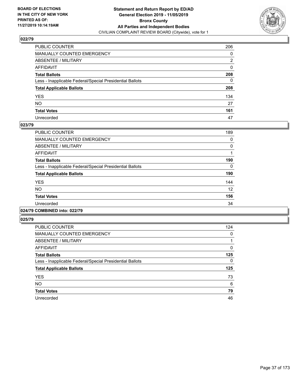

| PUBLIC COUNTER                                           | 206 |
|----------------------------------------------------------|-----|
| MANUALLY COUNTED EMERGENCY                               | 0   |
| ABSENTEE / MILITARY                                      | 2   |
| AFFIDAVIT                                                | 0   |
| Total Ballots                                            | 208 |
| Less - Inapplicable Federal/Special Presidential Ballots | 0   |
| <b>Total Applicable Ballots</b>                          | 208 |
| YES                                                      | 134 |
| NO.                                                      | 27  |
| <b>Total Votes</b>                                       | 161 |
| Unrecorded                                               | 47  |

## **023/79**

| <b>PUBLIC COUNTER</b>                                    | 189 |
|----------------------------------------------------------|-----|
| <b>MANUALLY COUNTED EMERGENCY</b>                        | 0   |
| ABSENTEE / MILITARY                                      | 0   |
| <b>AFFIDAVIT</b>                                         |     |
| <b>Total Ballots</b>                                     | 190 |
| Less - Inapplicable Federal/Special Presidential Ballots | 0   |
| <b>Total Applicable Ballots</b>                          | 190 |
| <b>YES</b>                                               | 144 |
| <b>NO</b>                                                | 12  |
| <b>Total Votes</b>                                       | 156 |
| Unrecorded                                               | 34  |
|                                                          |     |

# **024/79 COMBINED into: 022/79**

| <b>PUBLIC COUNTER</b>                                    | 124 |
|----------------------------------------------------------|-----|
| <b>MANUALLY COUNTED EMERGENCY</b>                        | 0   |
| ABSENTEE / MILITARY                                      |     |
| AFFIDAVIT                                                | 0   |
| <b>Total Ballots</b>                                     | 125 |
| Less - Inapplicable Federal/Special Presidential Ballots | 0   |
| <b>Total Applicable Ballots</b>                          | 125 |
| <b>YES</b>                                               | 73  |
| <b>NO</b>                                                | 6   |
| <b>Total Votes</b>                                       | 79  |
| Unrecorded                                               | 46  |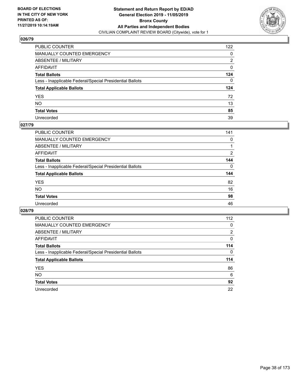

| PUBLIC COUNTER                                           | 122            |
|----------------------------------------------------------|----------------|
| MANUALLY COUNTED EMERGENCY                               | 0              |
| ABSENTEE / MILITARY                                      | $\overline{2}$ |
| AFFIDAVIT                                                | 0              |
| Total Ballots                                            | 124            |
| Less - Inapplicable Federal/Special Presidential Ballots | 0              |
| <b>Total Applicable Ballots</b>                          | 124            |
| YES                                                      | 72             |
| NO.                                                      | 13             |
| <b>Total Votes</b>                                       | 85             |
| Unrecorded                                               | 39             |

## **027/79**

| PUBLIC COUNTER                                           | 141      |
|----------------------------------------------------------|----------|
| <b>MANUALLY COUNTED EMERGENCY</b>                        | 0        |
| ABSENTEE / MILITARY                                      |          |
| AFFIDAVIT                                                | 2        |
| <b>Total Ballots</b>                                     | 144      |
| Less - Inapplicable Federal/Special Presidential Ballots | $\Omega$ |
| <b>Total Applicable Ballots</b>                          | 144      |
| <b>YES</b>                                               | 82       |
| <b>NO</b>                                                | 16       |
| <b>Total Votes</b>                                       | 98       |
| Unrecorded                                               | 46       |

| <b>PUBLIC COUNTER</b>                                    | 112          |
|----------------------------------------------------------|--------------|
| MANUALLY COUNTED EMERGENCY                               | 0            |
| ABSENTEE / MILITARY                                      | 2            |
| AFFIDAVIT                                                | 0            |
| <b>Total Ballots</b>                                     | 114          |
| Less - Inapplicable Federal/Special Presidential Ballots | $\mathbf{0}$ |
| <b>Total Applicable Ballots</b>                          | 114          |
| <b>YES</b>                                               | 86           |
| NO.                                                      | 6            |
| <b>Total Votes</b>                                       | 92           |
| Unrecorded                                               | 22           |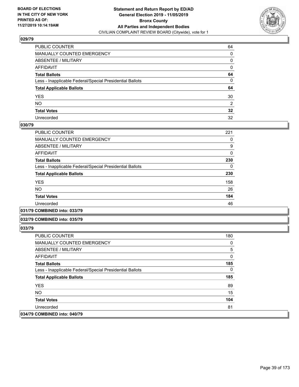

| PUBLIC COUNTER                                           | 64              |
|----------------------------------------------------------|-----------------|
| MANUALLY COUNTED EMERGENCY                               | 0               |
| ABSENTEE / MILITARY                                      | 0               |
| AFFIDAVIT                                                | 0               |
| Total Ballots                                            | 64              |
| Less - Inapplicable Federal/Special Presidential Ballots | $\mathbf{0}$    |
| <b>Total Applicable Ballots</b>                          | 64              |
| YES                                                      | 30              |
| NO.                                                      | 2               |
| <b>Total Votes</b>                                       | $32\phantom{a}$ |
| Unrecorded                                               | 32              |

### **030/79**

| PUBLIC COUNTER                                           | 221      |
|----------------------------------------------------------|----------|
| <b>MANUALLY COUNTED EMERGENCY</b>                        | 0        |
| ABSENTEE / MILITARY                                      | 9        |
| AFFIDAVIT                                                | $\Omega$ |
| <b>Total Ballots</b>                                     | 230      |
| Less - Inapplicable Federal/Special Presidential Ballots | 0        |
| <b>Total Applicable Ballots</b>                          | 230      |
| <b>YES</b>                                               | 158      |
| NO.                                                      | 26       |
| <b>Total Votes</b>                                       | 184      |
| Unrecorded                                               | 46       |
|                                                          |          |

**031/79 COMBINED into: 033/79**

### **032/79 COMBINED into: 035/79**

| <b>PUBLIC COUNTER</b>                                    | 180 |
|----------------------------------------------------------|-----|
| <b>MANUALLY COUNTED EMERGENCY</b>                        | 0   |
| ABSENTEE / MILITARY                                      | 5   |
| AFFIDAVIT                                                | 0   |
| <b>Total Ballots</b>                                     | 185 |
| Less - Inapplicable Federal/Special Presidential Ballots | 0   |
| <b>Total Applicable Ballots</b>                          | 185 |
| <b>YES</b>                                               | 89  |
| NO.                                                      | 15  |
| <b>Total Votes</b>                                       | 104 |
| Unrecorded                                               | 81  |
| 034/79 COMBINED into: 040/79                             |     |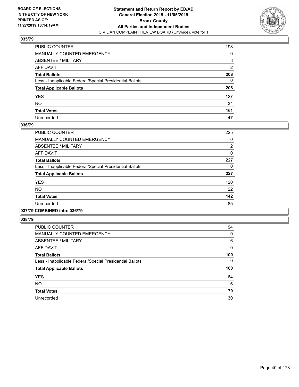

| PUBLIC COUNTER                                           | 198 |
|----------------------------------------------------------|-----|
| MANUALLY COUNTED EMERGENCY                               | 0   |
| ABSENTEE / MILITARY                                      | 8   |
| AFFIDAVIT                                                | 2   |
| Total Ballots                                            | 208 |
| Less - Inapplicable Federal/Special Presidential Ballots | 0   |
| <b>Total Applicable Ballots</b>                          | 208 |
| YES                                                      | 127 |
| NO.                                                      | 34  |
| <b>Total Votes</b>                                       | 161 |
| Unrecorded                                               | 47  |

### **036/79**

| <b>PUBLIC COUNTER</b>                                    | 225 |
|----------------------------------------------------------|-----|
| <b>MANUALLY COUNTED EMERGENCY</b>                        | 0   |
| ABSENTEE / MILITARY                                      | 2   |
| <b>AFFIDAVIT</b>                                         | 0   |
| <b>Total Ballots</b>                                     | 227 |
| Less - Inapplicable Federal/Special Presidential Ballots | 0   |
| <b>Total Applicable Ballots</b>                          | 227 |
| <b>YES</b>                                               | 120 |
| NO.                                                      | 22  |
| <b>Total Votes</b>                                       | 142 |
| Unrecorded                                               | 85  |
|                                                          |     |

### **037/79 COMBINED into: 036/79**

| <b>PUBLIC COUNTER</b>                                    | 94           |
|----------------------------------------------------------|--------------|
| <b>MANUALLY COUNTED EMERGENCY</b>                        | 0            |
| ABSENTEE / MILITARY                                      | 6            |
| <b>AFFIDAVIT</b>                                         | $\mathbf{0}$ |
| <b>Total Ballots</b>                                     | 100          |
| Less - Inapplicable Federal/Special Presidential Ballots | 0            |
| <b>Total Applicable Ballots</b>                          | 100          |
| <b>YES</b>                                               | 64           |
| <b>NO</b>                                                | 6            |
|                                                          | 70           |
| <b>Total Votes</b>                                       |              |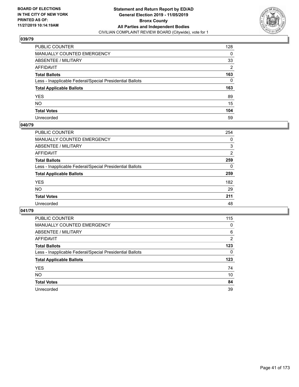

| PUBLIC COUNTER                                           | 128 |
|----------------------------------------------------------|-----|
| MANUALLY COUNTED EMERGENCY                               | 0   |
| ABSENTEE / MILITARY                                      | 33  |
| AFFIDAVIT                                                | 2   |
| Total Ballots                                            | 163 |
| Less - Inapplicable Federal/Special Presidential Ballots | 0   |
| <b>Total Applicable Ballots</b>                          | 163 |
| YES                                                      | 89  |
| NO.                                                      | 15  |
| <b>Total Votes</b>                                       | 104 |
| Unrecorded                                               | 59  |

## **040/79**

| PUBLIC COUNTER                                           | 254 |
|----------------------------------------------------------|-----|
| <b>MANUALLY COUNTED EMERGENCY</b>                        | 0   |
| ABSENTEE / MILITARY                                      | 3   |
| AFFIDAVIT                                                | 2   |
| <b>Total Ballots</b>                                     | 259 |
| Less - Inapplicable Federal/Special Presidential Ballots | 0   |
| <b>Total Applicable Ballots</b>                          | 259 |
| <b>YES</b>                                               | 182 |
| <b>NO</b>                                                | 29  |
| <b>Total Votes</b>                                       | 211 |
| Unrecorded                                               | 48  |

| <b>PUBLIC COUNTER</b>                                    | 115 |
|----------------------------------------------------------|-----|
| <b>MANUALLY COUNTED EMERGENCY</b>                        | 0   |
| ABSENTEE / MILITARY                                      | 6   |
| AFFIDAVIT                                                | 2   |
| <b>Total Ballots</b>                                     | 123 |
| Less - Inapplicable Federal/Special Presidential Ballots | 0   |
| <b>Total Applicable Ballots</b>                          | 123 |
| <b>YES</b>                                               | 74  |
| NO.                                                      | 10  |
| <b>Total Votes</b>                                       | 84  |
|                                                          |     |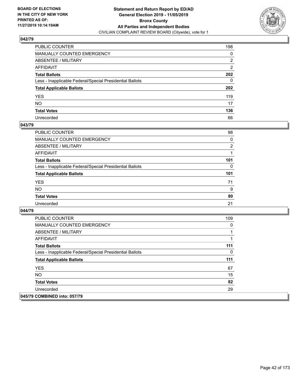

| PUBLIC COUNTER                                           | 198            |
|----------------------------------------------------------|----------------|
| MANUALLY COUNTED EMERGENCY                               | 0              |
| ABSENTEE / MILITARY                                      | 2              |
| AFFIDAVIT                                                | $\overline{2}$ |
| Total Ballots                                            | 202            |
| Less - Inapplicable Federal/Special Presidential Ballots | 0              |
| <b>Total Applicable Ballots</b>                          | 202            |
| YES                                                      | 119            |
| NO.                                                      | 17             |
| <b>Total Votes</b>                                       | 136            |
| Unrecorded                                               | 66             |

### **043/79**

| <b>PUBLIC COUNTER</b>                                    | 98             |
|----------------------------------------------------------|----------------|
| MANUALLY COUNTED EMERGENCY                               | 0              |
| ABSENTEE / MILITARY                                      | $\overline{2}$ |
| AFFIDAVIT                                                |                |
| <b>Total Ballots</b>                                     | 101            |
| Less - Inapplicable Federal/Special Presidential Ballots | 0              |
| <b>Total Applicable Ballots</b>                          | 101            |
| <b>YES</b>                                               | 71             |
| <b>NO</b>                                                | 9              |
| <b>Total Votes</b>                                       | 80             |
| Unrecorded                                               | 21             |

| <b>PUBLIC COUNTER</b>                                    | 109 |
|----------------------------------------------------------|-----|
| <b>MANUALLY COUNTED EMERGENCY</b>                        | 0   |
| ABSENTEE / MILITARY                                      |     |
| AFFIDAVIT                                                |     |
| <b>Total Ballots</b>                                     | 111 |
| Less - Inapplicable Federal/Special Presidential Ballots | 0   |
| <b>Total Applicable Ballots</b>                          | 111 |
| <b>YES</b>                                               | 67  |
| NO.                                                      | 15  |
| <b>Total Votes</b>                                       | 82  |
| Unrecorded                                               | 29  |
| 045/79 COMBINED into: 057/79                             |     |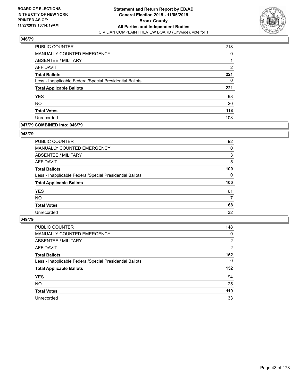

| PUBLIC COUNTER                                           | 218 |
|----------------------------------------------------------|-----|
| <b>MANUALLY COUNTED EMERGENCY</b>                        | 0   |
| ABSENTEE / MILITARY                                      |     |
| AFFIDAVIT                                                | 2   |
| <b>Total Ballots</b>                                     | 221 |
| Less - Inapplicable Federal/Special Presidential Ballots | 0   |
| <b>Total Applicable Ballots</b>                          | 221 |
| <b>YES</b>                                               | 98  |
| <b>NO</b>                                                | 20  |
| <b>Total Votes</b>                                       | 118 |
| Unrecorded                                               | 103 |

## **047/79 COMBINED into: 046/79**

### **048/79**

| PUBLIC COUNTER                                           | 92       |
|----------------------------------------------------------|----------|
| <b>MANUALLY COUNTED EMERGENCY</b>                        | 0        |
| ABSENTEE / MILITARY                                      | 3        |
| AFFIDAVIT                                                | 5        |
| <b>Total Ballots</b>                                     | 100      |
| Less - Inapplicable Federal/Special Presidential Ballots | $\Omega$ |
| <b>Total Applicable Ballots</b>                          | 100      |
| <b>YES</b>                                               | 61       |
| <b>NO</b>                                                | 7        |
| <b>Total Votes</b>                                       | 68       |
| Unrecorded                                               | 32       |

| <b>PUBLIC COUNTER</b>                                    | 148            |
|----------------------------------------------------------|----------------|
| MANUALLY COUNTED EMERGENCY                               | 0              |
| ABSENTEE / MILITARY                                      | $\overline{2}$ |
| AFFIDAVIT                                                | 2              |
| <b>Total Ballots</b>                                     | 152            |
| Less - Inapplicable Federal/Special Presidential Ballots | $\Omega$       |
| <b>Total Applicable Ballots</b>                          | 152            |
| <b>YES</b>                                               | 94             |
| <b>NO</b>                                                | 25             |
| <b>Total Votes</b>                                       | 119            |
| Unrecorded                                               | 33             |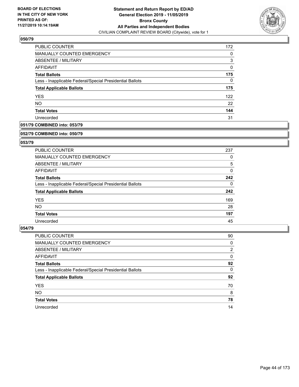

| PUBLIC COUNTER                                           | 172 |
|----------------------------------------------------------|-----|
| <b>MANUALLY COUNTED EMERGENCY</b>                        | 0   |
| ABSENTEE / MILITARY                                      | 3   |
| AFFIDAVIT                                                | 0   |
| <b>Total Ballots</b>                                     | 175 |
| Less - Inapplicable Federal/Special Presidential Ballots | 0   |
| <b>Total Applicable Ballots</b>                          | 175 |
| <b>YES</b>                                               | 122 |
| <b>NO</b>                                                | 22  |
| <b>Total Votes</b>                                       | 144 |
| Unrecorded                                               | 31  |

# **051/79 COMBINED into: 053/79**

#### **052/79 COMBINED into: 050/79**

# **053/79**

| <b>PUBLIC COUNTER</b>                                    | 237 |
|----------------------------------------------------------|-----|
| <b>MANUALLY COUNTED EMERGENCY</b>                        | 0   |
| ABSENTEE / MILITARY                                      | 5   |
| AFFIDAVIT                                                | 0   |
| <b>Total Ballots</b>                                     | 242 |
| Less - Inapplicable Federal/Special Presidential Ballots | 0   |
| <b>Total Applicable Ballots</b>                          | 242 |
| <b>YES</b>                                               | 169 |
| NO.                                                      | 28  |
| <b>Total Votes</b>                                       | 197 |
| Unrecorded                                               | 45  |

| PUBLIC COUNTER                                           | 90             |
|----------------------------------------------------------|----------------|
| <b>MANUALLY COUNTED EMERGENCY</b>                        | 0              |
| ABSENTEE / MILITARY                                      | $\overline{2}$ |
| AFFIDAVIT                                                | $\Omega$       |
| <b>Total Ballots</b>                                     | 92             |
| Less - Inapplicable Federal/Special Presidential Ballots | $\Omega$       |
| <b>Total Applicable Ballots</b>                          | 92             |
| <b>YES</b>                                               | 70             |
| <b>NO</b>                                                | 8              |
| <b>Total Votes</b>                                       | 78             |
| Unrecorded                                               | 14             |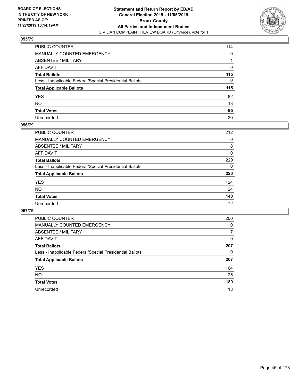

| PUBLIC COUNTER                                           | 114          |
|----------------------------------------------------------|--------------|
| MANUALLY COUNTED EMERGENCY                               | $\mathbf{0}$ |
| ABSENTEE / MILITARY                                      |              |
| AFFIDAVIT                                                | 0            |
| Total Ballots                                            | 115          |
| Less - Inapplicable Federal/Special Presidential Ballots | $\mathbf{0}$ |
| <b>Total Applicable Ballots</b>                          | 115          |
| YES                                                      | 82           |
| NO.                                                      | 13           |
| <b>Total Votes</b>                                       | 95           |
| Unrecorded                                               | 20           |

## **056/79**

| <b>PUBLIC COUNTER</b>                                    | 212 |
|----------------------------------------------------------|-----|
| MANUALLY COUNTED EMERGENCY                               | 0   |
| ABSENTEE / MILITARY                                      | 8   |
| AFFIDAVIT                                                | 0   |
| <b>Total Ballots</b>                                     | 220 |
| Less - Inapplicable Federal/Special Presidential Ballots | 0   |
| <b>Total Applicable Ballots</b>                          | 220 |
| <b>YES</b>                                               | 124 |
| <b>NO</b>                                                | 24  |
| <b>Total Votes</b>                                       | 148 |
| Unrecorded                                               | 72  |

| <b>PUBLIC COUNTER</b>                                    | 200      |
|----------------------------------------------------------|----------|
| MANUALLY COUNTED EMERGENCY                               | $\Omega$ |
| ABSENTEE / MILITARY                                      | 7        |
| AFFIDAVIT                                                | 0        |
| <b>Total Ballots</b>                                     | 207      |
| Less - Inapplicable Federal/Special Presidential Ballots | 0        |
| <b>Total Applicable Ballots</b>                          | 207      |
| <b>YES</b>                                               | 164      |
| NO.                                                      | 25       |
| <b>Total Votes</b>                                       | 189      |
| Unrecorded                                               | 18       |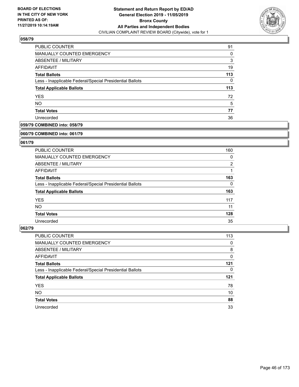

| PUBLIC COUNTER                                           | 91  |
|----------------------------------------------------------|-----|
| MANUALLY COUNTED EMERGENCY                               | 0   |
| ABSENTEE / MILITARY                                      | 3   |
| AFFIDAVIT                                                | 19  |
| <b>Total Ballots</b>                                     | 113 |
| Less - Inapplicable Federal/Special Presidential Ballots | 0   |
| <b>Total Applicable Ballots</b>                          | 113 |
| <b>YES</b>                                               | 72  |
| <b>NO</b>                                                | 5   |
| <b>Total Votes</b>                                       | 77  |
| Unrecorded                                               | 36  |

# **059/79 COMBINED into: 058/79**

#### **060/79 COMBINED into: 061/79**

# **061/79**

| <b>PUBLIC COUNTER</b>                                    | 160            |
|----------------------------------------------------------|----------------|
| MANUALLY COUNTED EMERGENCY                               | 0              |
| ABSENTEE / MILITARY                                      | $\overline{2}$ |
| AFFIDAVIT                                                |                |
| <b>Total Ballots</b>                                     | 163            |
| Less - Inapplicable Federal/Special Presidential Ballots | $\Omega$       |
| <b>Total Applicable Ballots</b>                          | 163            |
| <b>YES</b>                                               | 117            |
| NO.                                                      | 11             |
| <b>Total Votes</b>                                       | 128            |
| Unrecorded                                               | 35             |

| PUBLIC COUNTER                                           | 113 |
|----------------------------------------------------------|-----|
| <b>MANUALLY COUNTED EMERGENCY</b>                        | 0   |
| ABSENTEE / MILITARY                                      | 8   |
| AFFIDAVIT                                                | 0   |
| <b>Total Ballots</b>                                     | 121 |
| Less - Inapplicable Federal/Special Presidential Ballots | 0   |
| <b>Total Applicable Ballots</b>                          | 121 |
|                                                          |     |
| <b>YES</b>                                               | 78  |
| <b>NO</b>                                                | 10  |
| <b>Total Votes</b>                                       | 88  |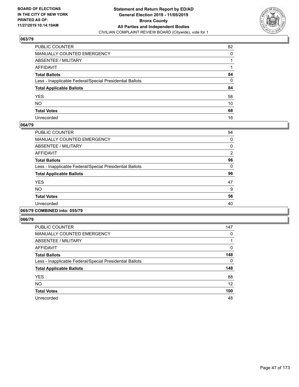

| PUBLIC COUNTER                                           | 82           |
|----------------------------------------------------------|--------------|
| MANUALLY COUNTED EMERGENCY                               | $\Omega$     |
| ABSENTEE / MILITARY                                      |              |
| AFFIDAVIT                                                |              |
| Total Ballots                                            | 84           |
| Less - Inapplicable Federal/Special Presidential Ballots | $\mathbf{0}$ |
| <b>Total Applicable Ballots</b>                          | 84           |
| YES                                                      | 58           |
| NO.                                                      | 10           |
| <b>Total Votes</b>                                       | 68           |
| Unrecorded                                               | 16           |

### **064/79**

| <b>PUBLIC COUNTER</b>                                    | 94             |
|----------------------------------------------------------|----------------|
| <b>MANUALLY COUNTED EMERGENCY</b>                        | 0              |
| ABSENTEE / MILITARY                                      | 0              |
| AFFIDAVIT                                                | $\overline{2}$ |
| <b>Total Ballots</b>                                     | 96             |
| Less - Inapplicable Federal/Special Presidential Ballots | 0              |
| <b>Total Applicable Ballots</b>                          | 96             |
| <b>YES</b>                                               | 47             |
| <b>NO</b>                                                | 9              |
| <b>Total Votes</b>                                       | 56             |
| Unrecorded                                               | 40             |
|                                                          |                |

# **065/79 COMBINED into: 055/79**

| <b>PUBLIC COUNTER</b>                                    | 147 |
|----------------------------------------------------------|-----|
| <b>MANUALLY COUNTED EMERGENCY</b>                        | 0   |
| ABSENTEE / MILITARY                                      | 1   |
| <b>AFFIDAVIT</b>                                         | 0   |
| <b>Total Ballots</b>                                     | 148 |
| Less - Inapplicable Federal/Special Presidential Ballots | 0   |
| <b>Total Applicable Ballots</b>                          | 148 |
| <b>YES</b>                                               | 88  |
| <b>NO</b>                                                | 12  |
| <b>Total Votes</b>                                       | 100 |
| Unrecorded                                               | 48  |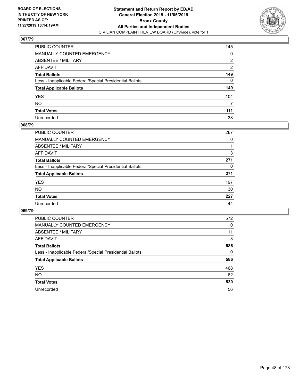

| PUBLIC COUNTER                                           | 145            |
|----------------------------------------------------------|----------------|
| MANUALLY COUNTED EMERGENCY                               | 0              |
| ABSENTEE / MILITARY                                      | 2              |
| AFFIDAVIT                                                | $\overline{2}$ |
| Total Ballots                                            | 149            |
| Less - Inapplicable Federal/Special Presidential Ballots | 0              |
| <b>Total Applicable Ballots</b>                          | 149            |
| YES                                                      | 104            |
| NO.                                                      | 7              |
| <b>Total Votes</b>                                       | 111            |
| Unrecorded                                               | 38             |

### **068/79**

| <b>PUBLIC COUNTER</b>                                    | 267 |
|----------------------------------------------------------|-----|
| <b>MANUALLY COUNTED EMERGENCY</b>                        | 0   |
| ABSENTEE / MILITARY                                      |     |
| AFFIDAVIT                                                | 3   |
| <b>Total Ballots</b>                                     | 271 |
| Less - Inapplicable Federal/Special Presidential Ballots | 0   |
| <b>Total Applicable Ballots</b>                          | 271 |
| <b>YES</b>                                               | 197 |
| <b>NO</b>                                                | 30  |
| <b>Total Votes</b>                                       | 227 |
| Unrecorded                                               | 44  |

| <b>PUBLIC COUNTER</b>                                    | 572      |
|----------------------------------------------------------|----------|
| <b>MANUALLY COUNTED EMERGENCY</b>                        | 0        |
| ABSENTEE / MILITARY                                      | 11       |
| AFFIDAVIT                                                | 3        |
| <b>Total Ballots</b>                                     | 586      |
| Less - Inapplicable Federal/Special Presidential Ballots | $\Omega$ |
| <b>Total Applicable Ballots</b>                          | 586      |
| <b>YES</b>                                               | 468      |
| <b>NO</b>                                                | 62       |
| <b>Total Votes</b>                                       | 530      |
| Unrecorded                                               | 56       |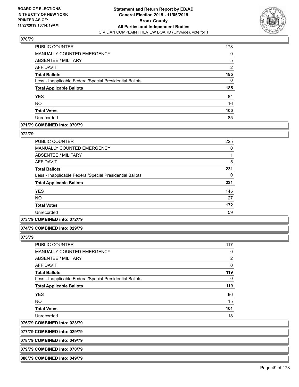

| PUBLIC COUNTER                                           | 178 |
|----------------------------------------------------------|-----|
| MANUALLY COUNTED EMERGENCY                               | 0   |
| ABSENTEE / MILITARY                                      | 5   |
| AFFIDAVIT                                                | 2   |
| <b>Total Ballots</b>                                     | 185 |
| Less - Inapplicable Federal/Special Presidential Ballots | 0   |
| <b>Total Applicable Ballots</b>                          | 185 |
| <b>YES</b>                                               | 84  |
| <b>NO</b>                                                | 16  |
| <b>Total Votes</b>                                       | 100 |
| Unrecorded                                               | 85  |

## **071/79 COMBINED into: 070/79**

#### **072/79**

| <b>PUBLIC COUNTER</b>                                    | 225 |
|----------------------------------------------------------|-----|
| <b>MANUALLY COUNTED EMERGENCY</b>                        | 0   |
| ABSENTEE / MILITARY                                      |     |
| <b>AFFIDAVIT</b>                                         | 5   |
| <b>Total Ballots</b>                                     | 231 |
| Less - Inapplicable Federal/Special Presidential Ballots | 0   |
| <b>Total Applicable Ballots</b>                          | 231 |
| <b>YES</b>                                               | 145 |
| <b>NO</b>                                                | 27  |
| <b>Total Votes</b>                                       | 172 |
| Unrecorded                                               | 59  |

### **073/79 COMBINED into: 072/79**

#### **074/79 COMBINED into: 029/79**

**075/79** 

| <b>PUBLIC COUNTER</b>                                    | 117            |
|----------------------------------------------------------|----------------|
| <b>MANUALLY COUNTED EMERGENCY</b>                        | 0              |
| ABSENTEE / MILITARY                                      | $\overline{2}$ |
| <b>AFFIDAVIT</b>                                         | 0              |
| <b>Total Ballots</b>                                     | 119            |
| Less - Inapplicable Federal/Special Presidential Ballots | $\Omega$       |
| <b>Total Applicable Ballots</b>                          | 119            |
| <b>YES</b>                                               | 86             |
| <b>NO</b>                                                | 15             |
| <b>Total Votes</b>                                       | 101            |
| Unrecorded                                               | 18             |

**076/79 COMBINED into: 023/79**

**077/79 COMBINED into: 029/79**

**078/79 COMBINED into: 049/79**

**079/79 COMBINED into: 070/79**

**080/79 COMBINED into: 049/79**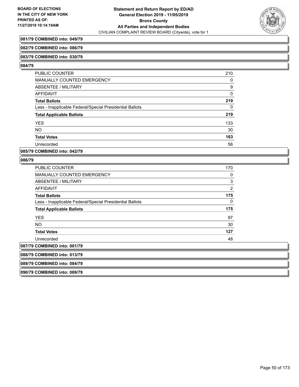

# **081/79 COMBINED into: 049/79**

#### **082/79 COMBINED into: 086/79**

#### **083/79 COMBINED into: 030/79**

#### **084/79**

| <b>PUBLIC COUNTER</b>                                    | 210      |
|----------------------------------------------------------|----------|
| <b>MANUALLY COUNTED EMERGENCY</b>                        | 0        |
| ABSENTEE / MILITARY                                      | 9        |
| AFFIDAVIT                                                | $\Omega$ |
| <b>Total Ballots</b>                                     | 219      |
| Less - Inapplicable Federal/Special Presidential Ballots | 0        |
| <b>Total Applicable Ballots</b>                          | 219      |
| <b>YES</b>                                               | 133      |
| <b>NO</b>                                                | 30       |
| <b>Total Votes</b>                                       | 163      |
| Unrecorded                                               | 56       |

### **085/79 COMBINED into: 042/79**

### **086/79**

| <b>PUBLIC COUNTER</b>                                    | 170            |
|----------------------------------------------------------|----------------|
| <b>MANUALLY COUNTED EMERGENCY</b>                        | 0              |
| ABSENTEE / MILITARY                                      | 3              |
| <b>AFFIDAVIT</b>                                         | $\overline{2}$ |
| <b>Total Ballots</b>                                     | 175            |
| Less - Inapplicable Federal/Special Presidential Ballots | 0              |
| <b>Total Applicable Ballots</b>                          | 175            |
| <b>YES</b>                                               | 97             |
| <b>NO</b>                                                | 30             |
| <b>Total Votes</b>                                       | 127            |
| Unrecorded                                               | 48             |
| 087/79 COMBINED into: 001/79                             |                |
| 088/79 COMBINED into: 013/79                             |                |
| 089/79 COMBINED into: 084/79                             |                |
|                                                          |                |

**090/79 COMBINED into: 069/79**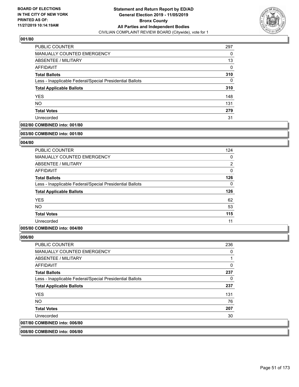

| PUBLIC COUNTER                                           | 297 |
|----------------------------------------------------------|-----|
| <b>MANUALLY COUNTED EMERGENCY</b>                        | 0   |
| ABSENTEE / MILITARY                                      | 13  |
| AFFIDAVIT                                                | 0   |
| <b>Total Ballots</b>                                     | 310 |
| Less - Inapplicable Federal/Special Presidential Ballots | 0   |
| <b>Total Applicable Ballots</b>                          | 310 |
| <b>YES</b>                                               | 148 |
| <b>NO</b>                                                | 131 |
| <b>Total Votes</b>                                       | 279 |
| Unrecorded                                               | 31  |

# **002/80 COMBINED into: 001/80**

#### **003/80 COMBINED into: 001/80**

## **004/80**

| PUBLIC COUNTER                                           | 124            |
|----------------------------------------------------------|----------------|
| MANUALLY COUNTED EMERGENCY                               | 0              |
| ABSENTEE / MILITARY                                      | $\overline{2}$ |
| AFFIDAVIT                                                | $\mathbf{0}$   |
| <b>Total Ballots</b>                                     | 126            |
| Less - Inapplicable Federal/Special Presidential Ballots | $\Omega$       |
| <b>Total Applicable Ballots</b>                          | 126            |
| <b>YES</b>                                               | 62             |
| <b>NO</b>                                                | 53             |
| <b>Total Votes</b>                                       | 115            |
| Unrecorded                                               | 11             |

## **005/80 COMBINED into: 004/80**

### **006/80**

| <b>PUBLIC COUNTER</b>                                    | 236 |
|----------------------------------------------------------|-----|
| MANUALLY COUNTED EMERGENCY                               | 0   |
| ABSENTEE / MILITARY                                      |     |
| AFFIDAVIT                                                | 0   |
| <b>Total Ballots</b>                                     | 237 |
| Less - Inapplicable Federal/Special Presidential Ballots | 0   |
| <b>Total Applicable Ballots</b>                          | 237 |
| <b>YES</b>                                               | 131 |
| NO.                                                      | 76  |
| <b>Total Votes</b>                                       | 207 |
| Unrecorded                                               | 30  |
| 007/80 COMBINED into: 006/80                             |     |
|                                                          |     |

# **008/80 COMBINED into: 006/80**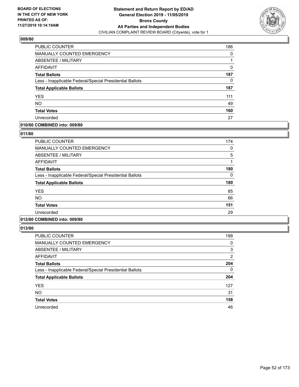

| <b>PUBLIC COUNTER</b>                                    | 186 |
|----------------------------------------------------------|-----|
| MANUALLY COUNTED EMERGENCY                               | 0   |
| ABSENTEE / MILITARY                                      |     |
| AFFIDAVIT                                                | 0   |
| <b>Total Ballots</b>                                     | 187 |
| Less - Inapplicable Federal/Special Presidential Ballots | 0   |
| <b>Total Applicable Ballots</b>                          | 187 |
| <b>YES</b>                                               | 111 |
| <b>NO</b>                                                | 49  |
| <b>Total Votes</b>                                       | 160 |
| Unrecorded                                               | 27  |

# **010/80 COMBINED into: 009/80**

## **011/80**

| <b>PUBLIC COUNTER</b>                                    | 174 |
|----------------------------------------------------------|-----|
| MANUALLY COUNTED EMERGENCY                               | 0   |
| ABSENTEE / MILITARY                                      | 5   |
| AFFIDAVIT                                                |     |
| <b>Total Ballots</b>                                     | 180 |
| Less - Inapplicable Federal/Special Presidential Ballots | 0   |
| <b>Total Applicable Ballots</b>                          | 180 |
| <b>YES</b>                                               | 85  |
| <b>NO</b>                                                | 66  |
| <b>Total Votes</b>                                       | 151 |
| Unrecorded                                               | 29  |
|                                                          |     |

# **012/80 COMBINED into: 009/80**

| <b>PUBLIC COUNTER</b>                                    | 199            |
|----------------------------------------------------------|----------------|
| <b>MANUALLY COUNTED EMERGENCY</b>                        | 0              |
| ABSENTEE / MILITARY                                      | 3              |
| AFFIDAVIT                                                | $\overline{2}$ |
| <b>Total Ballots</b>                                     | 204            |
| Less - Inapplicable Federal/Special Presidential Ballots | $\Omega$       |
| <b>Total Applicable Ballots</b>                          | 204            |
| <b>YES</b>                                               | 127            |
| <b>NO</b>                                                | 31             |
| <b>Total Votes</b>                                       | 158            |
| Unrecorded                                               | 46             |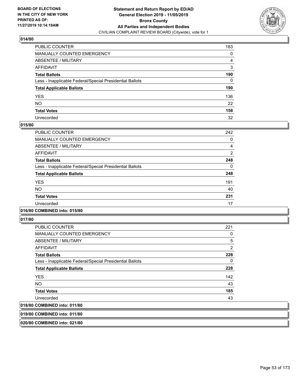

| PUBLIC COUNTER                                           | 183 |
|----------------------------------------------------------|-----|
| MANUALLY COUNTED EMERGENCY                               | 0   |
| ABSENTEE / MILITARY                                      | 4   |
| AFFIDAVIT                                                | 3   |
| Total Ballots                                            | 190 |
| Less - Inapplicable Federal/Special Presidential Ballots | 0   |
| <b>Total Applicable Ballots</b>                          | 190 |
| YES                                                      | 136 |
| NO.                                                      | 22  |
| <b>Total Votes</b>                                       | 158 |
| Unrecorded                                               | 32  |

## **015/80**

| PUBLIC COUNTER                                           | 242 |
|----------------------------------------------------------|-----|
| <b>MANUALLY COUNTED EMERGENCY</b>                        | 0   |
| ABSENTEE / MILITARY                                      | 4   |
| <b>AFFIDAVIT</b>                                         | 2   |
| <b>Total Ballots</b>                                     | 248 |
| Less - Inapplicable Federal/Special Presidential Ballots | 0   |
| <b>Total Applicable Ballots</b>                          | 248 |
| <b>YES</b>                                               | 191 |
| <b>NO</b>                                                | 40  |
| <b>Total Votes</b>                                       | 231 |
| Unrecorded                                               | 17  |

# **016/80 COMBINED into: 015/80**

**017/80** 

| <b>PUBLIC COUNTER</b>                                    | 221 |
|----------------------------------------------------------|-----|
| <b>MANUALLY COUNTED EMERGENCY</b>                        | 0   |
| ABSENTEE / MILITARY                                      | 5   |
| AFFIDAVIT                                                | 2   |
| <b>Total Ballots</b>                                     | 228 |
| Less - Inapplicable Federal/Special Presidential Ballots | 0   |
| <b>Total Applicable Ballots</b>                          | 228 |
| <b>YES</b>                                               | 142 |
| NO.                                                      | 43  |
| <b>Total Votes</b>                                       | 185 |
| Unrecorded                                               | 43  |
| 018/80 COMBINED into: 011/80                             |     |

**019/80 COMBINED into: 011/80**

**020/80 COMBINED into: 021/80**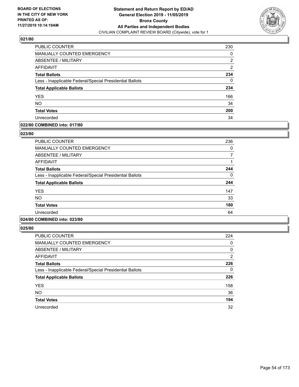

| PUBLIC COUNTER                                           | 230 |
|----------------------------------------------------------|-----|
| MANUALLY COUNTED EMERGENCY                               | 0   |
| <b>ABSENTEE / MILITARY</b>                               | 2   |
| AFFIDAVIT                                                | 2   |
| <b>Total Ballots</b>                                     | 234 |
| Less - Inapplicable Federal/Special Presidential Ballots | 0   |
| <b>Total Applicable Ballots</b>                          | 234 |
| <b>YES</b>                                               | 166 |
| <b>NO</b>                                                | 34  |
| <b>Total Votes</b>                                       | 200 |
| Unrecorded                                               | 34  |

## **022/80 COMBINED into: 017/80**

### **023/80**

| <b>PUBLIC COUNTER</b>                                    | 236 |
|----------------------------------------------------------|-----|
| <b>MANUALLY COUNTED EMERGENCY</b>                        | 0   |
| ABSENTEE / MILITARY                                      |     |
| <b>AFFIDAVIT</b>                                         |     |
| <b>Total Ballots</b>                                     | 244 |
| Less - Inapplicable Federal/Special Presidential Ballots | 0   |
| <b>Total Applicable Ballots</b>                          | 244 |
| <b>YES</b>                                               | 147 |
| NO.                                                      | 33  |
| <b>Total Votes</b>                                       | 180 |
| Unrecorded                                               | 64  |

# **024/80 COMBINED into: 023/80**

| <b>PUBLIC COUNTER</b>                                    | 224            |
|----------------------------------------------------------|----------------|
| <b>MANUALLY COUNTED EMERGENCY</b>                        | 0              |
| ABSENTEE / MILITARY                                      | 0              |
| <b>AFFIDAVIT</b>                                         | $\overline{2}$ |
| <b>Total Ballots</b>                                     | 226            |
| Less - Inapplicable Federal/Special Presidential Ballots | 0              |
| <b>Total Applicable Ballots</b>                          | 226            |
| <b>YES</b>                                               | 158            |
| <b>NO</b>                                                | 36             |
| <b>Total Votes</b>                                       | 194            |
| Unrecorded                                               | 32             |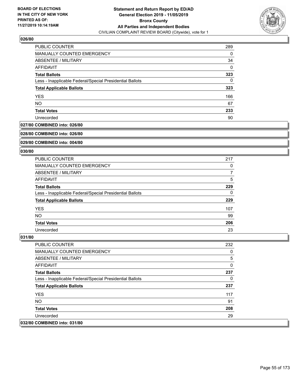

| <b>PUBLIC COUNTER</b>                                    | 289 |
|----------------------------------------------------------|-----|
| <b>MANUALLY COUNTED EMERGENCY</b>                        | 0   |
| ABSENTEE / MILITARY                                      | 34  |
| AFFIDAVIT                                                | 0   |
| <b>Total Ballots</b>                                     | 323 |
| Less - Inapplicable Federal/Special Presidential Ballots | 0   |
| <b>Total Applicable Ballots</b>                          | 323 |
| <b>YES</b>                                               | 166 |
| <b>NO</b>                                                | 67  |
| <b>Total Votes</b>                                       | 233 |
| Unrecorded                                               | 90  |

### **027/80 COMBINED into: 026/80**

### **028/80 COMBINED into: 026/80**

# **029/80 COMBINED into: 004/80**

#### **030/80**

| <b>PUBLIC COUNTER</b>                                    | 217 |
|----------------------------------------------------------|-----|
| MANUALLY COUNTED EMERGENCY                               | 0   |
| ABSENTEE / MILITARY                                      | 7   |
| AFFIDAVIT                                                | 5   |
| <b>Total Ballots</b>                                     | 229 |
| Less - Inapplicable Federal/Special Presidential Ballots | 0   |
| <b>Total Applicable Ballots</b>                          | 229 |
| <b>YES</b>                                               | 107 |
| <b>NO</b>                                                | 99  |
| <b>Total Votes</b>                                       | 206 |
| Unrecorded                                               | 23  |

| <b>PUBLIC COUNTER</b>                                    | 232 |
|----------------------------------------------------------|-----|
| <b>MANUALLY COUNTED EMERGENCY</b>                        | 0   |
| ABSENTEE / MILITARY                                      | 5   |
| AFFIDAVIT                                                | 0   |
| <b>Total Ballots</b>                                     | 237 |
| Less - Inapplicable Federal/Special Presidential Ballots | 0   |
| <b>Total Applicable Ballots</b>                          | 237 |
| <b>YES</b>                                               | 117 |
| NO.                                                      | 91  |
| <b>Total Votes</b>                                       | 208 |
| Unrecorded                                               | 29  |
| 032/80 COMBINED into: 031/80                             |     |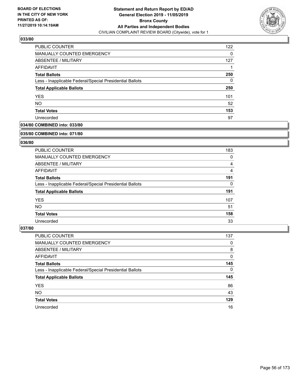

| PUBLIC COUNTER                                           | 122 |
|----------------------------------------------------------|-----|
| <b>MANUALLY COUNTED EMERGENCY</b>                        | 0   |
| <b>ABSENTEE / MILITARY</b>                               | 127 |
| AFFIDAVIT                                                |     |
| <b>Total Ballots</b>                                     | 250 |
| Less - Inapplicable Federal/Special Presidential Ballots | 0   |
| <b>Total Applicable Ballots</b>                          | 250 |
| <b>YES</b>                                               | 101 |
| <b>NO</b>                                                | 52  |
| <b>Total Votes</b>                                       | 153 |
| Unrecorded                                               | 97  |

# **034/80 COMBINED into: 033/80**

#### **035/80 COMBINED into: 071/80**

# **036/80**

| <b>PUBLIC COUNTER</b>                                    | 183 |
|----------------------------------------------------------|-----|
| <b>MANUALLY COUNTED EMERGENCY</b>                        | 0   |
| ABSENTEE / MILITARY                                      | 4   |
| AFFIDAVIT                                                | 4   |
| <b>Total Ballots</b>                                     | 191 |
| Less - Inapplicable Federal/Special Presidential Ballots | 0   |
| <b>Total Applicable Ballots</b>                          | 191 |
| <b>YES</b>                                               | 107 |
| NO.                                                      | 51  |
| <b>Total Votes</b>                                       | 158 |
| Unrecorded                                               | 33  |

| <b>PUBLIC COUNTER</b>                                    | 137      |
|----------------------------------------------------------|----------|
| MANUALLY COUNTED EMERGENCY                               | 0        |
| ABSENTEE / MILITARY                                      | 8        |
| AFFIDAVIT                                                | 0        |
| <b>Total Ballots</b>                                     | 145      |
| Less - Inapplicable Federal/Special Presidential Ballots | $\Omega$ |
| <b>Total Applicable Ballots</b>                          | 145      |
| <b>YES</b>                                               | 86       |
| <b>NO</b>                                                | 43       |
| <b>Total Votes</b>                                       | 129      |
| Unrecorded                                               | 16       |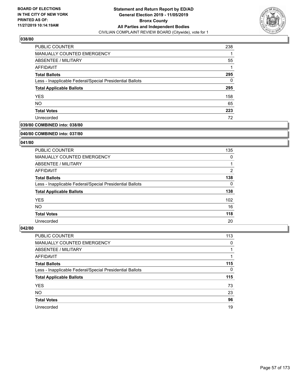

| PUBLIC COUNTER                                           | 238 |
|----------------------------------------------------------|-----|
| MANUALLY COUNTED EMERGENCY                               |     |
| <b>ABSENTEE / MILITARY</b>                               | 55  |
| AFFIDAVIT                                                |     |
| <b>Total Ballots</b>                                     | 295 |
| Less - Inapplicable Federal/Special Presidential Ballots | 0   |
| <b>Total Applicable Ballots</b>                          | 295 |
| <b>YES</b>                                               | 158 |
| <b>NO</b>                                                | 65  |
| <b>Total Votes</b>                                       | 223 |
| Unrecorded                                               | 72  |

# **039/80 COMBINED into: 038/80**

#### **040/80 COMBINED into: 037/80**

# **041/80**

| <b>PUBLIC COUNTER</b>                                    | 135              |
|----------------------------------------------------------|------------------|
| <b>MANUALLY COUNTED EMERGENCY</b>                        | 0                |
| ABSENTEE / MILITARY                                      |                  |
| AFFIDAVIT                                                | $\overline{2}$   |
| <b>Total Ballots</b>                                     | 138              |
| Less - Inapplicable Federal/Special Presidential Ballots | 0                |
| <b>Total Applicable Ballots</b>                          | 138              |
| <b>YES</b>                                               | 102 <sub>1</sub> |
| NO.                                                      | 16               |
| <b>Total Votes</b>                                       | 118              |
| Unrecorded                                               | 20               |

| <b>PUBLIC COUNTER</b>                                    | 113      |
|----------------------------------------------------------|----------|
| MANUALLY COUNTED EMERGENCY                               | 0        |
| ABSENTEE / MILITARY                                      |          |
| AFFIDAVIT                                                |          |
| <b>Total Ballots</b>                                     | 115      |
| Less - Inapplicable Federal/Special Presidential Ballots | $\Omega$ |
| <b>Total Applicable Ballots</b>                          | 115      |
| <b>YES</b>                                               | 73       |
| <b>NO</b>                                                | 23       |
| <b>Total Votes</b>                                       | 96       |
| Unrecorded                                               | 19       |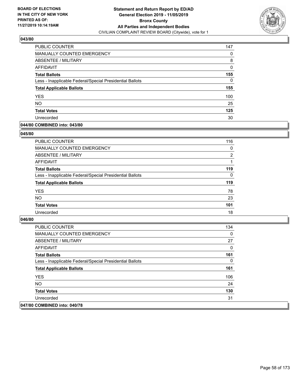

| PUBLIC COUNTER                                           | 147 |
|----------------------------------------------------------|-----|
| MANUALLY COUNTED EMERGENCY                               | 0   |
| ABSENTEE / MILITARY                                      | 8   |
| AFFIDAVIT                                                | 0   |
| <b>Total Ballots</b>                                     | 155 |
| Less - Inapplicable Federal/Special Presidential Ballots | 0   |
| <b>Total Applicable Ballots</b>                          | 155 |
| <b>YES</b>                                               | 100 |
| <b>NO</b>                                                | 25  |
| <b>Total Votes</b>                                       | 125 |
| Unrecorded                                               | 30  |

# **044/80 COMBINED into: 043/80**

### **045/80**

| PUBLIC COUNTER                                           | 116            |
|----------------------------------------------------------|----------------|
| <b>MANUALLY COUNTED EMERGENCY</b>                        | $\Omega$       |
| ABSENTEE / MILITARY                                      | $\overline{2}$ |
| AFFIDAVIT                                                |                |
| <b>Total Ballots</b>                                     | 119            |
| Less - Inapplicable Federal/Special Presidential Ballots | $\Omega$       |
| <b>Total Applicable Ballots</b>                          | 119            |
| <b>YES</b>                                               | 78             |
| <b>NO</b>                                                | 23             |
| <b>Total Votes</b>                                       | 101            |
| Unrecorded                                               | 18             |
|                                                          |                |

| PUBLIC COUNTER                                           | 134 |
|----------------------------------------------------------|-----|
| <b>MANUALLY COUNTED EMERGENCY</b>                        | 0   |
| ABSENTEE / MILITARY                                      | 27  |
| AFFIDAVIT                                                | 0   |
| <b>Total Ballots</b>                                     | 161 |
| Less - Inapplicable Federal/Special Presidential Ballots | 0   |
| <b>Total Applicable Ballots</b>                          | 161 |
| <b>YES</b>                                               | 106 |
| NO.                                                      | 24  |
| <b>Total Votes</b>                                       | 130 |
| Unrecorded                                               | 31  |
| 047/80 COMBINED into: 040/78                             |     |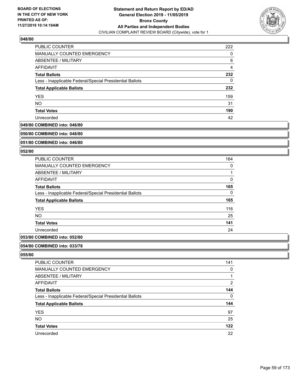

| <b>PUBLIC COUNTER</b>                                    | 222 |
|----------------------------------------------------------|-----|
| <b>MANUALLY COUNTED EMERGENCY</b>                        | 0   |
| ABSENTEE / MILITARY                                      | 6   |
| AFFIDAVIT                                                | 4   |
| <b>Total Ballots</b>                                     | 232 |
| Less - Inapplicable Federal/Special Presidential Ballots | 0   |
| <b>Total Applicable Ballots</b>                          | 232 |
| <b>YES</b>                                               | 159 |
| <b>NO</b>                                                | 31  |
| <b>Total Votes</b>                                       | 190 |
| Unrecorded                                               | 42  |

# **049/80 COMBINED into: 046/80**

#### **050/80 COMBINED into: 048/80**

# **051/80 COMBINED into: 046/80**

#### **052/80**

| 164 |
|-----|
| 0   |
|     |
| 0   |
| 165 |
| 0   |
| 165 |
| 116 |
| 25  |
| 141 |
| 24  |
|     |

# **053/80 COMBINED into: 052/80**

#### **054/80 COMBINED into: 033/78**

| PUBLIC COUNTER                                           | 141            |
|----------------------------------------------------------|----------------|
| MANUALLY COUNTED EMERGENCY                               | 0              |
| <b>ABSENTEE / MILITARY</b>                               | 1              |
| AFFIDAVIT                                                | $\overline{2}$ |
| <b>Total Ballots</b>                                     | 144            |
| Less - Inapplicable Federal/Special Presidential Ballots | 0              |
| <b>Total Applicable Ballots</b>                          | 144            |
| <b>YES</b>                                               | 97             |
| <b>NO</b>                                                | 25             |
| <b>Total Votes</b>                                       | 122            |
| Unrecorded                                               | 22             |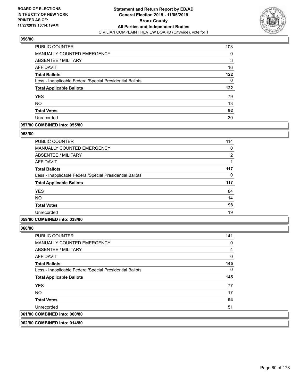

| PUBLIC COUNTER                                           | 103 |
|----------------------------------------------------------|-----|
| MANUALLY COUNTED EMERGENCY                               | 0   |
| ABSENTEE / MILITARY                                      | 3   |
| AFFIDAVIT                                                | 16  |
| <b>Total Ballots</b>                                     | 122 |
| Less - Inapplicable Federal/Special Presidential Ballots | 0   |
| <b>Total Applicable Ballots</b>                          | 122 |
| <b>YES</b>                                               | 79  |
| <b>NO</b>                                                | 13  |
| <b>Total Votes</b>                                       | 92  |
| Unrecorded                                               | 30  |

# **057/80 COMBINED into: 055/80**

### **058/80**

| <b>PUBLIC COUNTER</b>                                    | 114            |
|----------------------------------------------------------|----------------|
| <b>MANUALLY COUNTED EMERGENCY</b>                        | 0              |
| <b>ABSENTEE / MILITARY</b>                               | $\overline{2}$ |
| <b>AFFIDAVIT</b>                                         |                |
| <b>Total Ballots</b>                                     | 117            |
| Less - Inapplicable Federal/Special Presidential Ballots | 0              |
| <b>Total Applicable Ballots</b>                          | 117            |
| <b>YES</b>                                               | 84             |
| <b>NO</b>                                                | 14             |
| <b>Total Votes</b>                                       | 98             |
| Unrecorded                                               | 19             |
|                                                          |                |

# **059/80 COMBINED into: 038/80**

**060/80** 

| <b>PUBLIC COUNTER</b>                                    | 141 |
|----------------------------------------------------------|-----|
| <b>MANUALLY COUNTED EMERGENCY</b>                        | 0   |
| ABSENTEE / MILITARY                                      | 4   |
| AFFIDAVIT                                                | 0   |
| <b>Total Ballots</b>                                     | 145 |
| Less - Inapplicable Federal/Special Presidential Ballots | 0   |
| <b>Total Applicable Ballots</b>                          | 145 |
| <b>YES</b>                                               | 77  |
| NO.                                                      | 17  |
| <b>Total Votes</b>                                       | 94  |
| Unrecorded                                               | 51  |
| 061/80 COMBINED into: 060/80                             |     |
|                                                          |     |

**062/80 COMBINED into: 014/80**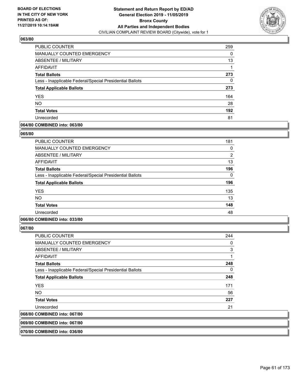

| PUBLIC COUNTER                                           | 259 |
|----------------------------------------------------------|-----|
| MANUALLY COUNTED EMERGENCY                               | 0   |
| ABSENTEE / MILITARY                                      | 13  |
| AFFIDAVIT                                                |     |
| <b>Total Ballots</b>                                     | 273 |
| Less - Inapplicable Federal/Special Presidential Ballots | 0   |
| <b>Total Applicable Ballots</b>                          | 273 |
| <b>YES</b>                                               | 164 |
| <b>NO</b>                                                | 28  |
| <b>Total Votes</b>                                       | 192 |
| Unrecorded                                               | 81  |

# **064/80 COMBINED into: 063/80**

### **065/80**

| <b>PUBLIC COUNTER</b>                                    | 181            |
|----------------------------------------------------------|----------------|
| <b>MANUALLY COUNTED EMERGENCY</b>                        | 0              |
| ABSENTEE / MILITARY                                      | $\overline{2}$ |
| <b>AFFIDAVIT</b>                                         | 13             |
| <b>Total Ballots</b>                                     | 196            |
| Less - Inapplicable Federal/Special Presidential Ballots | 0              |
| <b>Total Applicable Ballots</b>                          | 196            |
| <b>YES</b>                                               | 135            |
| <b>NO</b>                                                | 13             |
| <b>Total Votes</b>                                       | 148            |
| Unrecorded                                               | 48             |
|                                                          |                |

# **066/80 COMBINED into: 033/80**

**067/80** 

| 068/80 COMBINED into: 067/80                             |     |
|----------------------------------------------------------|-----|
| Unrecorded                                               | 21  |
| <b>Total Votes</b>                                       | 227 |
| <b>NO</b>                                                | 56  |
| <b>YES</b>                                               | 171 |
| <b>Total Applicable Ballots</b>                          | 248 |
| Less - Inapplicable Federal/Special Presidential Ballots | 0   |
| <b>Total Ballots</b>                                     | 248 |
| AFFIDAVIT                                                | 1   |
| ABSENTEE / MILITARY                                      | 3   |
| MANUALLY COUNTED EMERGENCY                               | 0   |
| <b>PUBLIC COUNTER</b>                                    | 244 |

**069/80 COMBINED into: 067/80**

**070/80 COMBINED into: 036/80**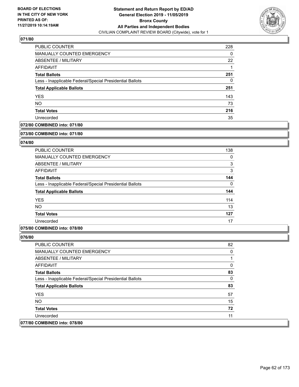

| PUBLIC COUNTER                                           | 228 |
|----------------------------------------------------------|-----|
| <b>MANUALLY COUNTED EMERGENCY</b>                        | 0   |
| ABSENTEE / MILITARY                                      | 22  |
| AFFIDAVIT                                                |     |
| <b>Total Ballots</b>                                     | 251 |
| Less - Inapplicable Federal/Special Presidential Ballots | 0   |
| <b>Total Applicable Ballots</b>                          | 251 |
| <b>YES</b>                                               | 143 |
| <b>NO</b>                                                | 73  |
| <b>Total Votes</b>                                       | 216 |
| Unrecorded                                               | 35  |

# **072/80 COMBINED into: 071/80**

#### **073/80 COMBINED into: 071/80**

# **074/80**

| <b>PUBLIC COUNTER</b>                                    | 138      |
|----------------------------------------------------------|----------|
| <b>MANUALLY COUNTED EMERGENCY</b>                        | 0        |
| ABSENTEE / MILITARY                                      | 3        |
| AFFIDAVIT                                                | 3        |
| <b>Total Ballots</b>                                     | 144      |
| Less - Inapplicable Federal/Special Presidential Ballots | $\Omega$ |
| <b>Total Applicable Ballots</b>                          | 144      |
| <b>YES</b>                                               | 114      |
| <b>NO</b>                                                | 13       |
| <b>Total Votes</b>                                       | 127      |
| Unrecorded                                               | 17       |

## **075/80 COMBINED into: 078/80**

| <b>PUBLIC COUNTER</b>                                    | 82 |
|----------------------------------------------------------|----|
| <b>MANUALLY COUNTED EMERGENCY</b>                        | 0  |
| ABSENTEE / MILITARY                                      |    |
| AFFIDAVIT                                                | 0  |
| <b>Total Ballots</b>                                     | 83 |
| Less - Inapplicable Federal/Special Presidential Ballots | 0  |
| <b>Total Applicable Ballots</b>                          | 83 |
| <b>YES</b>                                               | 57 |
| NO.                                                      | 15 |
| <b>Total Votes</b>                                       | 72 |
| Unrecorded                                               | 11 |
| 077/80 COMBINED into: 078/80                             |    |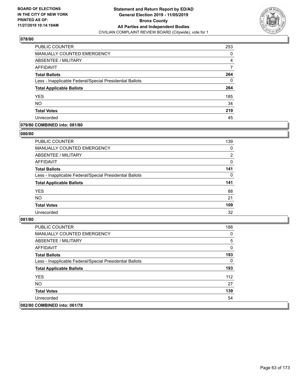

| <b>PUBLIC COUNTER</b>                                    | 253 |
|----------------------------------------------------------|-----|
| <b>MANUALLY COUNTED EMERGENCY</b>                        | 0   |
| ABSENTEE / MILITARY                                      | 4   |
| AFFIDAVIT                                                |     |
| <b>Total Ballots</b>                                     | 264 |
| Less - Inapplicable Federal/Special Presidential Ballots | 0   |
| <b>Total Applicable Ballots</b>                          | 264 |
| <b>YES</b>                                               | 185 |
| <b>NO</b>                                                | 34  |
| <b>Total Votes</b>                                       | 219 |
| Unrecorded                                               | 45  |

# **079/80 COMBINED into: 081/80**

### **080/80**

| PUBLIC COUNTER                                           | 139            |
|----------------------------------------------------------|----------------|
| <b>MANUALLY COUNTED EMERGENCY</b>                        | $\Omega$       |
| ABSENTEE / MILITARY                                      | $\overline{2}$ |
| AFFIDAVIT                                                | $\Omega$       |
| <b>Total Ballots</b>                                     | 141            |
| Less - Inapplicable Federal/Special Presidential Ballots | 0              |
| <b>Total Applicable Ballots</b>                          | 141            |
| <b>YES</b>                                               | 88             |
| <b>NO</b>                                                | 21             |
| <b>Total Votes</b>                                       | 109            |
| Unrecorded                                               | 32             |
|                                                          |                |

| <b>PUBLIC COUNTER</b>                                    | 188 |
|----------------------------------------------------------|-----|
| <b>MANUALLY COUNTED EMERGENCY</b>                        | 0   |
| <b>ABSENTEE / MILITARY</b>                               | 5   |
| AFFIDAVIT                                                | 0   |
| <b>Total Ballots</b>                                     | 193 |
| Less - Inapplicable Federal/Special Presidential Ballots | 0   |
| <b>Total Applicable Ballots</b>                          | 193 |
| <b>YES</b>                                               | 112 |
| NO.                                                      | 27  |
| <b>Total Votes</b>                                       | 139 |
| Unrecorded                                               | 54  |
| 082/80 COMBINED into: 061/78                             |     |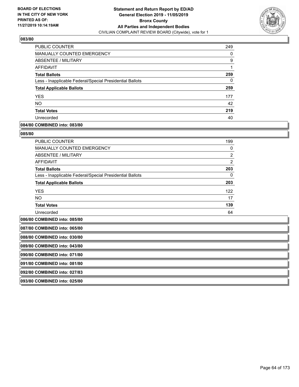

| PUBLIC COUNTER                                           | 249 |
|----------------------------------------------------------|-----|
| <b>MANUALLY COUNTED EMERGENCY</b>                        | 0   |
| ABSENTEE / MILITARY                                      | 9   |
| AFFIDAVIT                                                |     |
| <b>Total Ballots</b>                                     | 259 |
| Less - Inapplicable Federal/Special Presidential Ballots | 0   |
| <b>Total Applicable Ballots</b>                          | 259 |
| <b>YES</b>                                               | 177 |
| <b>NO</b>                                                | 42  |
| <b>Total Votes</b>                                       | 219 |
| Unrecorded                                               | 40  |

### **084/80 COMBINED into: 083/80**

### **085/80**

| <b>PUBLIC COUNTER</b>                                    | 199            |
|----------------------------------------------------------|----------------|
| <b>MANUALLY COUNTED EMERGENCY</b>                        | $\Omega$       |
| ABSENTEE / MILITARY                                      | $\overline{2}$ |
| <b>AFFIDAVIT</b>                                         | $\overline{2}$ |
| <b>Total Ballots</b>                                     | 203            |
| Less - Inapplicable Federal/Special Presidential Ballots | 0              |
| <b>Total Applicable Ballots</b>                          | 203            |
| <b>YES</b>                                               | 122            |
| <b>NO</b>                                                | 17             |
| <b>Total Votes</b>                                       | 139            |
| Unrecorded                                               | 64             |

**086/80 COMBINED into: 085/80**

| 087/80 COMBINED into: 065/80 |  |
|------------------------------|--|
| 088/80 COMBINED into: 030/80 |  |
| 089/80 COMBINED into: 043/80 |  |
| 090/80 COMBINED into: 071/80 |  |
| 091/80 COMBINED into: 081/80 |  |
| 092/80 COMBINED into: 027/83 |  |
| 093/80 COMBINED into: 025/80 |  |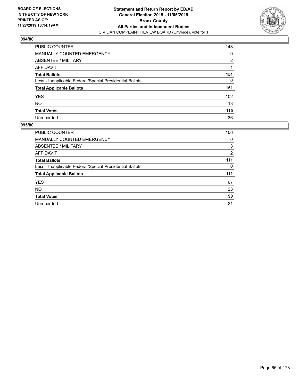

| PUBLIC COUNTER                                           | 148              |
|----------------------------------------------------------|------------------|
| <b>MANUALLY COUNTED EMERGENCY</b>                        | 0                |
| <b>ABSENTEE / MILITARY</b>                               | 2                |
| <b>AFFIDAVIT</b>                                         |                  |
| <b>Total Ballots</b>                                     | 151              |
| Less - Inapplicable Federal/Special Presidential Ballots | 0                |
| <b>Total Applicable Ballots</b>                          | 151              |
| <b>YES</b>                                               | 102 <sub>2</sub> |
| <b>NO</b>                                                | 13               |
| <b>Total Votes</b>                                       | 115              |
| Unrecorded                                               | 36               |

| <b>PUBLIC COUNTER</b>                                    | 106            |
|----------------------------------------------------------|----------------|
| <b>MANUALLY COUNTED EMERGENCY</b>                        | 0              |
| <b>ABSENTEE / MILITARY</b>                               | 3              |
| <b>AFFIDAVIT</b>                                         | $\overline{2}$ |
| <b>Total Ballots</b>                                     | 111            |
| Less - Inapplicable Federal/Special Presidential Ballots | 0              |
| <b>Total Applicable Ballots</b>                          | 111            |
| <b>YES</b>                                               | 67             |
| <b>NO</b>                                                | 23             |
| <b>Total Votes</b>                                       | 90             |
| Unrecorded                                               | 21             |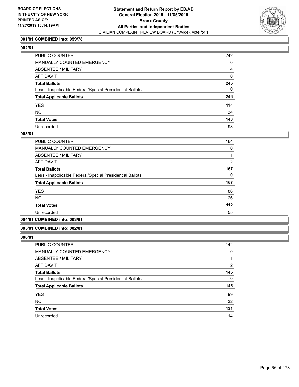

# **001/81 COMBINED into: 059/78**

# **002/81**

| PUBLIC COUNTER                                           | 242            |
|----------------------------------------------------------|----------------|
| <b>MANUALLY COUNTED EMERGENCY</b>                        | 0              |
| ABSENTEE / MILITARY                                      | $\overline{4}$ |
| AFFIDAVIT                                                | 0              |
| <b>Total Ballots</b>                                     | 246            |
| Less - Inapplicable Federal/Special Presidential Ballots | 0              |
| <b>Total Applicable Ballots</b>                          | 246            |
| <b>YES</b>                                               | 114            |
| NΟ                                                       | 34             |
| <b>Total Votes</b>                                       | 148            |
| Unrecorded                                               | 98             |

### **003/81**

| <b>PUBLIC COUNTER</b>                                    | 164            |
|----------------------------------------------------------|----------------|
| <b>MANUALLY COUNTED EMERGENCY</b>                        | 0              |
| ABSENTEE / MILITARY                                      |                |
| AFFIDAVIT                                                | $\overline{2}$ |
| <b>Total Ballots</b>                                     | 167            |
| Less - Inapplicable Federal/Special Presidential Ballots | 0              |
| <b>Total Applicable Ballots</b>                          | 167            |
| <b>YES</b>                                               | 86             |
| NO.                                                      | 26             |
| <b>Total Votes</b>                                       | 112            |
| Unrecorded                                               | 55             |
|                                                          |                |

# **004/81 COMBINED into: 003/81**

# **005/81 COMBINED into: 002/81**

| <b>PUBLIC COUNTER</b>                                    | 142 |
|----------------------------------------------------------|-----|
| <b>MANUALLY COUNTED EMERGENCY</b>                        | 0   |
| <b>ABSENTEE / MILITARY</b>                               |     |
| AFFIDAVIT                                                | 2   |
| <b>Total Ballots</b>                                     | 145 |
| Less - Inapplicable Federal/Special Presidential Ballots | 0   |
| <b>Total Applicable Ballots</b>                          | 145 |
| <b>YES</b>                                               | 99  |
| <b>NO</b>                                                | 32  |
| <b>Total Votes</b>                                       | 131 |
| Unrecorded                                               | 14  |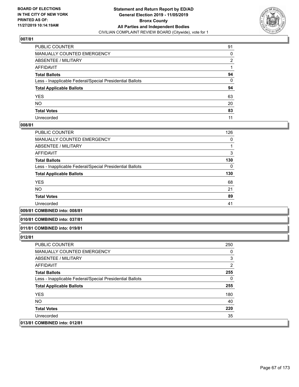

| PUBLIC COUNTER                                           | 91           |
|----------------------------------------------------------|--------------|
| MANUALLY COUNTED EMERGENCY                               | 0            |
| ABSENTEE / MILITARY                                      | 2            |
| AFFIDAVIT                                                |              |
| Total Ballots                                            | 94           |
| Less - Inapplicable Federal/Special Presidential Ballots | $\mathbf{0}$ |
| <b>Total Applicable Ballots</b>                          | 94           |
| YES                                                      | 63           |
| NO.                                                      | 20           |
| <b>Total Votes</b>                                       | 83           |
| Unrecorded                                               | 11           |

### **008/81**

| <b>PUBLIC COUNTER</b>                                    | 126 |
|----------------------------------------------------------|-----|
| <b>MANUALLY COUNTED EMERGENCY</b>                        | 0   |
| ABSENTEE / MILITARY                                      |     |
| <b>AFFIDAVIT</b>                                         | 3   |
| <b>Total Ballots</b>                                     | 130 |
| Less - Inapplicable Federal/Special Presidential Ballots | 0   |
| <b>Total Applicable Ballots</b>                          | 130 |
| <b>YES</b>                                               | 68  |
| <b>NO</b>                                                | 21  |
| <b>Total Votes</b>                                       | 89  |
| Unrecorded                                               | 41  |
|                                                          |     |

**009/81 COMBINED into: 008/81**

#### **010/81 COMBINED into: 037/81**

#### **011/81 COMBINED into: 019/81**

| <b>PUBLIC COUNTER</b>                                    | 250            |
|----------------------------------------------------------|----------------|
| <b>MANUALLY COUNTED EMERGENCY</b>                        | 0              |
| ABSENTEE / MILITARY                                      | 3              |
| AFFIDAVIT                                                | $\overline{2}$ |
| <b>Total Ballots</b>                                     | 255            |
| Less - Inapplicable Federal/Special Presidential Ballots | 0              |
| <b>Total Applicable Ballots</b>                          | 255            |
| <b>YES</b>                                               | 180            |
| NO.                                                      | 40             |
| <b>Total Votes</b>                                       | 220            |
| Unrecorded                                               | 35             |
| 013/81 COMBINED into: 012/81                             |                |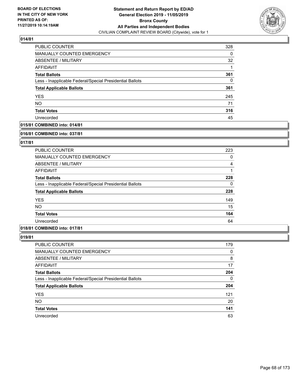

| PUBLIC COUNTER                                           | 328      |
|----------------------------------------------------------|----------|
| MANUALLY COUNTED EMERGENCY                               | $\Omega$ |
| ABSENTEE / MILITARY                                      | 32       |
| AFFIDAVIT                                                |          |
| <b>Total Ballots</b>                                     | 361      |
| Less - Inapplicable Federal/Special Presidential Ballots | 0        |
| <b>Total Applicable Ballots</b>                          | 361      |
| <b>YES</b>                                               | 245      |
| <b>NO</b>                                                | 71       |
| <b>Total Votes</b>                                       | 316      |
| Unrecorded                                               | 45       |

# **015/81 COMBINED into: 014/81**

#### **016/81 COMBINED into: 037/81**

# **017/81**

| <b>PUBLIC COUNTER</b>                                    | 223      |
|----------------------------------------------------------|----------|
| <b>MANUALLY COUNTED EMERGENCY</b>                        | 0        |
| ABSENTEE / MILITARY                                      | 4        |
| AFFIDAVIT                                                |          |
| <b>Total Ballots</b>                                     | 228      |
| Less - Inapplicable Federal/Special Presidential Ballots | $\Omega$ |
| <b>Total Applicable Ballots</b>                          | 228      |
| <b>YES</b>                                               | 149      |
| <b>NO</b>                                                | 15       |
| <b>Total Votes</b>                                       | 164      |
| Unrecorded                                               | 64       |

# **018/81 COMBINED into: 017/81**

| <b>PUBLIC COUNTER</b>                                    | 179 |
|----------------------------------------------------------|-----|
| MANUALLY COUNTED EMERGENCY                               | 0   |
| <b>ABSENTEE / MILITARY</b>                               | 8   |
| AFFIDAVIT                                                | 17  |
| <b>Total Ballots</b>                                     | 204 |
| Less - Inapplicable Federal/Special Presidential Ballots | 0   |
| <b>Total Applicable Ballots</b>                          | 204 |
| <b>YES</b>                                               | 121 |
| <b>NO</b>                                                | 20  |
| <b>Total Votes</b>                                       | 141 |
| Unrecorded                                               | 63  |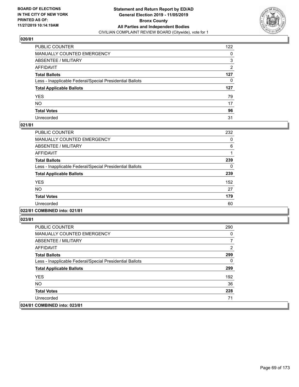

| PUBLIC COUNTER                                           | 122            |
|----------------------------------------------------------|----------------|
| MANUALLY COUNTED EMERGENCY                               | 0              |
| ABSENTEE / MILITARY                                      | 3              |
| AFFIDAVIT                                                | $\overline{2}$ |
| Total Ballots                                            | 127            |
| Less - Inapplicable Federal/Special Presidential Ballots | 0              |
| <b>Total Applicable Ballots</b>                          | 127            |
| YES                                                      | 79             |
| NO.                                                      | 17             |
| <b>Total Votes</b>                                       | 96             |
| Unrecorded                                               | 31             |

## **021/81**

| PUBLIC COUNTER                                           | 232      |
|----------------------------------------------------------|----------|
| <b>MANUALLY COUNTED EMERGENCY</b>                        | 0        |
| ABSENTEE / MILITARY                                      | 6        |
| <b>AFFIDAVIT</b>                                         |          |
| <b>Total Ballots</b>                                     | 239      |
| Less - Inapplicable Federal/Special Presidential Ballots | $\Omega$ |
| <b>Total Applicable Ballots</b>                          | 239      |
| <b>YES</b>                                               | 152      |
| <b>NO</b>                                                | 27       |
| <b>Total Votes</b>                                       | 179      |
| Unrecorded                                               | 60       |
|                                                          |          |

## **022/81 COMBINED into: 021/81**

| <b>PUBLIC COUNTER</b>                                    | 290 |
|----------------------------------------------------------|-----|
| <b>MANUALLY COUNTED EMERGENCY</b>                        | 0   |
| ABSENTEE / MILITARY                                      |     |
| AFFIDAVIT                                                | 2   |
| <b>Total Ballots</b>                                     | 299 |
| Less - Inapplicable Federal/Special Presidential Ballots | 0   |
| <b>Total Applicable Ballots</b>                          | 299 |
| <b>YES</b>                                               | 192 |
| NO.                                                      | 36  |
| <b>Total Votes</b>                                       | 228 |
| Unrecorded                                               | 71  |
| 024/81 COMBINED into: 023/81                             |     |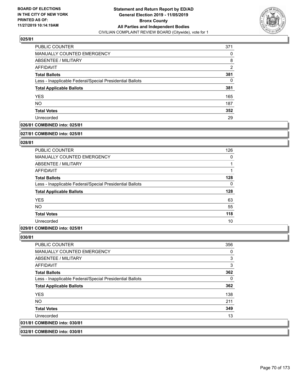

| PUBLIC COUNTER                                           | 371            |
|----------------------------------------------------------|----------------|
| MANUALLY COUNTED EMERGENCY                               | 0              |
| ABSENTEE / MILITARY                                      | 8              |
| AFFIDAVIT                                                | $\overline{2}$ |
| <b>Total Ballots</b>                                     | 381            |
| Less - Inapplicable Federal/Special Presidential Ballots | 0              |
| <b>Total Applicable Ballots</b>                          | 381            |
| <b>YES</b>                                               | 165            |
| <b>NO</b>                                                | 187            |
| <b>Total Votes</b>                                       | 352            |
| Unrecorded                                               | 29             |

# **026/81 COMBINED into: 025/81**

#### **027/81 COMBINED into: 025/81**

# **028/81**

| <b>PUBLIC COUNTER</b>                                    | 126 |
|----------------------------------------------------------|-----|
| <b>MANUALLY COUNTED EMERGENCY</b>                        | 0   |
| ABSENTEE / MILITARY                                      |     |
| AFFIDAVIT                                                |     |
| <b>Total Ballots</b>                                     | 128 |
| Less - Inapplicable Federal/Special Presidential Ballots | 0   |
| <b>Total Applicable Ballots</b>                          | 128 |
| <b>YES</b>                                               | 63  |
| <b>NO</b>                                                | 55  |
| <b>Total Votes</b>                                       | 118 |
| Unrecorded                                               | 10  |

## **029/81 COMBINED into: 025/81**

### **030/81**

| 031/81 COMBINED into: 030/81                             |     |
|----------------------------------------------------------|-----|
| Unrecorded                                               | 13  |
| <b>Total Votes</b>                                       | 349 |
| NO.                                                      | 211 |
| <b>YES</b>                                               | 138 |
| <b>Total Applicable Ballots</b>                          | 362 |
| Less - Inapplicable Federal/Special Presidential Ballots | 0   |
| <b>Total Ballots</b>                                     | 362 |
| AFFIDAVIT                                                | 3   |
| ABSENTEE / MILITARY                                      | 3   |
| <b>MANUALLY COUNTED EMERGENCY</b>                        | 0   |
| <b>PUBLIC COUNTER</b>                                    | 356 |

# **032/81 COMBINED into: 030/81**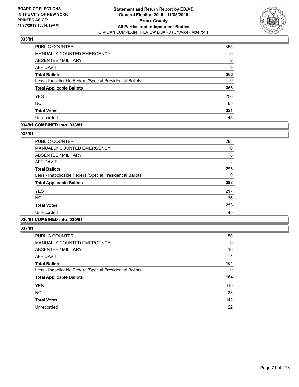

| PUBLIC COUNTER                                           | 355 |
|----------------------------------------------------------|-----|
| MANUALLY COUNTED EMERGENCY                               | 0   |
| <b>ABSENTEE / MILITARY</b>                               | 2   |
| AFFIDAVIT                                                | 9   |
| <b>Total Ballots</b>                                     | 366 |
| Less - Inapplicable Federal/Special Presidential Ballots | 0   |
| <b>Total Applicable Ballots</b>                          | 366 |
| <b>YES</b>                                               | 256 |
| <b>NO</b>                                                | 65  |
| <b>Total Votes</b>                                       | 321 |
| Unrecorded                                               | 45  |

## **034/81 COMBINED into: 033/81**

### **035/81**

| <b>PUBLIC COUNTER</b>                                    | 288            |
|----------------------------------------------------------|----------------|
| <b>MANUALLY COUNTED EMERGENCY</b>                        | 0              |
| ABSENTEE / MILITARY                                      | 8              |
| AFFIDAVIT                                                | $\overline{2}$ |
| <b>Total Ballots</b>                                     | 298            |
| Less - Inapplicable Federal/Special Presidential Ballots | 0              |
| <b>Total Applicable Ballots</b>                          | 298            |
| <b>YES</b>                                               | 217            |
| <b>NO</b>                                                | 36             |
| <b>Total Votes</b>                                       | 253            |
| Unrecorded                                               | 45             |
|                                                          |                |

# **036/81 COMBINED into: 035/81**

| <b>PUBLIC COUNTER</b>                                    | 150 |
|----------------------------------------------------------|-----|
| MANUALLY COUNTED EMERGENCY                               | 0   |
| ABSENTEE / MILITARY                                      | 10  |
| AFFIDAVIT                                                | 4   |
| <b>Total Ballots</b>                                     | 164 |
| Less - Inapplicable Federal/Special Presidential Ballots | 0   |
| <b>Total Applicable Ballots</b>                          | 164 |
| <b>YES</b>                                               | 119 |
| <b>NO</b>                                                | 23  |
| <b>Total Votes</b>                                       | 142 |
| Unrecorded                                               | 22  |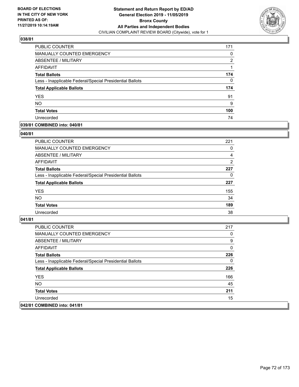

| <b>PUBLIC COUNTER</b>                                    | 171 |
|----------------------------------------------------------|-----|
| MANUALLY COUNTED EMERGENCY                               | 0   |
| ABSENTEE / MILITARY                                      | 2   |
| AFFIDAVIT                                                |     |
| <b>Total Ballots</b>                                     | 174 |
| Less - Inapplicable Federal/Special Presidential Ballots | 0   |
| <b>Total Applicable Ballots</b>                          | 174 |
| <b>YES</b>                                               | 91  |
| <b>NO</b>                                                | 9   |
| <b>Total Votes</b>                                       | 100 |
| Unrecorded                                               | 74  |

# **039/81 COMBINED into: 040/81**

### **040/81**

| PUBLIC COUNTER                                           | 221            |
|----------------------------------------------------------|----------------|
| <b>MANUALLY COUNTED EMERGENCY</b>                        | $\Omega$       |
| ABSENTEE / MILITARY                                      | 4              |
| AFFIDAVIT                                                | $\overline{2}$ |
| <b>Total Ballots</b>                                     | 227            |
| Less - Inapplicable Federal/Special Presidential Ballots | 0              |
| <b>Total Applicable Ballots</b>                          | 227            |
| <b>YES</b>                                               | 155            |
| <b>NO</b>                                                | 34             |
| <b>Total Votes</b>                                       | 189            |
| Unrecorded                                               | 38             |
|                                                          |                |

| PUBLIC COUNTER                                           | 217 |
|----------------------------------------------------------|-----|
| MANUALLY COUNTED EMERGENCY                               | 0   |
| ABSENTEE / MILITARY                                      | 9   |
| AFFIDAVIT                                                | 0   |
| <b>Total Ballots</b>                                     | 226 |
| Less - Inapplicable Federal/Special Presidential Ballots | 0   |
| <b>Total Applicable Ballots</b>                          | 226 |
| <b>YES</b>                                               | 166 |
| NO.                                                      | 45  |
| <b>Total Votes</b>                                       | 211 |
| Unrecorded                                               | 15  |
| 042/81 COMBINED into: 041/81                             |     |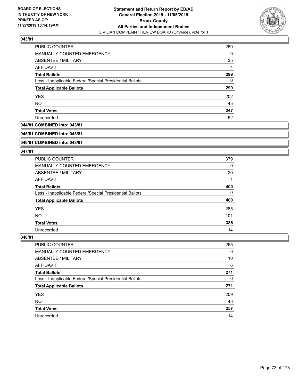

| PUBLIC COUNTER                                           | 260 |
|----------------------------------------------------------|-----|
| MANUALLY COUNTED EMERGENCY                               | 0   |
| ABSENTEE / MILITARY                                      | 35  |
| AFFIDAVIT                                                | 4   |
| <b>Total Ballots</b>                                     | 299 |
| Less - Inapplicable Federal/Special Presidential Ballots | 0   |
| <b>Total Applicable Ballots</b>                          | 299 |
| <b>YES</b>                                               | 202 |
| <b>NO</b>                                                | 45  |
| <b>Total Votes</b>                                       | 247 |
| Unrecorded                                               | 52  |

## **044/81 COMBINED into: 043/81**

#### **045/81 COMBINED into: 043/81**

## **046/81 COMBINED into: 043/81**

#### **047/81**

| <b>PUBLIC COUNTER</b>                                    | 379 |
|----------------------------------------------------------|-----|
| MANUALLY COUNTED EMERGENCY                               | 0   |
| ABSENTEE / MILITARY                                      | 20  |
| AFFIDAVIT                                                |     |
| <b>Total Ballots</b>                                     | 400 |
| Less - Inapplicable Federal/Special Presidential Ballots | 0   |
| <b>Total Applicable Ballots</b>                          | 400 |
| <b>YES</b>                                               | 285 |
| <b>NO</b>                                                | 101 |
| <b>Total Votes</b>                                       | 386 |
| Unrecorded                                               | 14  |

| <b>PUBLIC COUNTER</b>                                    | 255      |
|----------------------------------------------------------|----------|
| MANUALLY COUNTED EMERGENCY                               | $\Omega$ |
| ABSENTEE / MILITARY                                      | 10       |
| AFFIDAVIT                                                | 6        |
| <b>Total Ballots</b>                                     | 271      |
| Less - Inapplicable Federal/Special Presidential Ballots | 0        |
| <b>Total Applicable Ballots</b>                          | 271      |
| <b>YES</b>                                               | 209      |
| <b>NO</b>                                                | 48       |
| <b>Total Votes</b>                                       | 257      |
| Unrecorded                                               | 14       |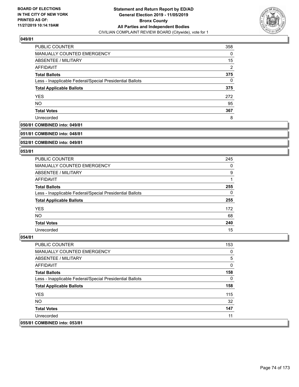

| <b>PUBLIC COUNTER</b>                                    | 358            |
|----------------------------------------------------------|----------------|
| MANUALLY COUNTED EMERGENCY                               | 0              |
| ABSENTEE / MILITARY                                      | 15             |
| AFFIDAVIT                                                | $\overline{2}$ |
| <b>Total Ballots</b>                                     | 375            |
| Less - Inapplicable Federal/Special Presidential Ballots | 0              |
| <b>Total Applicable Ballots</b>                          | 375            |
| <b>YES</b>                                               | 272            |
| <b>NO</b>                                                | 95             |
| <b>Total Votes</b>                                       | 367            |
| Unrecorded                                               | 8              |

## **050/81 COMBINED into: 049/81**

#### **051/81 COMBINED into: 048/81**

## **052/81 COMBINED into: 049/81**

#### **053/81**

| <b>PUBLIC COUNTER</b>                                    | 245 |
|----------------------------------------------------------|-----|
| MANUALLY COUNTED EMERGENCY                               | 0   |
| ABSENTEE / MILITARY                                      | 9   |
| AFFIDAVIT                                                |     |
| <b>Total Ballots</b>                                     | 255 |
| Less - Inapplicable Federal/Special Presidential Ballots | 0   |
| <b>Total Applicable Ballots</b>                          | 255 |
| <b>YES</b>                                               | 172 |
| <b>NO</b>                                                | 68  |
| <b>Total Votes</b>                                       | 240 |
| Unrecorded                                               | 15  |

| <b>PUBLIC COUNTER</b>                                    | 153 |
|----------------------------------------------------------|-----|
| <b>MANUALLY COUNTED EMERGENCY</b>                        | 0   |
| ABSENTEE / MILITARY                                      | 5   |
| AFFIDAVIT                                                | 0   |
| <b>Total Ballots</b>                                     | 158 |
| Less - Inapplicable Federal/Special Presidential Ballots | 0   |
| <b>Total Applicable Ballots</b>                          | 158 |
| <b>YES</b>                                               | 115 |
| NO.                                                      | 32  |
| <b>Total Votes</b>                                       | 147 |
| Unrecorded                                               | 11  |
| 055/81 COMBINED into: 053/81                             |     |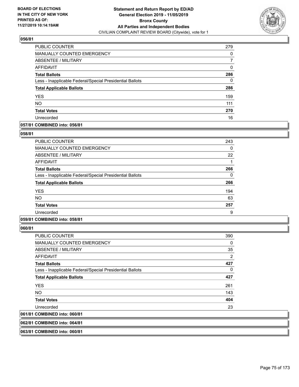

| PUBLIC COUNTER                                           | 279      |
|----------------------------------------------------------|----------|
| MANUALLY COUNTED EMERGENCY                               | 0        |
| ABSENTEE / MILITARY                                      |          |
| AFFIDAVIT                                                | $\Omega$ |
| <b>Total Ballots</b>                                     | 286      |
| Less - Inapplicable Federal/Special Presidential Ballots | 0        |
| <b>Total Applicable Ballots</b>                          | 286      |
| <b>YES</b>                                               | 159      |
| <b>NO</b>                                                | 111      |
| <b>Total Votes</b>                                       | 270      |
| Unrecorded                                               | 16       |

## **057/81 COMBINED into: 056/81**

#### **058/81**

| <b>PUBLIC COUNTER</b>                                    | 243 |
|----------------------------------------------------------|-----|
| <b>MANUALLY COUNTED EMERGENCY</b>                        | 0   |
| ABSENTEE / MILITARY                                      | 22  |
| AFFIDAVIT                                                |     |
| <b>Total Ballots</b>                                     | 266 |
| Less - Inapplicable Federal/Special Presidential Ballots | 0   |
| <b>Total Applicable Ballots</b>                          | 266 |
| <b>YES</b>                                               | 194 |
| <b>NO</b>                                                | 63  |
| <b>Total Votes</b>                                       | 257 |
| Unrecorded                                               | 9   |

# **059/81 COMBINED into: 058/81**

**060/81** 

| <b>PUBLIC COUNTER</b>                                    | 390 |
|----------------------------------------------------------|-----|
| <b>MANUALLY COUNTED EMERGENCY</b>                        | 0   |
| ABSENTEE / MILITARY                                      | 35  |
| AFFIDAVIT                                                | 2   |
| <b>Total Ballots</b>                                     | 427 |
| Less - Inapplicable Federal/Special Presidential Ballots | 0   |
| <b>Total Applicable Ballots</b>                          | 427 |
| <b>YES</b>                                               | 261 |
| NO.                                                      | 143 |
| <b>Total Votes</b>                                       | 404 |
| Unrecorded                                               | 23  |
| 061/81 COMBINED into: 060/81                             |     |
|                                                          |     |

**062/81 COMBINED into: 064/81**

**063/81 COMBINED into: 060/81**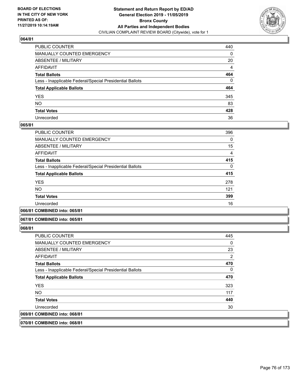

| PUBLIC COUNTER                                           | 440            |
|----------------------------------------------------------|----------------|
| MANUALLY COUNTED EMERGENCY                               | 0              |
| ABSENTEE / MILITARY                                      | 20             |
| AFFIDAVIT                                                | $\overline{4}$ |
| Total Ballots                                            | 464            |
| Less - Inapplicable Federal/Special Presidential Ballots | 0              |
| <b>Total Applicable Ballots</b>                          | 464            |
| YES                                                      | 345            |
| NO.                                                      | 83             |
| <b>Total Votes</b>                                       | 428            |
| Unrecorded                                               | 36             |

#### **065/81**

| <b>PUBLIC COUNTER</b>                                    | 396      |
|----------------------------------------------------------|----------|
| MANUALLY COUNTED EMERGENCY                               | $\Omega$ |
| ABSENTEE / MILITARY                                      | 15       |
| AFFIDAVIT                                                | 4        |
| <b>Total Ballots</b>                                     | 415      |
| Less - Inapplicable Federal/Special Presidential Ballots | $\Omega$ |
| <b>Total Applicable Ballots</b>                          | 415      |
| <b>YES</b>                                               | 278      |
| <b>NO</b>                                                | 121      |
| <b>Total Votes</b>                                       | 399      |
| Unrecorded                                               | 16       |
|                                                          |          |

**066/81 COMBINED into: 065/81**

#### **067/81 COMBINED into: 065/81**

**068/81** 

**070/81 COMBINED into: 068/81**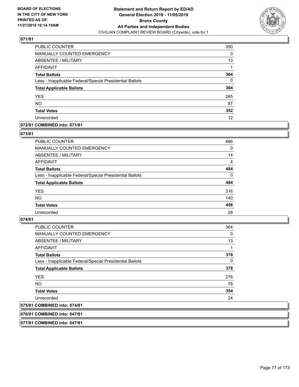

| PUBLIC COUNTER                                           | 350 |
|----------------------------------------------------------|-----|
| <b>MANUALLY COUNTED EMERGENCY</b>                        | 0   |
| ABSENTEE / MILITARY                                      | 13  |
| <b>AFFIDAVIT</b>                                         |     |
| <b>Total Ballots</b>                                     | 364 |
| Less - Inapplicable Federal/Special Presidential Ballots | 0   |
| <b>Total Applicable Ballots</b>                          | 364 |
| <b>YES</b>                                               | 265 |
| <b>NO</b>                                                | 87  |
| <b>Total Votes</b>                                       | 352 |
| Unrecorded                                               | 12  |

## **072/81 COMBINED into: 071/81**

#### **073/81**

| <b>PUBLIC COUNTER</b>                                    | 466            |
|----------------------------------------------------------|----------------|
| <b>MANUALLY COUNTED EMERGENCY</b>                        | $\Omega$       |
| ABSENTEE / MILITARY                                      | 14             |
| AFFIDAVIT                                                | $\overline{4}$ |
| <b>Total Ballots</b>                                     | 484            |
| Less - Inapplicable Federal/Special Presidential Ballots | $\Omega$       |
| <b>Total Applicable Ballots</b>                          | 484            |
| <b>YES</b>                                               | 316            |
| <b>NO</b>                                                | 140            |
| <b>Total Votes</b>                                       | 456            |
| Unrecorded                                               | 28             |
|                                                          |                |

## **074/81**

| <b>PUBLIC COUNTER</b>                                    | 364      |
|----------------------------------------------------------|----------|
| <b>MANUALLY COUNTED EMERGENCY</b>                        | 0        |
| ABSENTEE / MILITARY                                      | 13       |
| AFFIDAVIT                                                | 1        |
| <b>Total Ballots</b>                                     | 378      |
| Less - Inapplicable Federal/Special Presidential Ballots | $\Omega$ |
| <b>Total Applicable Ballots</b>                          | 378      |
| <b>YES</b>                                               | 276      |
| <b>NO</b>                                                | 78       |
| <b>Total Votes</b>                                       | 354      |
| Unrecorded                                               | 24       |
| 075/81 COMBINED into: 074/81                             |          |

## **076/81 COMBINED into: 047/81**

**077/81 COMBINED into: 047/81**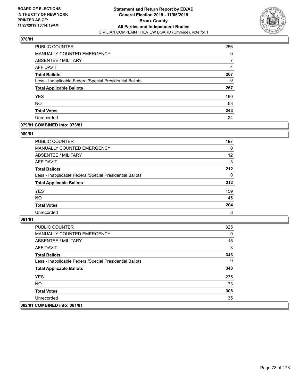

| <b>PUBLIC COUNTER</b>                                    | 256 |
|----------------------------------------------------------|-----|
| <b>MANUALLY COUNTED EMERGENCY</b>                        | 0   |
| <b>ABSENTEE / MILITARY</b>                               |     |
| AFFIDAVIT                                                | 4   |
| <b>Total Ballots</b>                                     | 267 |
| Less - Inapplicable Federal/Special Presidential Ballots | 0   |
| <b>Total Applicable Ballots</b>                          | 267 |
| <b>YES</b>                                               | 190 |
| <b>NO</b>                                                | 53  |
| <b>Total Votes</b>                                       | 243 |
| Unrecorded                                               | 24  |

## **079/81 COMBINED into: 073/81**

#### **080/81**

| PUBLIC COUNTER                                           | 197      |
|----------------------------------------------------------|----------|
| <b>MANUALLY COUNTED EMERGENCY</b>                        | $\Omega$ |
| ABSENTEE / MILITARY                                      | 12       |
| AFFIDAVIT                                                | 3        |
| <b>Total Ballots</b>                                     | 212      |
| Less - Inapplicable Federal/Special Presidential Ballots | $\Omega$ |
| <b>Total Applicable Ballots</b>                          | 212      |
| <b>YES</b>                                               | 159      |
| <b>NO</b>                                                | 45       |
| <b>Total Votes</b>                                       | 204      |
| Unrecorded                                               | 8        |

| <b>PUBLIC COUNTER</b>                                    | 325 |
|----------------------------------------------------------|-----|
| <b>MANUALLY COUNTED EMERGENCY</b>                        | 0   |
| ABSENTEE / MILITARY                                      | 15  |
| AFFIDAVIT                                                | 3   |
| <b>Total Ballots</b>                                     | 343 |
| Less - Inapplicable Federal/Special Presidential Ballots | 0   |
| <b>Total Applicable Ballots</b>                          | 343 |
| <b>YES</b>                                               | 235 |
| NO.                                                      | 73  |
| <b>Total Votes</b>                                       | 308 |
| Unrecorded                                               | 35  |
| 082/81 COMBINED into: 081/81                             |     |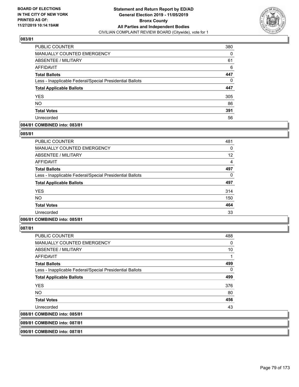

| PUBLIC COUNTER                                           | 380 |
|----------------------------------------------------------|-----|
| MANUALLY COUNTED EMERGENCY                               | 0   |
| ABSENTEE / MILITARY                                      | 61  |
| AFFIDAVIT                                                | 6   |
| <b>Total Ballots</b>                                     | 447 |
| Less - Inapplicable Federal/Special Presidential Ballots | 0   |
| <b>Total Applicable Ballots</b>                          | 447 |
| <b>YES</b>                                               | 305 |
| <b>NO</b>                                                | 86  |
| <b>Total Votes</b>                                       | 391 |
| Unrecorded                                               | 56  |

## **084/81 COMBINED into: 083/81**

#### **085/81**

| <b>PUBLIC COUNTER</b>                                    | 481      |
|----------------------------------------------------------|----------|
| <b>MANUALLY COUNTED EMERGENCY</b>                        | $\Omega$ |
| <b>ABSENTEE / MILITARY</b>                               | 12       |
| AFFIDAVIT                                                | 4        |
| <b>Total Ballots</b>                                     | 497      |
| Less - Inapplicable Federal/Special Presidential Ballots | 0        |
| <b>Total Applicable Ballots</b>                          | 497      |
| <b>YES</b>                                               | 314      |
| <b>NO</b>                                                | 150      |
| <b>Total Votes</b>                                       | 464      |
| Unrecorded                                               | 33       |
|                                                          |          |

# **086/81 COMBINED into: 085/81**

**087/81** 

| <b>PUBLIC COUNTER</b>                                    | 488 |
|----------------------------------------------------------|-----|
| <b>MANUALLY COUNTED EMERGENCY</b>                        | 0   |
| ABSENTEE / MILITARY                                      | 10  |
| AFFIDAVIT                                                | 1   |
| <b>Total Ballots</b>                                     | 499 |
| Less - Inapplicable Federal/Special Presidential Ballots | 0   |
| <b>Total Applicable Ballots</b>                          | 499 |
| <b>YES</b>                                               | 376 |
| <b>NO</b>                                                | 80  |
| <b>Total Votes</b>                                       | 456 |
| Unrecorded                                               | 43  |
| 088/81 COMBINED into: 085/81                             |     |
|                                                          |     |

**089/81 COMBINED into: 087/81**

**090/81 COMBINED into: 087/81**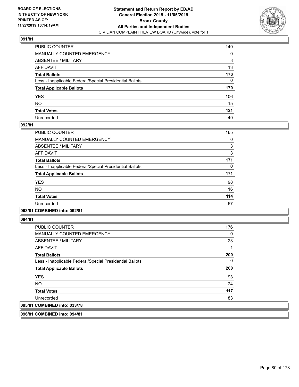

| PUBLIC COUNTER                                           | 149 |
|----------------------------------------------------------|-----|
| MANUALLY COUNTED EMERGENCY                               | 0   |
| ABSENTEE / MILITARY                                      | 8   |
| AFFIDAVIT                                                | 13  |
| Total Ballots                                            | 170 |
| Less - Inapplicable Federal/Special Presidential Ballots | 0   |
| <b>Total Applicable Ballots</b>                          | 170 |
| YES                                                      | 106 |
| NO.                                                      | 15  |
| <b>Total Votes</b>                                       | 121 |
| Unrecorded                                               | 49  |

#### **092/81**

| PUBLIC COUNTER                                           | 165 |
|----------------------------------------------------------|-----|
| <b>MANUALLY COUNTED EMERGENCY</b>                        | 0   |
| ABSENTEE / MILITARY                                      | 3   |
| <b>AFFIDAVIT</b>                                         | 3   |
| <b>Total Ballots</b>                                     | 171 |
| Less - Inapplicable Federal/Special Presidential Ballots | 0   |
| <b>Total Applicable Ballots</b>                          | 171 |
| <b>YES</b>                                               | 98  |
| NO.                                                      | 16  |
| <b>Total Votes</b>                                       | 114 |
| Unrecorded                                               | 57  |
|                                                          |     |

#### **093/81 COMBINED into: 092/81**

**094/81** 

| <b>PUBLIC COUNTER</b>                                    | 176 |
|----------------------------------------------------------|-----|
| MANUALLY COUNTED EMERGENCY                               | 0   |
| ABSENTEE / MILITARY                                      | 23  |
| AFFIDAVIT                                                |     |
| <b>Total Ballots</b>                                     | 200 |
| Less - Inapplicable Federal/Special Presidential Ballots | 0   |
| <b>Total Applicable Ballots</b>                          | 200 |
| <b>YES</b>                                               | 93  |
| <b>NO</b>                                                | 24  |
| <b>Total Votes</b>                                       | 117 |
| Unrecorded                                               | 83  |
| 095/81 COMBINED into: 033/78                             |     |

**096/81 COMBINED into: 094/81**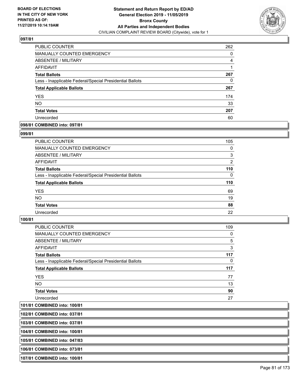

| <b>PUBLIC COUNTER</b>                                    | 262 |
|----------------------------------------------------------|-----|
| MANUALLY COUNTED EMERGENCY                               | 0   |
| <b>ABSENTEE / MILITARY</b>                               | 4   |
| AFFIDAVIT                                                |     |
| <b>Total Ballots</b>                                     | 267 |
| Less - Inapplicable Federal/Special Presidential Ballots | 0   |
| <b>Total Applicable Ballots</b>                          | 267 |
| <b>YES</b>                                               | 174 |
| <b>NO</b>                                                | 33  |
| <b>Total Votes</b>                                       | 207 |
| Unrecorded                                               | 60  |

## **098/81 COMBINED into: 097/81**

#### **099/81**

| <b>PUBLIC COUNTER</b>                                    | 105      |
|----------------------------------------------------------|----------|
| MANUALLY COUNTED EMERGENCY                               | $\Omega$ |
| ABSENTEE / MILITARY                                      | 3        |
| AFFIDAVIT                                                | 2        |
| <b>Total Ballots</b>                                     | 110      |
| Less - Inapplicable Federal/Special Presidential Ballots | $\Omega$ |
| <b>Total Applicable Ballots</b>                          | 110      |
| <b>YES</b>                                               | 69       |
| <b>NO</b>                                                | 19       |
| <b>Total Votes</b>                                       | 88       |
| Unrecorded                                               | 22       |
|                                                          |          |

### **100/81**

| <b>PUBLIC COUNTER</b>                                    | 109 |
|----------------------------------------------------------|-----|
| <b>MANUALLY COUNTED EMERGENCY</b>                        | 0   |
| ABSENTEE / MILITARY                                      | 5   |
| AFFIDAVIT                                                | 3   |
| <b>Total Ballots</b>                                     | 117 |
| Less - Inapplicable Federal/Special Presidential Ballots | 0   |
| <b>Total Applicable Ballots</b>                          | 117 |
| <b>YES</b>                                               | 77  |
| <b>NO</b>                                                | 13  |
| <b>Total Votes</b>                                       | 90  |
| Unrecorded                                               | 27  |

**101/81 COMBINED into: 100/81**

**102/81 COMBINED into: 037/81**

**103/81 COMBINED into: 037/81**

**104/81 COMBINED into: 100/81**

**105/81 COMBINED into: 047/83**

**106/81 COMBINED into: 073/81**

**107/81 COMBINED into: 100/81**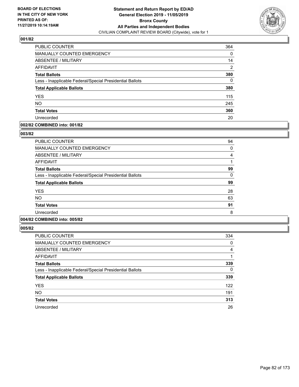

| <b>PUBLIC COUNTER</b>                                    | 364 |
|----------------------------------------------------------|-----|
| MANUALLY COUNTED EMERGENCY                               | 0   |
| ABSENTEE / MILITARY                                      | 14  |
| <b>AFFIDAVIT</b>                                         | 2   |
| <b>Total Ballots</b>                                     | 380 |
| Less - Inapplicable Federal/Special Presidential Ballots | 0   |
| <b>Total Applicable Ballots</b>                          | 380 |
| <b>YES</b>                                               | 115 |
| <b>NO</b>                                                | 245 |
| <b>Total Votes</b>                                       | 360 |
| Unrecorded                                               | 20  |

#### **002/82 COMBINED into: 001/82**

#### **003/82**

| <b>PUBLIC COUNTER</b>                                    | 94       |
|----------------------------------------------------------|----------|
| <b>MANUALLY COUNTED EMERGENCY</b>                        | 0        |
| ABSENTEE / MILITARY                                      | 4        |
| AFFIDAVIT                                                |          |
| <b>Total Ballots</b>                                     | 99       |
| Less - Inapplicable Federal/Special Presidential Ballots | $\Omega$ |
| <b>Total Applicable Ballots</b>                          | 99       |
| <b>YES</b>                                               | 28       |
| <b>NO</b>                                                | 63       |
| <b>Total Votes</b>                                       | 91       |
| Unrecorded                                               | 8        |
|                                                          |          |

# **004/82 COMBINED into: 005/82**

| <b>PUBLIC COUNTER</b>                                    | 334      |
|----------------------------------------------------------|----------|
| <b>MANUALLY COUNTED EMERGENCY</b>                        | 0        |
| ABSENTEE / MILITARY                                      | 4        |
| AFFIDAVIT                                                |          |
| <b>Total Ballots</b>                                     | 339      |
| Less - Inapplicable Federal/Special Presidential Ballots | $\Omega$ |
| <b>Total Applicable Ballots</b>                          | 339      |
| <b>YES</b>                                               | 122      |
| <b>NO</b>                                                | 191      |
| <b>Total Votes</b>                                       | 313      |
| Unrecorded                                               | 26       |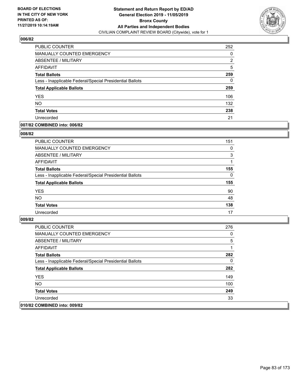

| <b>PUBLIC COUNTER</b>                                    | 252 |
|----------------------------------------------------------|-----|
| <b>MANUALLY COUNTED EMERGENCY</b>                        | 0   |
| ABSENTEE / MILITARY                                      | 2   |
| <b>AFFIDAVIT</b>                                         | 5   |
| <b>Total Ballots</b>                                     | 259 |
| Less - Inapplicable Federal/Special Presidential Ballots | 0   |
| <b>Total Applicable Ballots</b>                          | 259 |
| <b>YES</b>                                               | 106 |
| <b>NO</b>                                                | 132 |
| <b>Total Votes</b>                                       | 238 |
| Unrecorded                                               | 21  |

## **007/82 COMBINED into: 006/82**

#### **008/82**

| <b>PUBLIC COUNTER</b>                                    | 151      |
|----------------------------------------------------------|----------|
| <b>MANUALLY COUNTED EMERGENCY</b>                        | 0        |
| ABSENTEE / MILITARY                                      | 3        |
| AFFIDAVIT                                                |          |
| <b>Total Ballots</b>                                     | 155      |
| Less - Inapplicable Federal/Special Presidential Ballots | $\Omega$ |
| <b>Total Applicable Ballots</b>                          | 155      |
| <b>YES</b>                                               | 90       |
| <b>NO</b>                                                | 48       |
| <b>Total Votes</b>                                       | 138      |
| Unrecorded                                               | 17       |
|                                                          |          |

| PUBLIC COUNTER                                           | 276 |
|----------------------------------------------------------|-----|
| MANUALLY COUNTED EMERGENCY                               | 0   |
| ABSENTEE / MILITARY                                      | 5   |
| AFFIDAVIT                                                |     |
| <b>Total Ballots</b>                                     | 282 |
| Less - Inapplicable Federal/Special Presidential Ballots | 0   |
| <b>Total Applicable Ballots</b>                          | 282 |
| <b>YES</b>                                               | 149 |
| NO.                                                      | 100 |
| <b>Total Votes</b>                                       | 249 |
| Unrecorded                                               | 33  |
| 010/82 COMBINED into: 009/82                             |     |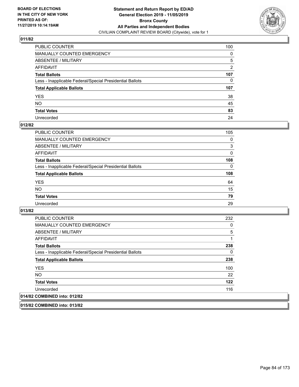

| PUBLIC COUNTER                                           | 100            |
|----------------------------------------------------------|----------------|
| MANUALLY COUNTED EMERGENCY                               | 0              |
| ABSENTEE / MILITARY                                      | 5              |
| AFFIDAVIT                                                | $\overline{2}$ |
| Total Ballots                                            | 107            |
| Less - Inapplicable Federal/Special Presidential Ballots | $\mathbf{0}$   |
| <b>Total Applicable Ballots</b>                          | 107            |
| YES                                                      | 38             |
| NO.                                                      | 45             |
| <b>Total Votes</b>                                       | 83             |
| Unrecorded                                               | 24             |

#### **012/82**

| PUBLIC COUNTER                                           | 105      |
|----------------------------------------------------------|----------|
| MANUALLY COUNTED EMERGENCY                               | 0        |
| ABSENTEE / MILITARY                                      | 3        |
| AFFIDAVIT                                                | $\Omega$ |
| <b>Total Ballots</b>                                     | 108      |
| Less - Inapplicable Federal/Special Presidential Ballots | $\Omega$ |
| <b>Total Applicable Ballots</b>                          | 108      |
| <b>YES</b>                                               | 64       |
| <b>NO</b>                                                | 15       |
| <b>Total Votes</b>                                       | 79       |
| Unrecorded                                               | 29       |

**013/82** 

| <b>PUBLIC COUNTER</b>                                    | 232 |
|----------------------------------------------------------|-----|
| <b>MANUALLY COUNTED EMERGENCY</b>                        | 0   |
| ABSENTEE / MILITARY                                      | 5   |
| AFFIDAVIT                                                |     |
| <b>Total Ballots</b>                                     | 238 |
| Less - Inapplicable Federal/Special Presidential Ballots | 0   |
| <b>Total Applicable Ballots</b>                          | 238 |
| <b>YES</b>                                               | 100 |
| NO.                                                      | 22  |
| <b>Total Votes</b>                                       | 122 |
| Unrecorded                                               | 116 |
| 014/82 COMBINED into: 012/82                             |     |

**015/82 COMBINED into: 013/82**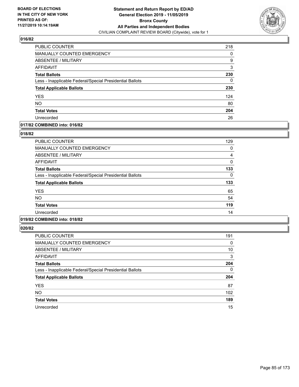

| <b>PUBLIC COUNTER</b>                                    | 218 |
|----------------------------------------------------------|-----|
| MANUALLY COUNTED EMERGENCY                               | 0   |
| ABSENTEE / MILITARY                                      | 9   |
| <b>AFFIDAVIT</b>                                         | 3   |
| <b>Total Ballots</b>                                     | 230 |
| Less - Inapplicable Federal/Special Presidential Ballots | 0   |
| <b>Total Applicable Ballots</b>                          | 230 |
| <b>YES</b>                                               | 124 |
| <b>NO</b>                                                | 80  |
| <b>Total Votes</b>                                       | 204 |
| Unrecorded                                               | 26  |

## **017/82 COMBINED into: 016/82**

#### **018/82**

| <b>PUBLIC COUNTER</b>                                    | 129 |
|----------------------------------------------------------|-----|
| <b>MANUALLY COUNTED EMERGENCY</b>                        | 0   |
| ABSENTEE / MILITARY                                      | 4   |
| AFFIDAVIT                                                | 0   |
| <b>Total Ballots</b>                                     | 133 |
| Less - Inapplicable Federal/Special Presidential Ballots | 0   |
| <b>Total Applicable Ballots</b>                          | 133 |
| <b>YES</b>                                               | 65  |
| <b>NO</b>                                                | 54  |
| <b>Total Votes</b>                                       | 119 |
| Unrecorded                                               | 14  |
|                                                          |     |

# **019/82 COMBINED into: 018/82**

| <b>PUBLIC COUNTER</b>                                    | 191      |
|----------------------------------------------------------|----------|
| <b>MANUALLY COUNTED EMERGENCY</b>                        | 0        |
| ABSENTEE / MILITARY                                      | 10       |
| AFFIDAVIT                                                | 3        |
| <b>Total Ballots</b>                                     | 204      |
| Less - Inapplicable Federal/Special Presidential Ballots | $\Omega$ |
| <b>Total Applicable Ballots</b>                          | 204      |
| <b>YES</b>                                               | 87       |
| <b>NO</b>                                                | 102      |
| <b>Total Votes</b>                                       | 189      |
| Unrecorded                                               | 15       |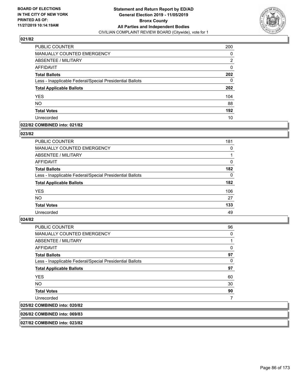

| <b>PUBLIC COUNTER</b>                                    | 200 |
|----------------------------------------------------------|-----|
| <b>MANUALLY COUNTED EMERGENCY</b>                        | 0   |
| ABSENTEE / MILITARY                                      | 2   |
| <b>AFFIDAVIT</b>                                         | 0   |
| <b>Total Ballots</b>                                     | 202 |
| Less - Inapplicable Federal/Special Presidential Ballots | 0   |
| <b>Total Applicable Ballots</b>                          | 202 |
| <b>YES</b>                                               | 104 |
| <b>NO</b>                                                | 88  |
| <b>Total Votes</b>                                       | 192 |
| Unrecorded                                               | 10  |

#### **022/82 COMBINED into: 021/82**

#### **023/82**

| <b>PUBLIC COUNTER</b>                                    | 181      |
|----------------------------------------------------------|----------|
| <b>MANUALLY COUNTED EMERGENCY</b>                        | $\Omega$ |
| ABSENTEE / MILITARY                                      |          |
| AFFIDAVIT                                                | $\Omega$ |
| <b>Total Ballots</b>                                     | 182      |
| Less - Inapplicable Federal/Special Presidential Ballots | $\Omega$ |
| <b>Total Applicable Ballots</b>                          | 182      |
| <b>YES</b>                                               | 106      |
| <b>NO</b>                                                | 27       |
| <b>Total Votes</b>                                       | 133      |
| Unrecorded                                               | 49       |
|                                                          |          |

#### **024/82**

| <b>PUBLIC COUNTER</b>                                    | 96 |
|----------------------------------------------------------|----|
| <b>MANUALLY COUNTED EMERGENCY</b>                        | 0  |
| ABSENTEE / MILITARY                                      |    |
| AFFIDAVIT                                                | 0  |
| <b>Total Ballots</b>                                     | 97 |
| Less - Inapplicable Federal/Special Presidential Ballots | 0  |
| <b>Total Applicable Ballots</b>                          | 97 |
| <b>YES</b>                                               | 60 |
| NO.                                                      | 30 |
| <b>Total Votes</b>                                       | 90 |
| Unrecorded                                               |    |
| 025/82 COMBINED into: 020/82                             |    |

## **026/82 COMBINED into: 069/83**

**027/82 COMBINED into: 023/82**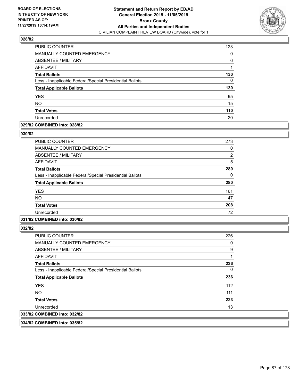

| PUBLIC COUNTER                                           | 123 |
|----------------------------------------------------------|-----|
| <b>MANUALLY COUNTED EMERGENCY</b>                        | 0   |
| ABSENTEE / MILITARY                                      | 6   |
| <b>AFFIDAVIT</b>                                         |     |
| <b>Total Ballots</b>                                     | 130 |
| Less - Inapplicable Federal/Special Presidential Ballots | 0   |
| <b>Total Applicable Ballots</b>                          | 130 |
| <b>YES</b>                                               | 95  |
| <b>NO</b>                                                | 15  |
| <b>Total Votes</b>                                       | 110 |
| Unrecorded                                               | 20  |

#### **029/82 COMBINED into: 028/82**

#### **030/82**

| <b>PUBLIC COUNTER</b>                                    | 273           |
|----------------------------------------------------------|---------------|
| <b>MANUALLY COUNTED EMERGENCY</b>                        | 0             |
| <b>ABSENTEE / MILITARY</b>                               | $\mathcal{P}$ |
| AFFIDAVIT                                                | 5             |
| <b>Total Ballots</b>                                     | 280           |
| Less - Inapplicable Federal/Special Presidential Ballots | 0             |
| <b>Total Applicable Ballots</b>                          | 280           |
| <b>YES</b>                                               | 161           |
| <b>NO</b>                                                | 47            |
| <b>Total Votes</b>                                       | 208           |
| Unrecorded                                               | 72            |

# **031/82 COMBINED into: 030/82**

**032/82** 

| <b>PUBLIC COUNTER</b>                                    | 226 |
|----------------------------------------------------------|-----|
| MANUALLY COUNTED EMERGENCY                               | 0   |
| ABSENTEE / MILITARY                                      | 9   |
| AFFIDAVIT                                                |     |
| <b>Total Ballots</b>                                     | 236 |
| Less - Inapplicable Federal/Special Presidential Ballots | 0   |
| <b>Total Applicable Ballots</b>                          | 236 |
| <b>YES</b>                                               | 112 |
| NO.                                                      | 111 |
| <b>Total Votes</b>                                       | 223 |
| Unrecorded                                               | 13  |
| 033/82 COMBINED into: 032/82                             |     |

**034/82 COMBINED into: 035/82**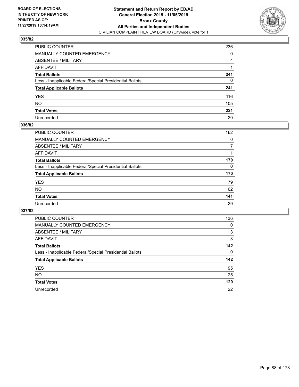

| PUBLIC COUNTER                                           | 236 |
|----------------------------------------------------------|-----|
| MANUALLY COUNTED EMERGENCY                               | 0   |
| ABSENTEE / MILITARY                                      | 4   |
| AFFIDAVIT                                                |     |
| Total Ballots                                            | 241 |
| Less - Inapplicable Federal/Special Presidential Ballots | 0   |
| <b>Total Applicable Ballots</b>                          | 241 |
| YES                                                      | 116 |
| NO.                                                      | 105 |
| <b>Total Votes</b>                                       | 221 |
| Unrecorded                                               | 20  |

#### **036/82**

| <b>PUBLIC COUNTER</b>                                    | 162      |
|----------------------------------------------------------|----------|
| <b>MANUALLY COUNTED EMERGENCY</b>                        | $\Omega$ |
| ABSENTEE / MILITARY                                      |          |
| AFFIDAVIT                                                |          |
| <b>Total Ballots</b>                                     | 170      |
| Less - Inapplicable Federal/Special Presidential Ballots | $\Omega$ |
| <b>Total Applicable Ballots</b>                          | 170      |
| <b>YES</b>                                               | 79       |
| <b>NO</b>                                                | 62       |
| <b>Total Votes</b>                                       | 141      |
| Unrecorded                                               | 29       |

| PUBLIC COUNTER                                           | 136      |
|----------------------------------------------------------|----------|
| <b>MANUALLY COUNTED EMERGENCY</b>                        | $\Omega$ |
| ABSENTEE / MILITARY                                      | 3        |
| AFFIDAVIT                                                | 3        |
| <b>Total Ballots</b>                                     | 142      |
| Less - Inapplicable Federal/Special Presidential Ballots | $\Omega$ |
| <b>Total Applicable Ballots</b>                          | 142      |
| <b>YES</b>                                               | 95       |
| <b>NO</b>                                                | 25       |
| <b>Total Votes</b>                                       | 120      |
| Unrecorded                                               | 22       |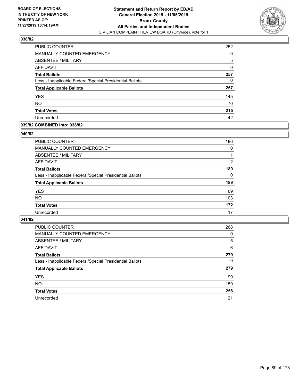

| PUBLIC COUNTER                                           | 252 |
|----------------------------------------------------------|-----|
| <b>MANUALLY COUNTED EMERGENCY</b>                        | 0   |
| ABSENTEE / MILITARY                                      | 5   |
| AFFIDAVIT                                                | 0   |
| <b>Total Ballots</b>                                     | 257 |
| Less - Inapplicable Federal/Special Presidential Ballots | 0   |
| <b>Total Applicable Ballots</b>                          | 257 |
| <b>YES</b>                                               | 145 |
| <b>NO</b>                                                | 70  |
| <b>Total Votes</b>                                       | 215 |
| Unrecorded                                               | 42  |

#### **039/82 COMBINED into: 038/82**

#### **040/82**

| <b>PUBLIC COUNTER</b>                                    | 186      |
|----------------------------------------------------------|----------|
| <b>MANUALLY COUNTED EMERGENCY</b>                        | $\Omega$ |
| ABSENTEE / MILITARY                                      |          |
| AFFIDAVIT                                                | 2        |
| <b>Total Ballots</b>                                     | 189      |
| Less - Inapplicable Federal/Special Presidential Ballots | $\Omega$ |
| <b>Total Applicable Ballots</b>                          | 189      |
| <b>YES</b>                                               | 69       |
| <b>NO</b>                                                | 103      |
| <b>Total Votes</b>                                       | 172      |
| Unrecorded                                               | 17       |
|                                                          |          |

| <b>PUBLIC COUNTER</b>                                    | 268      |
|----------------------------------------------------------|----------|
| MANUALLY COUNTED EMERGENCY                               | 0        |
| ABSENTEE / MILITARY                                      | 5        |
| AFFIDAVIT                                                | 6        |
| <b>Total Ballots</b>                                     | 279      |
| Less - Inapplicable Federal/Special Presidential Ballots | $\Omega$ |
| <b>Total Applicable Ballots</b>                          | 279      |
| <b>YES</b>                                               | 99       |
| <b>NO</b>                                                | 159      |
| <b>Total Votes</b>                                       | 258      |
| Unrecorded                                               | 21       |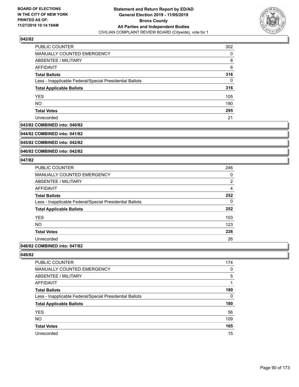

| PUBLIC COUNTER                                           | 302 |
|----------------------------------------------------------|-----|
| <b>MANUALLY COUNTED EMERGENCY</b>                        | 0   |
| ABSENTEE / MILITARY                                      | 8   |
| AFFIDAVIT                                                | 6   |
| <b>Total Ballots</b>                                     | 316 |
| Less - Inapplicable Federal/Special Presidential Ballots | 0   |
| <b>Total Applicable Ballots</b>                          | 316 |
| <b>YES</b>                                               | 105 |
| <b>NO</b>                                                | 190 |
| <b>Total Votes</b>                                       | 295 |
| Unrecorded                                               | 21  |

#### **043/82 COMBINED into: 040/82**

**044/82 COMBINED into: 041/82**

**045/82 COMBINED into: 042/82**

**046/82 COMBINED into: 042/82**

#### **047/82**

| PUBLIC COUNTER                                           | 246            |
|----------------------------------------------------------|----------------|
| <b>MANUALLY COUNTED EMERGENCY</b>                        | 0              |
| ABSENTEE / MILITARY                                      | $\overline{2}$ |
| AFFIDAVIT                                                | $\overline{4}$ |
| <b>Total Ballots</b>                                     | 252            |
| Less - Inapplicable Federal/Special Presidential Ballots | 0              |
| <b>Total Applicable Ballots</b>                          | 252            |
| <b>YES</b>                                               | 103            |
| <b>NO</b>                                                | 123            |
| <b>Total Votes</b>                                       | 226            |
| Unrecorded                                               | 26             |
|                                                          |                |

## **048/82 COMBINED into: 047/82**

| PUBLIC COUNTER                                           | 174      |
|----------------------------------------------------------|----------|
| MANUALLY COUNTED EMERGENCY                               | $\Omega$ |
| ABSENTEE / MILITARY                                      | 5        |
| AFFIDAVIT                                                |          |
| <b>Total Ballots</b>                                     | 180      |
| Less - Inapplicable Federal/Special Presidential Ballots | 0        |
| <b>Total Applicable Ballots</b>                          | 180      |
| <b>YES</b>                                               | 56       |
| <b>NO</b>                                                | 109      |
| <b>Total Votes</b>                                       | 165      |
| Unrecorded                                               | 15       |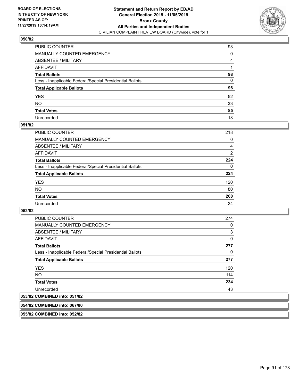

| PUBLIC COUNTER                                           | 93       |
|----------------------------------------------------------|----------|
| MANUALLY COUNTED EMERGENCY                               | 0        |
| ABSENTEE / MILITARY                                      | 4        |
| AFFIDAVIT                                                |          |
| Total Ballots                                            | 98       |
| Less - Inapplicable Federal/Special Presidential Ballots | $\Omega$ |
| <b>Total Applicable Ballots</b>                          | 98       |
| YES                                                      | 52       |
| NO.                                                      | 33       |
| <b>Total Votes</b>                                       | 85       |
| Unrecorded                                               | 13       |

#### **051/82**

| <b>PUBLIC COUNTER</b>                                    | 218            |
|----------------------------------------------------------|----------------|
| <b>MANUALLY COUNTED EMERGENCY</b>                        | $\Omega$       |
| ABSENTEE / MILITARY                                      | 4              |
| AFFIDAVIT                                                | $\overline{2}$ |
| <b>Total Ballots</b>                                     | 224            |
| Less - Inapplicable Federal/Special Presidential Ballots | $\Omega$       |
| <b>Total Applicable Ballots</b>                          | 224            |
| <b>YES</b>                                               | 120            |
| <b>NO</b>                                                | 80             |
| <b>Total Votes</b>                                       | 200            |
| Unrecorded                                               | 24             |

#### **052/82**

| <b>PUBLIC COUNTER</b>                                    | 274      |
|----------------------------------------------------------|----------|
| <b>MANUALLY COUNTED EMERGENCY</b>                        | 0        |
| ABSENTEE / MILITARY                                      | 3        |
| AFFIDAVIT                                                | $\Omega$ |
| <b>Total Ballots</b>                                     | 277      |
| Less - Inapplicable Federal/Special Presidential Ballots | 0        |
| <b>Total Applicable Ballots</b>                          | 277      |
| <b>YES</b>                                               | 120      |
| <b>NO</b>                                                | 114      |
| <b>Total Votes</b>                                       | 234      |
| Unrecorded                                               | 43       |
| -- - - - - -                                             |          |

# **053/82 COMBINED into: 051/82**

**054/82 COMBINED into: 067/80**

**055/82 COMBINED into: 052/82**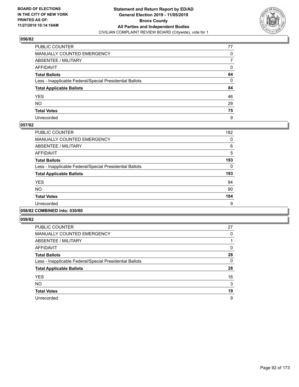

| PUBLIC COUNTER                                           | 77           |
|----------------------------------------------------------|--------------|
| MANUALLY COUNTED EMERGENCY                               | 0            |
| ABSENTEE / MILITARY                                      | 7            |
| AFFIDAVIT                                                | 0            |
| Total Ballots                                            | 84           |
| Less - Inapplicable Federal/Special Presidential Ballots | $\mathbf{0}$ |
| <b>Total Applicable Ballots</b>                          | 84           |
| YES                                                      | 46           |
| NO.                                                      | 29           |
| <b>Total Votes</b>                                       | 75           |
| Unrecorded                                               | 9            |

#### **057/82**

| <b>PUBLIC COUNTER</b>                                    | 182 |
|----------------------------------------------------------|-----|
| <b>MANUALLY COUNTED EMERGENCY</b>                        | 0   |
| ABSENTEE / MILITARY                                      | 6   |
| <b>AFFIDAVIT</b>                                         | 5   |
| <b>Total Ballots</b>                                     | 193 |
| Less - Inapplicable Federal/Special Presidential Ballots | 0   |
| <b>Total Applicable Ballots</b>                          | 193 |
| <b>YES</b>                                               | 94  |
| NO.                                                      | 90  |
| <b>Total Votes</b>                                       | 184 |
| Unrecorded                                               | 9   |
|                                                          |     |

#### **058/82 COMBINED into: 030/80**

| <b>PUBLIC COUNTER</b>                                    | 27 |
|----------------------------------------------------------|----|
| <b>MANUALLY COUNTED EMERGENCY</b>                        | 0  |
| ABSENTEE / MILITARY                                      |    |
| AFFIDAVIT                                                | 0  |
| <b>Total Ballots</b>                                     | 28 |
| Less - Inapplicable Federal/Special Presidential Ballots | 0  |
| <b>Total Applicable Ballots</b>                          | 28 |
| <b>YES</b>                                               | 16 |
| <b>NO</b>                                                | 3  |
| <b>Total Votes</b>                                       | 19 |
| Unrecorded                                               | 9  |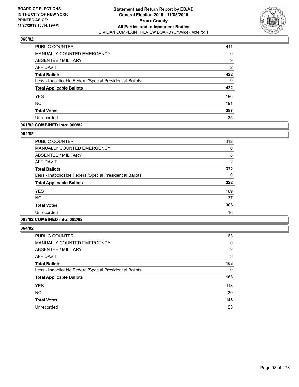

| PUBLIC COUNTER                                           | 411            |
|----------------------------------------------------------|----------------|
| <b>MANUALLY COUNTED EMERGENCY</b>                        | 0              |
| ABSENTEE / MILITARY                                      | 9              |
| AFFIDAVIT                                                | $\overline{2}$ |
| <b>Total Ballots</b>                                     | 422            |
| Less - Inapplicable Federal/Special Presidential Ballots | 0              |
| <b>Total Applicable Ballots</b>                          | 422            |
| <b>YES</b>                                               | 196            |
| <b>NO</b>                                                | 191            |
| <b>Total Votes</b>                                       | 387            |
| Unrecorded                                               | 35             |

## **061/82 COMBINED into: 060/82**

#### **062/82**

| PUBLIC COUNTER                                           | 312            |
|----------------------------------------------------------|----------------|
| <b>MANUALLY COUNTED EMERGENCY</b>                        | 0              |
| ABSENTEE / MILITARY                                      | 8              |
| AFFIDAVIT                                                | $\overline{2}$ |
| <b>Total Ballots</b>                                     | 322            |
| Less - Inapplicable Federal/Special Presidential Ballots | 0              |
| <b>Total Applicable Ballots</b>                          | 322            |
| <b>YES</b>                                               | 169            |
| <b>NO</b>                                                | 137            |
| <b>Total Votes</b>                                       | 306            |
| Unrecorded                                               | 16             |
|                                                          |                |

# **063/82 COMBINED into: 062/82**

| <b>PUBLIC COUNTER</b>                                    | 163            |
|----------------------------------------------------------|----------------|
| MANUALLY COUNTED EMERGENCY                               | 0              |
| ABSENTEE / MILITARY                                      | $\overline{2}$ |
| AFFIDAVIT                                                | 3              |
| <b>Total Ballots</b>                                     | 168            |
| Less - Inapplicable Federal/Special Presidential Ballots | $\Omega$       |
| <b>Total Applicable Ballots</b>                          | 168            |
| <b>YES</b>                                               | 113            |
| <b>NO</b>                                                | 30             |
| <b>Total Votes</b>                                       | 143            |
| Unrecorded                                               | 25             |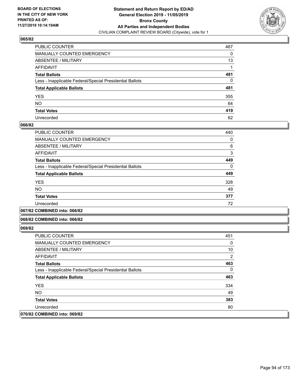

| PUBLIC COUNTER                                           | 467          |
|----------------------------------------------------------|--------------|
| MANUALLY COUNTED EMERGENCY                               | 0            |
| ABSENTEE / MILITARY                                      | 13           |
| AFFIDAVIT                                                |              |
| Total Ballots                                            | 481          |
| Less - Inapplicable Federal/Special Presidential Ballots | $\mathbf{0}$ |
| <b>Total Applicable Ballots</b>                          | 481          |
| YES                                                      | 355          |
| NO.                                                      | 64           |
| <b>Total Votes</b>                                       | 419          |
| Unrecorded                                               | 62           |

#### **066/82**

| <b>PUBLIC COUNTER</b>                                    | 440      |
|----------------------------------------------------------|----------|
| <b>MANUALLY COUNTED EMERGENCY</b>                        | 0        |
| ABSENTEE / MILITARY                                      | 6        |
| <b>AFFIDAVIT</b>                                         | 3        |
| <b>Total Ballots</b>                                     | 449      |
| Less - Inapplicable Federal/Special Presidential Ballots | $\Omega$ |
| <b>Total Applicable Ballots</b>                          | 449      |
| <b>YES</b>                                               | 328      |
| <b>NO</b>                                                | 49       |
| <b>Total Votes</b>                                       | 377      |
| Unrecorded                                               | 72       |
|                                                          |          |

**067/82 COMBINED into: 066/82**

#### **068/82 COMBINED into: 066/82**

| <b>PUBLIC COUNTER</b>                                    | 451          |
|----------------------------------------------------------|--------------|
| MANUALLY COUNTED EMERGENCY                               | $\Omega$     |
| ABSENTEE / MILITARY                                      | 10           |
| AFFIDAVIT                                                | 2            |
| <b>Total Ballots</b>                                     | 463          |
| Less - Inapplicable Federal/Special Presidential Ballots | $\mathbf{0}$ |
| <b>Total Applicable Ballots</b>                          | 463          |
| <b>YES</b>                                               | 334          |
| <b>NO</b>                                                | 49           |
| <b>Total Votes</b>                                       | 383          |
| Unrecorded                                               | 80           |
| 070/82 COMBINED into: 069/82                             |              |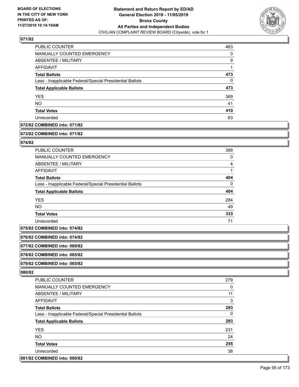

| <b>PUBLIC COUNTER</b>                                    | 463 |
|----------------------------------------------------------|-----|
| MANUALLY COUNTED EMERGENCY                               | 0   |
| ABSENTEE / MILITARY                                      | 9   |
| AFFIDAVIT                                                | 1   |
| <b>Total Ballots</b>                                     | 473 |
| Less - Inapplicable Federal/Special Presidential Ballots | 0   |
| <b>Total Applicable Ballots</b>                          | 473 |
| <b>YES</b>                                               | 369 |
| <b>NO</b>                                                | 41  |
| <b>Total Votes</b>                                       | 410 |
| Unrecorded                                               | 63  |

## **072/82 COMBINED into: 071/82**

#### **073/82 COMBINED into: 071/82**

## **074/82**

| <b>PUBLIC COUNTER</b>                                    | 399 |
|----------------------------------------------------------|-----|
| <b>MANUALLY COUNTED EMERGENCY</b>                        | 0   |
| ABSENTEE / MILITARY                                      | 4   |
| AFFIDAVIT                                                |     |
| <b>Total Ballots</b>                                     | 404 |
| Less - Inapplicable Federal/Special Presidential Ballots | 0   |
| <b>Total Applicable Ballots</b>                          | 404 |
| <b>YES</b>                                               | 284 |
| <b>NO</b>                                                | 49  |
| <b>Total Votes</b>                                       | 333 |
| Unrecorded                                               | 71  |

**075/82 COMBINED into: 074/82**

**076/82 COMBINED into: 074/82**

**077/82 COMBINED into: 069/82**

**078/82 COMBINED into: 065/82**

**079/82 COMBINED into: 065/82**

| <b>PUBLIC COUNTER</b>                                    | 279 |
|----------------------------------------------------------|-----|
| <b>MANUALLY COUNTED EMERGENCY</b>                        | 0   |
| ABSENTEE / MILITARY                                      | 11  |
| AFFIDAVIT                                                | 3   |
| <b>Total Ballots</b>                                     | 293 |
| Less - Inapplicable Federal/Special Presidential Ballots | 0   |
| <b>Total Applicable Ballots</b>                          | 293 |
| <b>YES</b>                                               | 231 |
| NO.                                                      | 24  |
| <b>Total Votes</b>                                       | 255 |
| Unrecorded                                               | 38  |
| 081/82 COMBINED into: 080/82                             |     |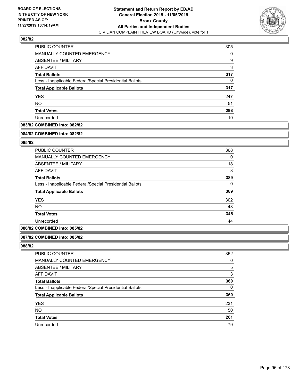

| PUBLIC COUNTER                                           | 305 |
|----------------------------------------------------------|-----|
| <b>MANUALLY COUNTED EMERGENCY</b>                        | 0   |
| ABSENTEE / MILITARY                                      | 9   |
| AFFIDAVIT                                                | 3   |
| <b>Total Ballots</b>                                     | 317 |
| Less - Inapplicable Federal/Special Presidential Ballots | 0   |
| <b>Total Applicable Ballots</b>                          | 317 |
| <b>YES</b>                                               | 247 |
| <b>NO</b>                                                | 51  |
| <b>Total Votes</b>                                       | 298 |
| Unrecorded                                               | 19  |

## **083/82 COMBINED into: 082/82**

#### **084/82 COMBINED into: 082/82**

## **085/82**

| 368      |
|----------|
| 0        |
| 18       |
| 3        |
| 389      |
| $\Omega$ |
| 389      |
| 302      |
| 43       |
| 345      |
| 44       |
|          |

## **086/82 COMBINED into: 085/82**

#### **087/82 COMBINED into: 085/82**

| PUBLIC COUNTER                                           | 352      |
|----------------------------------------------------------|----------|
| <b>MANUALLY COUNTED EMERGENCY</b>                        | 0        |
| ABSENTEE / MILITARY                                      | 5        |
| AFFIDAVIT                                                | 3        |
| <b>Total Ballots</b>                                     | 360      |
| Less - Inapplicable Federal/Special Presidential Ballots | $\Omega$ |
| <b>Total Applicable Ballots</b>                          | 360      |
| <b>YES</b>                                               | 231      |
| <b>NO</b>                                                | 50       |
| <b>Total Votes</b>                                       | 281      |
| Unrecorded                                               | 79       |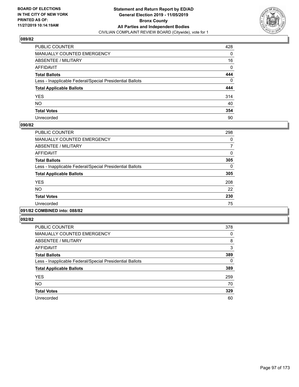

| PUBLIC COUNTER                                           | 428 |
|----------------------------------------------------------|-----|
| MANUALLY COUNTED EMERGENCY                               | 0   |
| ABSENTEE / MILITARY                                      | 16  |
| AFFIDAVIT                                                | 0   |
| Total Ballots                                            | 444 |
| Less - Inapplicable Federal/Special Presidential Ballots | 0   |
| <b>Total Applicable Ballots</b>                          | 444 |
| YES                                                      | 314 |
| NO.                                                      | 40  |
| <b>Total Votes</b>                                       | 354 |
| Unrecorded                                               | 90  |

#### **090/82**

| <b>PUBLIC COUNTER</b>                                    | 298      |
|----------------------------------------------------------|----------|
| <b>MANUALLY COUNTED EMERGENCY</b>                        | 0        |
| ABSENTEE / MILITARY                                      | 7        |
| <b>AFFIDAVIT</b>                                         | 0        |
| <b>Total Ballots</b>                                     | 305      |
| Less - Inapplicable Federal/Special Presidential Ballots | $\Omega$ |
| <b>Total Applicable Ballots</b>                          | 305      |
| <b>YES</b>                                               | 208      |
| <b>NO</b>                                                | 22       |
| <b>Total Votes</b>                                       | 230      |
| Unrecorded                                               | 75       |
|                                                          |          |

## **091/82 COMBINED into: 088/82**

| <b>PUBLIC COUNTER</b>                                    | 378 |
|----------------------------------------------------------|-----|
| MANUALLY COUNTED EMERGENCY                               | 0   |
| ABSENTEE / MILITARY                                      | 8   |
| AFFIDAVIT                                                | 3   |
| <b>Total Ballots</b>                                     | 389 |
| Less - Inapplicable Federal/Special Presidential Ballots | 0   |
| <b>Total Applicable Ballots</b>                          | 389 |
| <b>YES</b>                                               | 259 |
| <b>NO</b>                                                | 70  |
| <b>Total Votes</b>                                       | 329 |
| Unrecorded                                               | 60  |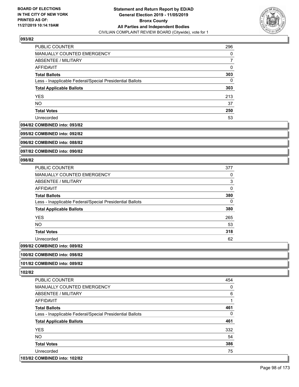

| PUBLIC COUNTER                                           | 296 |
|----------------------------------------------------------|-----|
| <b>MANUALLY COUNTED EMERGENCY</b>                        | 0   |
| ABSENTEE / MILITARY                                      |     |
| AFFIDAVIT                                                | 0   |
| <b>Total Ballots</b>                                     | 303 |
| Less - Inapplicable Federal/Special Presidential Ballots | 0   |
| <b>Total Applicable Ballots</b>                          | 303 |
| <b>YES</b>                                               | 213 |
| <b>NO</b>                                                | 37  |
| <b>Total Votes</b>                                       | 250 |
| Unrecorded                                               | 53  |

#### **094/82 COMBINED into: 093/82**

**095/82 COMBINED into: 092/82**

**096/82 COMBINED into: 088/82**

**097/82 COMBINED into: 090/82**

#### **098/82**

| <b>PUBLIC COUNTER</b>                                    | 377      |
|----------------------------------------------------------|----------|
| <b>MANUALLY COUNTED EMERGENCY</b>                        | 0        |
| ABSENTEE / MILITARY                                      | 3        |
| <b>AFFIDAVIT</b>                                         | $\Omega$ |
| <b>Total Ballots</b>                                     | 380      |
| Less - Inapplicable Federal/Special Presidential Ballots | 0        |
| <b>Total Applicable Ballots</b>                          | 380      |
| <b>YES</b>                                               | 265      |
| NO.                                                      | 53       |
| <b>Total Votes</b>                                       | 318      |
| Unrecorded                                               | 62       |
| COMPINIED into 000/02                                    |          |

# **099/82 COMBINED into: 089/82**

**100/82 COMBINED into: 098/82**

## **101/82 COMBINED into: 089/82**

**102/82** 

| <b>PUBLIC COUNTER</b>                                    | 454 |
|----------------------------------------------------------|-----|
| MANUALLY COUNTED EMERGENCY                               | 0   |
| ABSENTEE / MILITARY                                      | 6   |
| <b>AFFIDAVIT</b>                                         | 1   |
| <b>Total Ballots</b>                                     | 461 |
| Less - Inapplicable Federal/Special Presidential Ballots | 0   |
| <b>Total Applicable Ballots</b>                          | 461 |
| <b>YES</b>                                               | 332 |
| NO.                                                      | 54  |
| <b>Total Votes</b>                                       | 386 |
| Unrecorded                                               | 75  |
|                                                          |     |

### **103/82 COMBINED into: 102/82**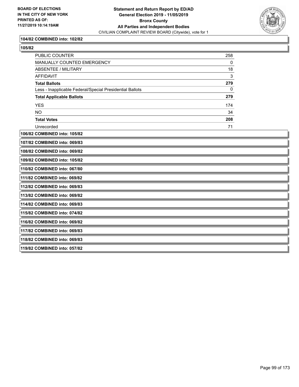

## **104/82 COMBINED into: 102/82**

| 105/8<br>1. |  |
|-------------|--|
|-------------|--|

| PUBLIC COUNTER                  |                                                          | 258         |  |
|---------------------------------|----------------------------------------------------------|-------------|--|
|                                 | MANUALLY COUNTED EMERGENCY                               | 0           |  |
| <b>ABSENTEE / MILITARY</b>      |                                                          | 18          |  |
| <b>AFFIDAVIT</b>                |                                                          | 3           |  |
| <b>Total Ballots</b>            |                                                          | 279         |  |
|                                 | Less - Inapplicable Federal/Special Presidential Ballots | $\mathbf 0$ |  |
| <b>Total Applicable Ballots</b> |                                                          | 279         |  |
| <b>YES</b>                      |                                                          | 174         |  |
| <b>NO</b>                       |                                                          | 34          |  |
| <b>Total Votes</b>              |                                                          | 208         |  |
| Unrecorded                      |                                                          | 71          |  |
| 106/82 COMBINED into: 105/82    |                                                          |             |  |
| 107/82 COMBINED into: 069/83    |                                                          |             |  |
| 108/82 COMBINED into: 069/82    |                                                          |             |  |
| 109/82 COMBINED into: 105/82    |                                                          |             |  |
| 110/82 COMBINED into: 067/80    |                                                          |             |  |
| 111/82 COMBINED into: 069/82    |                                                          |             |  |
| 112/82 COMBINED into: 069/83    |                                                          |             |  |
| 113/82 COMBINED into: 069/82    |                                                          |             |  |
| 114/82 COMBINED into: 069/83    |                                                          |             |  |
| 115/82 COMBINED into: 074/82    |                                                          |             |  |
| 116/82 COMBINED into: 069/82    |                                                          |             |  |
| 117/82 COMBINED into: 069/83    |                                                          |             |  |
| 118/82 COMBINED into: 069/83    |                                                          |             |  |
| 119/82 COMBINED into: 057/82    |                                                          |             |  |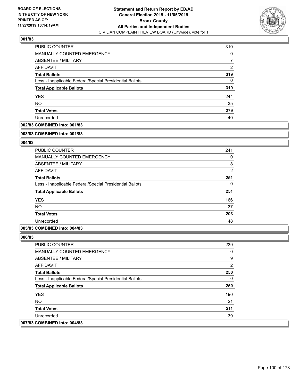

| PUBLIC COUNTER                                           | 310 |
|----------------------------------------------------------|-----|
| <b>MANUALLY COUNTED EMERGENCY</b>                        | 0   |
| ABSENTEE / MILITARY                                      |     |
| AFFIDAVIT                                                | 2   |
| <b>Total Ballots</b>                                     | 319 |
| Less - Inapplicable Federal/Special Presidential Ballots | 0   |
| <b>Total Applicable Ballots</b>                          | 319 |
| <b>YES</b>                                               | 244 |
| <b>NO</b>                                                | 35  |
| <b>Total Votes</b>                                       | 279 |
| Unrecorded                                               | 40  |

## **002/83 COMBINED into: 001/83**

#### **003/83 COMBINED into: 001/83**

## **004/83**

| PUBLIC COUNTER                                           | 241            |
|----------------------------------------------------------|----------------|
| MANUALLY COUNTED EMERGENCY                               | 0              |
| ABSENTEE / MILITARY                                      | 8              |
| AFFIDAVIT                                                | $\overline{2}$ |
| <b>Total Ballots</b>                                     | 251            |
| Less - Inapplicable Federal/Special Presidential Ballots | 0              |
| <b>Total Applicable Ballots</b>                          | 251            |
| <b>YES</b>                                               | 166            |
| <b>NO</b>                                                | 37             |
| <b>Total Votes</b>                                       | 203            |
| Unrecorded                                               | 48             |

## **005/83 COMBINED into: 004/83**

| <b>PUBLIC COUNTER</b>                                    | 239            |
|----------------------------------------------------------|----------------|
| <b>MANUALLY COUNTED EMERGENCY</b>                        | 0              |
| ABSENTEE / MILITARY                                      | 9              |
| AFFIDAVIT                                                | $\overline{2}$ |
| <b>Total Ballots</b>                                     | 250            |
| Less - Inapplicable Federal/Special Presidential Ballots | 0              |
| <b>Total Applicable Ballots</b>                          | 250            |
| <b>YES</b>                                               | 190            |
| NO.                                                      | 21             |
| <b>Total Votes</b>                                       | 211            |
| Unrecorded                                               | 39             |
| 007/83 COMBINED into: 004/83                             |                |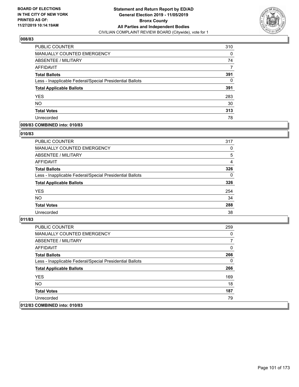

| PUBLIC COUNTER                                           | 310 |
|----------------------------------------------------------|-----|
| <b>MANUALLY COUNTED EMERGENCY</b>                        | 0   |
| ABSENTEE / MILITARY                                      | 74  |
| AFFIDAVIT                                                |     |
| <b>Total Ballots</b>                                     | 391 |
| Less - Inapplicable Federal/Special Presidential Ballots | 0   |
| <b>Total Applicable Ballots</b>                          | 391 |
| <b>YES</b>                                               | 283 |
| <b>NO</b>                                                | 30  |
| <b>Total Votes</b>                                       | 313 |
| Unrecorded                                               | 78  |

## **009/83 COMBINED into: 010/83**

#### **010/83**

| PUBLIC COUNTER                                           | 317      |
|----------------------------------------------------------|----------|
| <b>MANUALLY COUNTED EMERGENCY</b>                        | 0        |
| ABSENTEE / MILITARY                                      | 5        |
| AFFIDAVIT                                                | 4        |
| <b>Total Ballots</b>                                     | 326      |
| Less - Inapplicable Federal/Special Presidential Ballots | $\Omega$ |
| <b>Total Applicable Ballots</b>                          | 326      |
| <b>YES</b>                                               | 254      |
| <b>NO</b>                                                | 34       |
| <b>Total Votes</b>                                       | 288      |
| Unrecorded                                               | 38       |

| <b>PUBLIC COUNTER</b>                                    | 259 |
|----------------------------------------------------------|-----|
| <b>MANUALLY COUNTED EMERGENCY</b>                        | 0   |
| ABSENTEE / MILITARY                                      |     |
| AFFIDAVIT                                                | 0   |
| <b>Total Ballots</b>                                     | 266 |
| Less - Inapplicable Federal/Special Presidential Ballots | 0   |
| <b>Total Applicable Ballots</b>                          | 266 |
| <b>YES</b>                                               | 169 |
| NO.                                                      | 18  |
| <b>Total Votes</b>                                       | 187 |
| Unrecorded                                               | 79  |
| 012/83 COMBINED into: 010/83                             |     |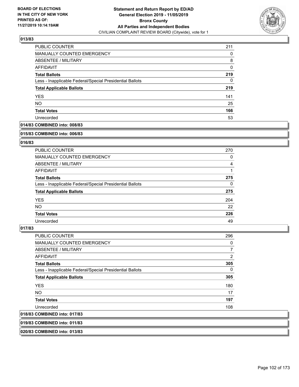

| PUBLIC COUNTER                                           | 211 |
|----------------------------------------------------------|-----|
| <b>MANUALLY COUNTED EMERGENCY</b>                        | 0   |
| ABSENTEE / MILITARY                                      | 8   |
| AFFIDAVIT                                                | 0   |
| <b>Total Ballots</b>                                     | 219 |
| Less - Inapplicable Federal/Special Presidential Ballots | 0   |
| <b>Total Applicable Ballots</b>                          | 219 |
| <b>YES</b>                                               | 141 |
| <b>NO</b>                                                | 25  |
| <b>Total Votes</b>                                       | 166 |
| Unrecorded                                               | 53  |

# **014/83 COMBINED into: 008/83**

#### **015/83 COMBINED into: 006/83**

## **016/83**

| <b>PUBLIC COUNTER</b>                                    | 270      |
|----------------------------------------------------------|----------|
| <b>MANUALLY COUNTED EMERGENCY</b>                        | 0        |
| ABSENTEE / MILITARY                                      | 4        |
| AFFIDAVIT                                                |          |
| <b>Total Ballots</b>                                     | 275      |
| Less - Inapplicable Federal/Special Presidential Ballots | $\Omega$ |
| <b>Total Applicable Ballots</b>                          | 275      |
| <b>YES</b>                                               | 204      |
| NO.                                                      | 22       |
| <b>Total Votes</b>                                       | 226      |
| Unrecorded                                               | 49       |

#### **017/83**

| <b>PUBLIC COUNTER</b>                                    | 296            |
|----------------------------------------------------------|----------------|
| <b>MANUALLY COUNTED EMERGENCY</b>                        | 0              |
| ABSENTEE / MILITARY                                      | $\overline{7}$ |
| <b>AFFIDAVIT</b>                                         | 2              |
| <b>Total Ballots</b>                                     | 305            |
| Less - Inapplicable Federal/Special Presidential Ballots | 0              |
| <b>Total Applicable Ballots</b>                          | 305            |
| <b>YES</b>                                               | 180            |
| NO.                                                      | 17             |
| <b>Total Votes</b>                                       | 197            |
| Unrecorded                                               | 108            |
| 018/83 COMBINED into: 017/83                             |                |

**019/83 COMBINED into: 011/83**

**020/83 COMBINED into: 013/83**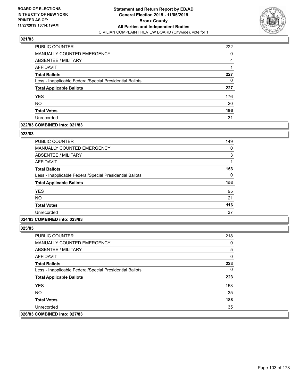

| PUBLIC COUNTER                                           | 222 |
|----------------------------------------------------------|-----|
| <b>MANUALLY COUNTED EMERGENCY</b>                        | 0   |
| ABSENTEE / MILITARY                                      | 4   |
| <b>AFFIDAVIT</b>                                         |     |
| <b>Total Ballots</b>                                     | 227 |
| Less - Inapplicable Federal/Special Presidential Ballots | 0   |
| <b>Total Applicable Ballots</b>                          | 227 |
| <b>YES</b>                                               | 176 |
| <b>NO</b>                                                | 20  |
| <b>Total Votes</b>                                       | 196 |
| Unrecorded                                               | 31  |

#### **022/83 COMBINED into: 021/83**

#### **023/83**

| <b>PUBLIC COUNTER</b>                                    | 149 |
|----------------------------------------------------------|-----|
| <b>MANUALLY COUNTED EMERGENCY</b>                        | 0   |
| <b>ABSENTEE / MILITARY</b>                               | 3   |
| AFFIDAVIT                                                |     |
| <b>Total Ballots</b>                                     | 153 |
| Less - Inapplicable Federal/Special Presidential Ballots | 0   |
| <b>Total Applicable Ballots</b>                          | 153 |
| <b>YES</b>                                               | 95  |
| <b>NO</b>                                                | 21  |
| <b>Total Votes</b>                                       | 116 |
| Unrecorded                                               | 37  |

# **024/83 COMBINED into: 023/83**

| <b>PUBLIC COUNTER</b>                                    | 218 |
|----------------------------------------------------------|-----|
| <b>MANUALLY COUNTED EMERGENCY</b>                        | 0   |
| ABSENTEE / MILITARY                                      | 5   |
| AFFIDAVIT                                                | 0   |
| <b>Total Ballots</b>                                     | 223 |
| Less - Inapplicable Federal/Special Presidential Ballots | 0   |
| <b>Total Applicable Ballots</b>                          | 223 |
| <b>YES</b>                                               | 153 |
| NO.                                                      | 35  |
| <b>Total Votes</b>                                       | 188 |
| Unrecorded                                               | 35  |
| 026/83 COMBINED into: 027/83                             |     |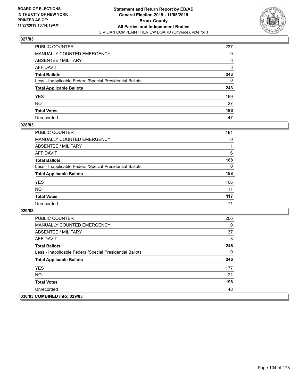

| PUBLIC COUNTER                                           | 237 |
|----------------------------------------------------------|-----|
| MANUALLY COUNTED EMERGENCY                               | 0   |
| ABSENTEE / MILITARY                                      | 3   |
| AFFIDAVIT                                                | 3   |
| Total Ballots                                            | 243 |
| Less - Inapplicable Federal/Special Presidential Ballots | 0   |
| <b>Total Applicable Ballots</b>                          | 243 |
| YES                                                      | 169 |
| NO.                                                      | 27  |
| <b>Total Votes</b>                                       | 196 |
| Unrecorded                                               | 47  |

#### **028/83**

| <b>PUBLIC COUNTER</b>                                    | 181      |
|----------------------------------------------------------|----------|
| MANUALLY COUNTED EMERGENCY                               | 0        |
| ABSENTEE / MILITARY                                      |          |
| AFFIDAVIT                                                | 6        |
| <b>Total Ballots</b>                                     | 188      |
| Less - Inapplicable Federal/Special Presidential Ballots | $\Omega$ |
| <b>Total Applicable Ballots</b>                          | 188      |
| <b>YES</b>                                               | 106      |
| <b>NO</b>                                                | 11       |
| <b>Total Votes</b>                                       | 117      |
| Unrecorded                                               | 71       |

| <b>PUBLIC COUNTER</b>                                    | 206 |
|----------------------------------------------------------|-----|
| <b>MANUALLY COUNTED EMERGENCY</b>                        | 0   |
| ABSENTEE / MILITARY                                      | 37  |
| AFFIDAVIT                                                | 3   |
| <b>Total Ballots</b>                                     | 246 |
| Less - Inapplicable Federal/Special Presidential Ballots | 0   |
| <b>Total Applicable Ballots</b>                          | 246 |
| <b>YES</b>                                               | 177 |
| NO.                                                      | 21  |
| <b>Total Votes</b>                                       | 198 |
| Unrecorded                                               | 48  |
| 030/83 COMBINED into: 029/83                             |     |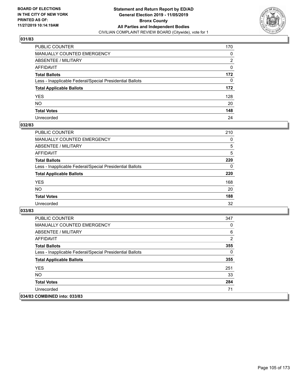

| PUBLIC COUNTER                                           | 170 |
|----------------------------------------------------------|-----|
| MANUALLY COUNTED EMERGENCY                               | 0   |
| ABSENTEE / MILITARY                                      | 2   |
| AFFIDAVIT                                                | 0   |
| Total Ballots                                            | 172 |
| Less - Inapplicable Federal/Special Presidential Ballots | 0   |
| <b>Total Applicable Ballots</b>                          | 172 |
| YES                                                      | 128 |
| NO.                                                      | 20  |
| <b>Total Votes</b>                                       | 148 |
| Unrecorded                                               | 24  |

#### **032/83**

| <b>PUBLIC COUNTER</b>                                    | 210      |
|----------------------------------------------------------|----------|
| <b>MANUALLY COUNTED EMERGENCY</b>                        | $\Omega$ |
| ABSENTEE / MILITARY                                      | 5        |
| AFFIDAVIT                                                | 5        |
| <b>Total Ballots</b>                                     | 220      |
| Less - Inapplicable Federal/Special Presidential Ballots | $\Omega$ |
| <b>Total Applicable Ballots</b>                          | 220      |
| <b>YES</b>                                               | 168      |
| <b>NO</b>                                                | 20       |
| <b>Total Votes</b>                                       | 188      |
| Unrecorded                                               | 32       |

| <b>PUBLIC COUNTER</b>                                    | 347            |
|----------------------------------------------------------|----------------|
| <b>MANUALLY COUNTED EMERGENCY</b>                        | 0              |
| ABSENTEE / MILITARY                                      | 6              |
| AFFIDAVIT                                                | $\overline{2}$ |
| <b>Total Ballots</b>                                     | 355            |
| Less - Inapplicable Federal/Special Presidential Ballots | 0              |
| <b>Total Applicable Ballots</b>                          | 355            |
| <b>YES</b>                                               | 251            |
| NO.                                                      | 33             |
| <b>Total Votes</b>                                       | 284            |
| Unrecorded                                               | 71             |
| 034/83 COMBINED into: 033/83                             |                |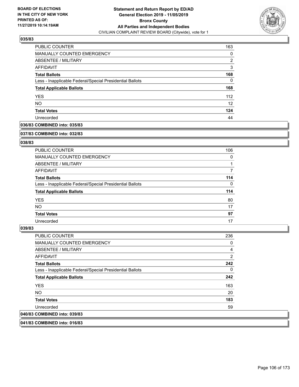

| <b>PUBLIC COUNTER</b>                                    | 163               |
|----------------------------------------------------------|-------------------|
| MANUALLY COUNTED EMERGENCY                               | 0                 |
| ABSENTEE / MILITARY                                      | $\overline{2}$    |
| AFFIDAVIT                                                | 3                 |
| <b>Total Ballots</b>                                     | 168               |
| Less - Inapplicable Federal/Special Presidential Ballots | 0                 |
| <b>Total Applicable Ballots</b>                          | 168               |
| <b>YES</b>                                               | 112               |
| <b>NO</b>                                                | $12 \overline{ }$ |
| <b>Total Votes</b>                                       | 124               |
| Unrecorded                                               | 44                |

## **036/83 COMBINED into: 035/83**

#### **037/83 COMBINED into: 032/83**

## **038/83**

| <b>PUBLIC COUNTER</b>                                    | 106      |
|----------------------------------------------------------|----------|
| <b>MANUALLY COUNTED EMERGENCY</b>                        | 0        |
| ABSENTEE / MILITARY                                      |          |
| AFFIDAVIT                                                |          |
| <b>Total Ballots</b>                                     | 114      |
| Less - Inapplicable Federal/Special Presidential Ballots | $\Omega$ |
| <b>Total Applicable Ballots</b>                          | 114      |
| <b>YES</b>                                               | 80       |
| NO.                                                      | 17       |
| <b>Total Votes</b>                                       | 97       |
| Unrecorded                                               | 17       |

#### **039/83**

| PUBLIC COUNTER                                           | 236            |
|----------------------------------------------------------|----------------|
| <b>MANUALLY COUNTED EMERGENCY</b>                        | 0              |
| ABSENTEE / MILITARY                                      | $\overline{4}$ |
| <b>AFFIDAVIT</b>                                         | $\overline{2}$ |
| <b>Total Ballots</b>                                     | 242            |
| Less - Inapplicable Federal/Special Presidential Ballots | $\mathbf{0}$   |
| <b>Total Applicable Ballots</b>                          | 242            |
| <b>YES</b>                                               | 163            |
| NO.                                                      | 20             |
| <b>Total Votes</b>                                       | 183            |
| Unrecorded                                               | 59             |
| 040/83 COMBINED into: 039/83                             |                |

**041/83 COMBINED into: 016/83**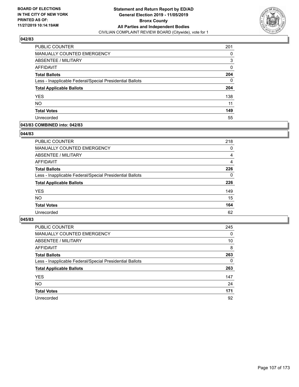

| <b>PUBLIC COUNTER</b>                                    | 201 |
|----------------------------------------------------------|-----|
| MANUALLY COUNTED EMERGENCY                               | 0   |
| ABSENTEE / MILITARY                                      | 3   |
| AFFIDAVIT                                                | 0   |
| <b>Total Ballots</b>                                     | 204 |
| Less - Inapplicable Federal/Special Presidential Ballots | 0   |
| <b>Total Applicable Ballots</b>                          | 204 |
| <b>YES</b>                                               | 138 |
| <b>NO</b>                                                | 11  |
| <b>Total Votes</b>                                       | 149 |
| Unrecorded                                               | 55  |

## **043/83 COMBINED into: 042/83**

#### **044/83**

| <b>PUBLIC COUNTER</b>                                    | 218      |
|----------------------------------------------------------|----------|
| <b>MANUALLY COUNTED EMERGENCY</b>                        | 0        |
| ABSENTEE / MILITARY                                      | 4        |
| AFFIDAVIT                                                | 4        |
| <b>Total Ballots</b>                                     | 226      |
| Less - Inapplicable Federal/Special Presidential Ballots | $\Omega$ |
| <b>Total Applicable Ballots</b>                          | 226      |
| <b>YES</b>                                               | 149      |
| <b>NO</b>                                                | 15       |
| <b>Total Votes</b>                                       | 164      |
| Unrecorded                                               | 62       |
|                                                          |          |

| <b>PUBLIC COUNTER</b>                                    | 245      |
|----------------------------------------------------------|----------|
| MANUALLY COUNTED EMERGENCY                               | $\Omega$ |
| ABSENTEE / MILITARY                                      | 10       |
| AFFIDAVIT                                                | 8        |
| <b>Total Ballots</b>                                     | 263      |
| Less - Inapplicable Federal/Special Presidential Ballots | $\Omega$ |
| <b>Total Applicable Ballots</b>                          | 263      |
| <b>YES</b>                                               | 147      |
| <b>NO</b>                                                | 24       |
| <b>Total Votes</b>                                       | 171      |
| Unrecorded                                               | 92       |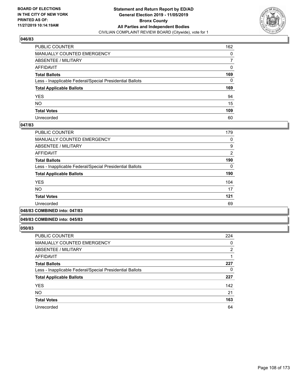

| PUBLIC COUNTER                                           | 162 |
|----------------------------------------------------------|-----|
| MANUALLY COUNTED EMERGENCY                               | 0   |
| ABSENTEE / MILITARY                                      | 7   |
| AFFIDAVIT                                                | 0   |
| Total Ballots                                            | 169 |
| Less - Inapplicable Federal/Special Presidential Ballots | 0   |
| <b>Total Applicable Ballots</b>                          | 169 |
| YES                                                      | 94  |
| NO.                                                      | 15  |
| <b>Total Votes</b>                                       | 109 |
| Unrecorded                                               | 60  |

#### **047/83**

| <b>PUBLIC COUNTER</b>                                    | 179            |
|----------------------------------------------------------|----------------|
| MANUALLY COUNTED EMERGENCY                               | 0              |
| ABSENTEE / MILITARY                                      | 9              |
| AFFIDAVIT                                                | $\overline{2}$ |
| <b>Total Ballots</b>                                     | 190            |
| Less - Inapplicable Federal/Special Presidential Ballots | $\Omega$       |
| <b>Total Applicable Ballots</b>                          | 190            |
| <b>YES</b>                                               | 104            |
| <b>NO</b>                                                | 17             |
| <b>Total Votes</b>                                       | 121            |
| Unrecorded                                               | 69             |
|                                                          |                |

**048/83 COMBINED into: 047/83**

#### **049/83 COMBINED into: 045/83**

| <b>PUBLIC COUNTER</b>                                    | 224            |
|----------------------------------------------------------|----------------|
| <b>MANUALLY COUNTED EMERGENCY</b>                        | 0              |
| <b>ABSENTEE / MILITARY</b>                               | $\overline{2}$ |
| <b>AFFIDAVIT</b>                                         |                |
| <b>Total Ballots</b>                                     | 227            |
| Less - Inapplicable Federal/Special Presidential Ballots | 0              |
| <b>Total Applicable Ballots</b>                          | 227            |
| <b>YES</b>                                               | 142            |
| <b>NO</b>                                                | 21             |
| <b>Total Votes</b>                                       | 163            |
| Unrecorded                                               | 64             |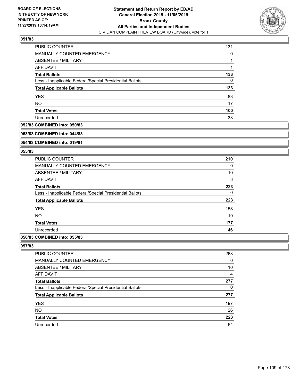

| PUBLIC COUNTER                                           | 131 |
|----------------------------------------------------------|-----|
| MANUALLY COUNTED EMERGENCY                               | 0   |
| ABSENTEE / MILITARY                                      |     |
| AFFIDAVIT                                                |     |
| <b>Total Ballots</b>                                     | 133 |
| Less - Inapplicable Federal/Special Presidential Ballots | 0   |
| <b>Total Applicable Ballots</b>                          | 133 |
| <b>YES</b>                                               | 83  |
| <b>NO</b>                                                | 17  |
| <b>Total Votes</b>                                       | 100 |
| Unrecorded                                               | 33  |

#### **052/83 COMBINED into: 050/83**

#### **053/83 COMBINED into: 044/83**

# **054/83 COMBINED into: 019/81**

### **055/83**

| <b>PUBLIC COUNTER</b>                                    | 210 |
|----------------------------------------------------------|-----|
| <b>MANUALLY COUNTED EMERGENCY</b>                        | 0   |
| ABSENTEE / MILITARY                                      | 10  |
| <b>AFFIDAVIT</b>                                         | 3   |
| <b>Total Ballots</b>                                     | 223 |
| Less - Inapplicable Federal/Special Presidential Ballots | 0   |
| <b>Total Applicable Ballots</b>                          | 223 |
| <b>YES</b>                                               | 158 |
| <b>NO</b>                                                | 19  |
| <b>Total Votes</b>                                       | 177 |
| Unrecorded                                               | 46  |
|                                                          |     |

# **056/83 COMBINED into: 055/83**

| <b>PUBLIC COUNTER</b>                                    | 263            |
|----------------------------------------------------------|----------------|
| MANUALLY COUNTED EMERGENCY                               | 0              |
| ABSENTEE / MILITARY                                      | 10             |
| AFFIDAVIT                                                | $\overline{4}$ |
| <b>Total Ballots</b>                                     | 277            |
| Less - Inapplicable Federal/Special Presidential Ballots | $\Omega$       |
| <b>Total Applicable Ballots</b>                          | 277            |
| <b>YES</b>                                               | 197            |
| <b>NO</b>                                                | 26             |
| <b>Total Votes</b>                                       | 223            |
| Unrecorded                                               | 54             |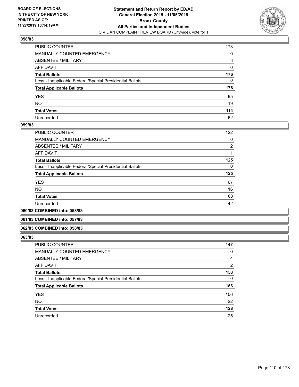

| PUBLIC COUNTER                                           | 173 |
|----------------------------------------------------------|-----|
| MANUALLY COUNTED EMERGENCY                               | 0   |
| ABSENTEE / MILITARY                                      | 3   |
| AFFIDAVIT                                                | 0   |
| Total Ballots                                            | 176 |
| Less - Inapplicable Federal/Special Presidential Ballots | 0   |
| <b>Total Applicable Ballots</b>                          | 176 |
| YES                                                      | 95  |
| NO.                                                      | 19  |
| <b>Total Votes</b>                                       | 114 |
| Unrecorded                                               | 62  |

### **059/83**

| PUBLIC COUNTER                                           | 122            |
|----------------------------------------------------------|----------------|
| <b>MANUALLY COUNTED EMERGENCY</b>                        | 0              |
| ABSENTEE / MILITARY                                      | $\overline{2}$ |
| <b>AFFIDAVIT</b>                                         |                |
| <b>Total Ballots</b>                                     | 125            |
| Less - Inapplicable Federal/Special Presidential Ballots | $\Omega$       |
| <b>Total Applicable Ballots</b>                          | 125            |
| <b>YES</b>                                               | 67             |
| <b>NO</b>                                                | 16             |
| <b>Total Votes</b>                                       | 83             |
| Unrecorded                                               | 42             |
|                                                          |                |

**060/83 COMBINED into: 058/83**

#### **061/83 COMBINED into: 057/83**

#### **062/83 COMBINED into: 058/83**

| <b>PUBLIC COUNTER</b>                                    | 147 |
|----------------------------------------------------------|-----|
| MANUALLY COUNTED EMERGENCY                               | 0   |
| ABSENTEE / MILITARY                                      | 4   |
| AFFIDAVIT                                                | 2   |
| <b>Total Ballots</b>                                     | 153 |
| Less - Inapplicable Federal/Special Presidential Ballots | 0   |
| <b>Total Applicable Ballots</b>                          | 153 |
| <b>YES</b>                                               | 106 |
| <b>NO</b>                                                | 22  |
| <b>Total Votes</b>                                       | 128 |
| Unrecorded                                               | 25  |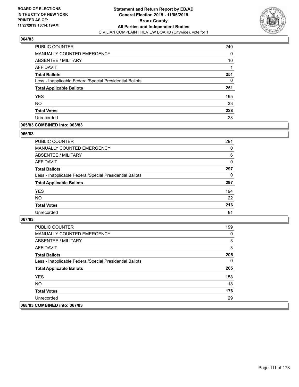

| PUBLIC COUNTER                                           | 240 |
|----------------------------------------------------------|-----|
| <b>MANUALLY COUNTED EMERGENCY</b>                        | 0   |
| ABSENTEE / MILITARY                                      | 10  |
| AFFIDAVIT                                                |     |
| <b>Total Ballots</b>                                     | 251 |
| Less - Inapplicable Federal/Special Presidential Ballots | 0   |
| <b>Total Applicable Ballots</b>                          | 251 |
| <b>YES</b>                                               | 195 |
| <b>NO</b>                                                | 33  |
| <b>Total Votes</b>                                       | 228 |
| Unrecorded                                               | 23  |

# **065/83 COMBINED into: 063/83**

#### **066/83**

| <b>PUBLIC COUNTER</b>                                    | 291      |
|----------------------------------------------------------|----------|
| <b>MANUALLY COUNTED EMERGENCY</b>                        | 0        |
| ABSENTEE / MILITARY                                      | 6        |
| AFFIDAVIT                                                | $\Omega$ |
| <b>Total Ballots</b>                                     | 297      |
| Less - Inapplicable Federal/Special Presidential Ballots | 0        |
| <b>Total Applicable Ballots</b>                          | 297      |
| <b>YES</b>                                               | 194      |
| <b>NO</b>                                                | 22       |
| <b>Total Votes</b>                                       | 216      |
| Unrecorded                                               | 81       |
|                                                          |          |

| PUBLIC COUNTER                                           | 199 |
|----------------------------------------------------------|-----|
| <b>MANUALLY COUNTED EMERGENCY</b>                        | 0   |
| ABSENTEE / MILITARY                                      | 3   |
| AFFIDAVIT                                                | 3   |
| <b>Total Ballots</b>                                     | 205 |
| Less - Inapplicable Federal/Special Presidential Ballots | 0   |
| <b>Total Applicable Ballots</b>                          | 205 |
| <b>YES</b>                                               | 158 |
| NO.                                                      | 18  |
| <b>Total Votes</b>                                       | 176 |
| Unrecorded                                               | 29  |
| 068/83 COMBINED into: 067/83                             |     |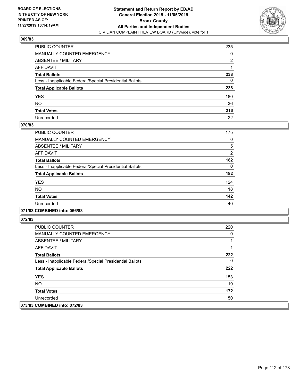

| PUBLIC COUNTER                                           | 235 |
|----------------------------------------------------------|-----|
| MANUALLY COUNTED EMERGENCY                               | 0   |
| ABSENTEE / MILITARY                                      | 2   |
| AFFIDAVIT                                                |     |
| Total Ballots                                            | 238 |
| Less - Inapplicable Federal/Special Presidential Ballots | 0   |
| <b>Total Applicable Ballots</b>                          | 238 |
| YES                                                      | 180 |
| NO.                                                      | 36  |
| <b>Total Votes</b>                                       | 216 |
| Unrecorded                                               | 22  |

### **070/83**

| <b>PUBLIC COUNTER</b>                                    | 175      |
|----------------------------------------------------------|----------|
| <b>MANUALLY COUNTED EMERGENCY</b>                        | 0        |
| <b>ABSENTEE / MILITARY</b>                               | 5        |
| <b>AFFIDAVIT</b>                                         | 2        |
| <b>Total Ballots</b>                                     | 182      |
| Less - Inapplicable Federal/Special Presidential Ballots | $\Omega$ |
| <b>Total Applicable Ballots</b>                          | 182      |
| <b>YES</b>                                               | 124      |
| <b>NO</b>                                                | 18       |
| <b>Total Votes</b>                                       | 142      |
| Unrecorded                                               | 40       |
|                                                          |          |

## **071/83 COMBINED into: 066/83**

| PUBLIC COUNTER                                           | 220 |
|----------------------------------------------------------|-----|
| <b>MANUALLY COUNTED EMERGENCY</b>                        | 0   |
| ABSENTEE / MILITARY                                      |     |
| AFFIDAVIT                                                |     |
| <b>Total Ballots</b>                                     | 222 |
| Less - Inapplicable Federal/Special Presidential Ballots | 0   |
| <b>Total Applicable Ballots</b>                          | 222 |
| <b>YES</b>                                               | 153 |
| NO.                                                      | 19  |
| <b>Total Votes</b>                                       | 172 |
| Unrecorded                                               | 50  |
| 073/83 COMBINED into: 072/83                             |     |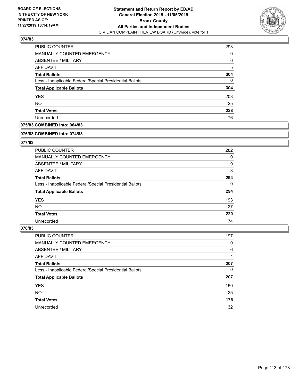

| <b>PUBLIC COUNTER</b>                                    | 293 |
|----------------------------------------------------------|-----|
| <b>MANUALLY COUNTED EMERGENCY</b>                        | 0   |
| <b>ABSENTEE / MILITARY</b>                               | 6   |
| AFFIDAVIT                                                | 5   |
| <b>Total Ballots</b>                                     | 304 |
| Less - Inapplicable Federal/Special Presidential Ballots | 0   |
| <b>Total Applicable Ballots</b>                          | 304 |
| <b>YES</b>                                               | 203 |
| <b>NO</b>                                                | 25  |
| <b>Total Votes</b>                                       | 228 |
| Unrecorded                                               | 76  |

# **075/83 COMBINED into: 064/83**

#### **076/83 COMBINED into: 074/83**

# **077/83**

| <b>PUBLIC COUNTER</b>                                    | 282      |
|----------------------------------------------------------|----------|
| <b>MANUALLY COUNTED EMERGENCY</b>                        | 0        |
| ABSENTEE / MILITARY                                      | 9        |
| AFFIDAVIT                                                | 3        |
| <b>Total Ballots</b>                                     | 294      |
| Less - Inapplicable Federal/Special Presidential Ballots | $\Omega$ |
| <b>Total Applicable Ballots</b>                          | 294      |
| <b>YES</b>                                               | 193      |
| NO.                                                      | 27       |
| <b>Total Votes</b>                                       | 220      |
| Unrecorded                                               | 74       |

| PUBLIC COUNTER                                           | 197 |
|----------------------------------------------------------|-----|
| <b>MANUALLY COUNTED EMERGENCY</b>                        | 0   |
| ABSENTEE / MILITARY                                      | 6   |
| AFFIDAVIT                                                | 4   |
| <b>Total Ballots</b>                                     | 207 |
| Less - Inapplicable Federal/Special Presidential Ballots | 0   |
| <b>Total Applicable Ballots</b>                          | 207 |
| <b>YES</b>                                               | 150 |
| <b>NO</b>                                                | 25  |
| <b>Total Votes</b>                                       | 175 |
| Unrecorded                                               | 32  |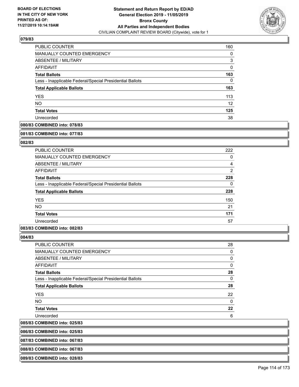

| PUBLIC COUNTER                                           | 160 |
|----------------------------------------------------------|-----|
| <b>MANUALLY COUNTED EMERGENCY</b>                        | 0   |
| ABSENTEE / MILITARY                                      | 3   |
| AFFIDAVIT                                                | 0   |
| <b>Total Ballots</b>                                     | 163 |
| Less - Inapplicable Federal/Special Presidential Ballots | 0   |
| <b>Total Applicable Ballots</b>                          | 163 |
| <b>YES</b>                                               | 113 |
| <b>NO</b>                                                | 12  |
| <b>Total Votes</b>                                       | 125 |
| Unrecorded                                               | 38  |

# **080/83 COMBINED into: 078/83**

#### **081/83 COMBINED into: 077/83**

# **082/83**

| <b>PUBLIC COUNTER</b>                                    | 222            |
|----------------------------------------------------------|----------------|
| <b>MANUALLY COUNTED EMERGENCY</b>                        | 0              |
| ABSENTEE / MILITARY                                      | 4              |
| <b>AFFIDAVIT</b>                                         | $\overline{2}$ |
| <b>Total Ballots</b>                                     | 228            |
| Less - Inapplicable Federal/Special Presidential Ballots | 0              |
| <b>Total Applicable Ballots</b>                          | 228            |
| <b>YES</b>                                               | 150            |
| <b>NO</b>                                                | 21             |
| <b>Total Votes</b>                                       | 171            |
| Unrecorded                                               | 57             |

## **083/83 COMBINED into: 082/83**

**084/83** 

 $|085/83$ 

| PUBLIC COUNTER                                           | 28 |
|----------------------------------------------------------|----|
| <b>MANUALLY COUNTED EMERGENCY</b>                        | 0  |
| <b>ABSENTEE / MILITARY</b>                               | 0  |
| AFFIDAVIT                                                | 0  |
| <b>Total Ballots</b>                                     | 28 |
| Less - Inapplicable Federal/Special Presidential Ballots | 0  |
| <b>Total Applicable Ballots</b>                          | 28 |
| <b>YES</b>                                               | 22 |
| NO.                                                      | 0  |
| <b>Total Votes</b>                                       | 22 |
| Unrecorded                                               | 6  |
| <b>COMBINED into: 025/83</b>                             |    |

**086/83 COMBINED into: 025/83**

**087/83 COMBINED into: 067/83**

**088/83 COMBINED into: 067/83**

**089/83 COMBINED into: 028/83**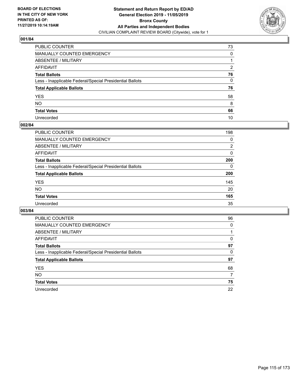

| PUBLIC COUNTER                                           | 73            |
|----------------------------------------------------------|---------------|
| MANUALLY COUNTED EMERGENCY                               | 0             |
| ABSENTEE / MILITARY                                      |               |
| AFFIDAVIT                                                | $\mathcal{P}$ |
| Total Ballots                                            | 76            |
| Less - Inapplicable Federal/Special Presidential Ballots | 0             |
| <b>Total Applicable Ballots</b>                          | 76            |
| YES                                                      | 58            |
| NO.                                                      | 8             |
| <b>Total Votes</b>                                       | 66            |
| Unrecorded                                               | 10            |

### **002/84**

| PUBLIC COUNTER                                           | 198      |
|----------------------------------------------------------|----------|
| MANUALLY COUNTED EMERGENCY                               | 0        |
| ABSENTEE / MILITARY                                      | 2        |
| AFFIDAVIT                                                | $\Omega$ |
| <b>Total Ballots</b>                                     | 200      |
| Less - Inapplicable Federal/Special Presidential Ballots | $\Omega$ |
| <b>Total Applicable Ballots</b>                          | 200      |
| <b>YES</b>                                               | 145      |
| <b>NO</b>                                                | 20       |
| <b>Total Votes</b>                                       | 165      |
| Unrecorded                                               | 35       |

| <b>PUBLIC COUNTER</b>                                    | 96       |
|----------------------------------------------------------|----------|
| <b>MANUALLY COUNTED EMERGENCY</b>                        | $\Omega$ |
| ABSENTEE / MILITARY                                      |          |
| AFFIDAVIT                                                | 0        |
| <b>Total Ballots</b>                                     | 97       |
| Less - Inapplicable Federal/Special Presidential Ballots | 0        |
| <b>Total Applicable Ballots</b>                          | 97       |
| <b>YES</b>                                               | 68       |
| NO.                                                      | 7        |
| <b>Total Votes</b>                                       | 75       |
| Unrecorded                                               | 22       |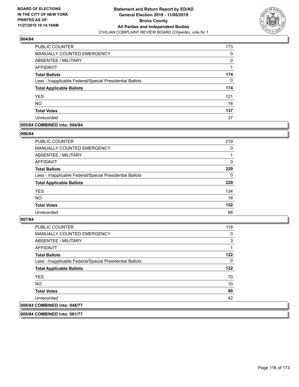

| PUBLIC COUNTER                                           | 173      |
|----------------------------------------------------------|----------|
| <b>MANUALLY COUNTED EMERGENCY</b>                        | 0        |
| ABSENTEE / MILITARY                                      | $\Omega$ |
| AFFIDAVIT                                                |          |
| <b>Total Ballots</b>                                     | 174      |
| Less - Inapplicable Federal/Special Presidential Ballots | 0        |
| <b>Total Applicable Ballots</b>                          | 174      |
| <b>YES</b>                                               | 121      |
| <b>NO</b>                                                | 16       |
| <b>Total Votes</b>                                       | 137      |
| Unrecorded                                               | 37       |

# **005/84 COMBINED into: 004/84**

### **006/84**

| PUBLIC COUNTER                                           | 219      |
|----------------------------------------------------------|----------|
| MANUALLY COUNTED EMERGENCY                               | 0        |
| ABSENTEE / MILITARY                                      |          |
| AFFIDAVIT                                                | 0        |
| <b>Total Ballots</b>                                     | 220      |
| Less - Inapplicable Federal/Special Presidential Ballots | $\Omega$ |
| <b>Total Applicable Ballots</b>                          | 220      |
| <b>YES</b>                                               | 134      |
| <b>NO</b>                                                | 18       |
| <b>Total Votes</b>                                       | 152      |
| Unrecorded                                               | 68       |
|                                                          |          |

# **007/84**

| 008/84 COMBINED into: 048/77                             |     |
|----------------------------------------------------------|-----|
| Unrecorded                                               | 42  |
| <b>Total Votes</b>                                       | 80  |
| NO.                                                      | 10  |
| <b>YES</b>                                               | 70  |
| <b>Total Applicable Ballots</b>                          | 122 |
| Less - Inapplicable Federal/Special Presidential Ballots | 0   |
| <b>Total Ballots</b>                                     | 122 |
| AFFIDAVIT                                                |     |
| ABSENTEE / MILITARY                                      | 3   |
| <b>MANUALLY COUNTED EMERGENCY</b>                        | 0   |
| <b>PUBLIC COUNTER</b>                                    | 118 |

**009/84 COMBINED into: 061/77**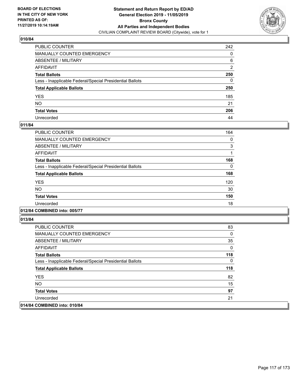

| PUBLIC COUNTER                                           | 242            |
|----------------------------------------------------------|----------------|
| MANUALLY COUNTED EMERGENCY                               | 0              |
| ABSENTEE / MILITARY                                      | 6              |
| AFFIDAVIT                                                | $\overline{2}$ |
| Total Ballots                                            | 250            |
| Less - Inapplicable Federal/Special Presidential Ballots | 0              |
| <b>Total Applicable Ballots</b>                          | 250            |
| YES                                                      | 185            |
| NO.                                                      | 21             |
| <b>Total Votes</b>                                       | 206            |
| Unrecorded                                               | 44             |

# **011/84**

| PUBLIC COUNTER                                           | 164 |
|----------------------------------------------------------|-----|
| <b>MANUALLY COUNTED EMERGENCY</b>                        | 0   |
| ABSENTEE / MILITARY                                      | 3   |
| <b>AFFIDAVIT</b>                                         |     |
| <b>Total Ballots</b>                                     | 168 |
| Less - Inapplicable Federal/Special Presidential Ballots | 0   |
| <b>Total Applicable Ballots</b>                          | 168 |
| <b>YES</b>                                               | 120 |
| <b>NO</b>                                                | 30  |
| <b>Total Votes</b>                                       | 150 |
| Unrecorded                                               | 18  |

# **012/84 COMBINED into: 005/77**

| <b>PUBLIC COUNTER</b>                                    | 83  |
|----------------------------------------------------------|-----|
| <b>MANUALLY COUNTED EMERGENCY</b>                        | 0   |
| ABSENTEE / MILITARY                                      | 35  |
| AFFIDAVIT                                                | 0   |
| <b>Total Ballots</b>                                     | 118 |
| Less - Inapplicable Federal/Special Presidential Ballots | 0   |
| <b>Total Applicable Ballots</b>                          | 118 |
| <b>YES</b>                                               | 82  |
| NO.                                                      | 15  |
| <b>Total Votes</b>                                       | 97  |
| Unrecorded                                               | 21  |
| 014/84 COMBINED into: 010/84                             |     |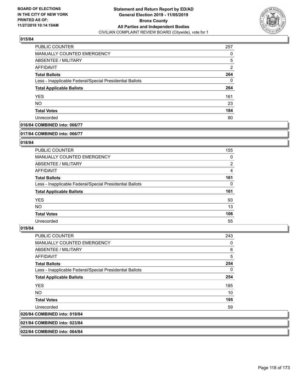

| PUBLIC COUNTER                                           | 257            |
|----------------------------------------------------------|----------------|
| <b>MANUALLY COUNTED EMERGENCY</b>                        | 0              |
| ABSENTEE / MILITARY                                      | 5              |
| AFFIDAVIT                                                | $\overline{2}$ |
| <b>Total Ballots</b>                                     | 264            |
| Less - Inapplicable Federal/Special Presidential Ballots | 0              |
| <b>Total Applicable Ballots</b>                          | 264            |
| <b>YES</b>                                               | 161            |
| <b>NO</b>                                                | 23             |
| <b>Total Votes</b>                                       | 184            |
| Unrecorded                                               | 80             |

# **016/84 COMBINED into: 066/77**

#### **017/84 COMBINED into: 066/77**

# **018/84**

| <b>PUBLIC COUNTER</b>                                    | 155            |
|----------------------------------------------------------|----------------|
| MANUALLY COUNTED EMERGENCY                               | 0              |
| ABSENTEE / MILITARY                                      | $\overline{2}$ |
| AFFIDAVIT                                                | 4              |
| <b>Total Ballots</b>                                     | 161            |
| Less - Inapplicable Federal/Special Presidential Ballots | $\Omega$       |
| <b>Total Applicable Ballots</b>                          | 161            |
| <b>YES</b>                                               | 93             |
| NO.                                                      | 13             |
| <b>Total Votes</b>                                       | 106            |
| Unrecorded                                               | 55             |

#### **019/84**

| <b>PUBLIC COUNTER</b>                                    | 243      |
|----------------------------------------------------------|----------|
| <b>MANUALLY COUNTED EMERGENCY</b>                        | 0        |
| ABSENTEE / MILITARY                                      | 6        |
| <b>AFFIDAVIT</b>                                         | 5        |
| <b>Total Ballots</b>                                     | 254      |
| Less - Inapplicable Federal/Special Presidential Ballots | $\Omega$ |
| <b>Total Applicable Ballots</b>                          | 254      |
| <b>YES</b>                                               | 185      |
| NO.                                                      | 10       |
| <b>Total Votes</b>                                       | 195      |
| Unrecorded                                               | 59       |
| 020/84 COMBINED into: 019/84                             |          |
|                                                          |          |

**021/84 COMBINED into: 023/84**

**022/84 COMBINED into: 064/84**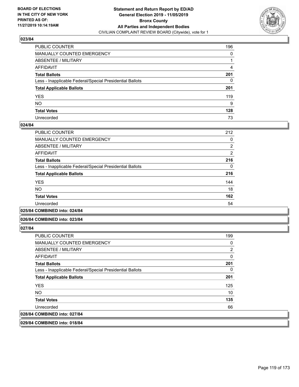

| PUBLIC COUNTER                                           | 196 |
|----------------------------------------------------------|-----|
| MANUALLY COUNTED EMERGENCY                               | 0   |
| ABSENTEE / MILITARY                                      |     |
| AFFIDAVIT                                                | 4   |
| Total Ballots                                            | 201 |
| Less - Inapplicable Federal/Special Presidential Ballots | 0   |
| <b>Total Applicable Ballots</b>                          | 201 |
| YES                                                      | 119 |
| NO.                                                      | 9   |
| <b>Total Votes</b>                                       | 128 |
| Unrecorded                                               | 73  |

### **024/84**

| PUBLIC COUNTER                                           | 212 |
|----------------------------------------------------------|-----|
| <b>MANUALLY COUNTED EMERGENCY</b>                        | 0   |
| ABSENTEE / MILITARY                                      | 2   |
| <b>AFFIDAVIT</b>                                         | 2   |
| <b>Total Ballots</b>                                     | 216 |
| Less - Inapplicable Federal/Special Presidential Ballots | 0   |
| <b>Total Applicable Ballots</b>                          | 216 |
| <b>YES</b>                                               | 144 |
| <b>NO</b>                                                | 18  |
| <b>Total Votes</b>                                       | 162 |
| Unrecorded                                               | 54  |
|                                                          |     |

## **025/84 COMBINED into: 024/84**

### **026/84 COMBINED into: 023/84**

# **027/84**

| <b>PUBLIC COUNTER</b>                                    | 199 |
|----------------------------------------------------------|-----|
| MANUALLY COUNTED EMERGENCY                               | 0   |
| ABSENTEE / MILITARY                                      | 2   |
| AFFIDAVIT                                                | 0   |
| <b>Total Ballots</b>                                     | 201 |
| Less - Inapplicable Federal/Special Presidential Ballots | 0   |
| <b>Total Applicable Ballots</b>                          | 201 |
| <b>YES</b>                                               | 125 |
| NO.                                                      | 10  |
| <b>Total Votes</b>                                       | 135 |
| Unrecorded                                               | 66  |
| 028/84 COMBINED into: 027/84                             |     |

**029/84 COMBINED into: 018/84**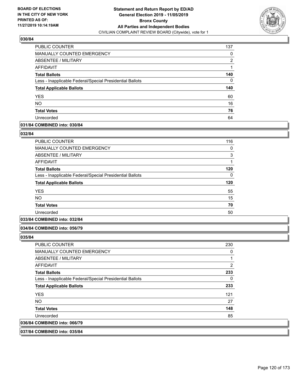

| PUBLIC COUNTER                                           | 137 |
|----------------------------------------------------------|-----|
| MANUALLY COUNTED EMERGENCY                               | 0   |
| <b>ABSENTEE / MILITARY</b>                               | 2   |
| AFFIDAVIT                                                |     |
| <b>Total Ballots</b>                                     | 140 |
| Less - Inapplicable Federal/Special Presidential Ballots | 0   |
| <b>Total Applicable Ballots</b>                          | 140 |
| <b>YES</b>                                               | 60  |
| <b>NO</b>                                                | 16  |
| <b>Total Votes</b>                                       | 76  |
| Unrecorded                                               | 64  |

# **031/84 COMBINED into: 030/84**

#### **032/84**

| PUBLIC COUNTER                                           | 116 |
|----------------------------------------------------------|-----|
| <b>MANUALLY COUNTED EMERGENCY</b>                        | 0   |
| ABSENTEE / MILITARY                                      | 3   |
| <b>AFFIDAVIT</b>                                         | 1   |
| <b>Total Ballots</b>                                     | 120 |
| Less - Inapplicable Federal/Special Presidential Ballots | 0   |
| <b>Total Applicable Ballots</b>                          | 120 |
| <b>YES</b>                                               | 55  |
| <b>NO</b>                                                | 15  |
| <b>Total Votes</b>                                       | 70  |
| Unrecorded                                               | 50  |
|                                                          |     |

# **033/84 COMBINED into: 032/84**

### **034/84 COMBINED into: 056/79**

**035/84** 

| <b>PUBLIC COUNTER</b>                                    | 230 |
|----------------------------------------------------------|-----|
| <b>MANUALLY COUNTED EMERGENCY</b>                        | 0   |
| ABSENTEE / MILITARY                                      |     |
| AFFIDAVIT                                                | 2   |
| <b>Total Ballots</b>                                     | 233 |
| Less - Inapplicable Federal/Special Presidential Ballots | 0   |
| <b>Total Applicable Ballots</b>                          | 233 |
| <b>YES</b>                                               | 121 |
| NO.                                                      | 27  |
| <b>Total Votes</b>                                       | 148 |
| Unrecorded                                               | 85  |
| 036/84 COMBINED into: 066/79                             |     |
|                                                          |     |

# **037/84 COMBINED into: 035/84**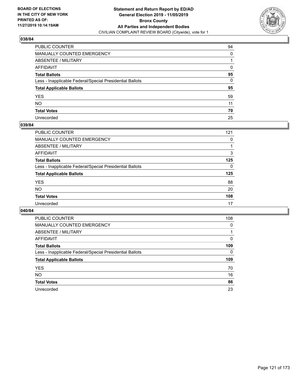

| PUBLIC COUNTER                                           | 94           |
|----------------------------------------------------------|--------------|
| MANUALLY COUNTED EMERGENCY                               | 0            |
| ABSENTEE / MILITARY                                      |              |
| AFFIDAVIT                                                | 0            |
| Total Ballots                                            | 95           |
| Less - Inapplicable Federal/Special Presidential Ballots | $\mathbf{0}$ |
| <b>Total Applicable Ballots</b>                          | 95           |
| YES                                                      | 59           |
| NO.                                                      | 11           |
| <b>Total Votes</b>                                       | 70           |
| Unrecorded                                               | 25           |

### **039/84**

| 121      |
|----------|
| 0        |
|          |
| 3        |
| 125      |
| $\Omega$ |
| 125      |
| 88       |
| 20       |
| 108      |
| 17       |
|          |

| <b>PUBLIC COUNTER</b>                                    | 108      |
|----------------------------------------------------------|----------|
| MANUALLY COUNTED EMERGENCY                               | $\Omega$ |
| ABSENTEE / MILITARY                                      |          |
| AFFIDAVIT                                                | 0        |
| <b>Total Ballots</b>                                     | 109      |
| Less - Inapplicable Federal/Special Presidential Ballots | 0        |
| <b>Total Applicable Ballots</b>                          | 109      |
| <b>YES</b>                                               | 70       |
| NO.                                                      | 16       |
|                                                          |          |
| <b>Total Votes</b>                                       | 86       |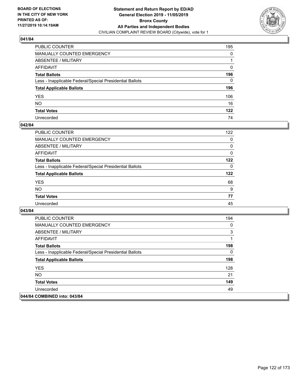

| PUBLIC COUNTER                                           | 195 |
|----------------------------------------------------------|-----|
| MANUALLY COUNTED EMERGENCY                               | 0   |
| ABSENTEE / MILITARY                                      | 1   |
| AFFIDAVIT                                                | 0   |
| Total Ballots                                            | 196 |
| Less - Inapplicable Federal/Special Presidential Ballots | 0   |
| <b>Total Applicable Ballots</b>                          | 196 |
| YES                                                      | 106 |
| NO.                                                      | 16  |
| <b>Total Votes</b>                                       | 122 |
| Unrecorded                                               | 74  |

### **042/84**

| 122      |
|----------|
|          |
| 0        |
| 0        |
| 0        |
| 122      |
| $\Omega$ |
| 122      |
| 68       |
| 9        |
| 77       |
| 45       |
|          |

| <b>PUBLIC COUNTER</b>                                    | 194 |
|----------------------------------------------------------|-----|
| <b>MANUALLY COUNTED EMERGENCY</b>                        | 0   |
| ABSENTEE / MILITARY                                      | 3   |
| AFFIDAVIT                                                |     |
| <b>Total Ballots</b>                                     | 198 |
| Less - Inapplicable Federal/Special Presidential Ballots | 0   |
| <b>Total Applicable Ballots</b>                          | 198 |
| <b>YES</b>                                               | 128 |
| <b>NO</b>                                                | 21  |
| <b>Total Votes</b>                                       | 149 |
| Unrecorded                                               | 49  |
| 044/84 COMBINED into: 043/84                             |     |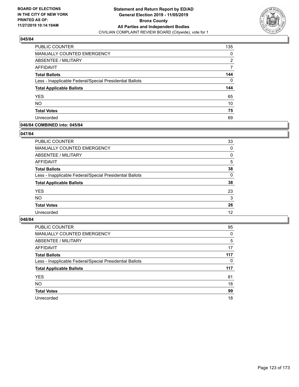

| PUBLIC COUNTER                                           | 135 |
|----------------------------------------------------------|-----|
| MANUALLY COUNTED EMERGENCY                               | 0   |
| <b>ABSENTEE / MILITARY</b>                               | 2   |
| AFFIDAVIT                                                | 7   |
| <b>Total Ballots</b>                                     | 144 |
| Less - Inapplicable Federal/Special Presidential Ballots | 0   |
| <b>Total Applicable Ballots</b>                          | 144 |
| <b>YES</b>                                               | 65  |
| <b>NO</b>                                                | 10  |
| <b>Total Votes</b>                                       | 75  |
| Unrecorded                                               | 69  |

# **046/84 COMBINED into: 045/84**

### **047/84**

| PUBLIC COUNTER                                           | 33       |
|----------------------------------------------------------|----------|
| <b>MANUALLY COUNTED EMERGENCY</b>                        | $\Omega$ |
| <b>ABSENTEE / MILITARY</b>                               | 0        |
| <b>AFFIDAVIT</b>                                         | 5        |
| <b>Total Ballots</b>                                     | 38       |
| Less - Inapplicable Federal/Special Presidential Ballots | $\Omega$ |
| <b>Total Applicable Ballots</b>                          | 38       |
| <b>YES</b>                                               | 23       |
| <b>NO</b>                                                | 3        |
| <b>Total Votes</b>                                       | 26       |
| Unrecorded                                               | 12       |
|                                                          |          |

| <b>PUBLIC COUNTER</b>                                    | 95  |
|----------------------------------------------------------|-----|
| <b>MANUALLY COUNTED EMERGENCY</b>                        | 0   |
| ABSENTEE / MILITARY                                      | 5   |
| AFFIDAVIT                                                | 17  |
| <b>Total Ballots</b>                                     | 117 |
| Less - Inapplicable Federal/Special Presidential Ballots | 0   |
|                                                          |     |
| <b>Total Applicable Ballots</b>                          | 117 |
| <b>YES</b>                                               | 81  |
| <b>NO</b>                                                | 18  |
| <b>Total Votes</b>                                       | 99  |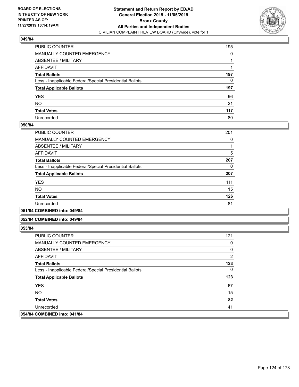

| PUBLIC COUNTER                                           | 195 |
|----------------------------------------------------------|-----|
| MANUALLY COUNTED EMERGENCY                               | 0   |
| ABSENTEE / MILITARY                                      | 1   |
| AFFIDAVIT                                                |     |
| Total Ballots                                            | 197 |
| Less - Inapplicable Federal/Special Presidential Ballots | 0   |
| <b>Total Applicable Ballots</b>                          | 197 |
| YES                                                      | 96  |
| NO.                                                      | 21  |
| <b>Total Votes</b>                                       | 117 |
| Unrecorded                                               | 80  |

### **050/84**

| PUBLIC COUNTER                                           | 201 |
|----------------------------------------------------------|-----|
| <b>MANUALLY COUNTED EMERGENCY</b>                        | 0   |
| ABSENTEE / MILITARY                                      |     |
| <b>AFFIDAVIT</b>                                         | 5   |
| <b>Total Ballots</b>                                     | 207 |
| Less - Inapplicable Federal/Special Presidential Ballots | 0   |
| <b>Total Applicable Ballots</b>                          | 207 |
| <b>YES</b>                                               | 111 |
| <b>NO</b>                                                | 15  |
| <b>Total Votes</b>                                       | 126 |
| Unrecorded                                               | 81  |
|                                                          |     |

#### **051/84 COMBINED into: 049/84**

#### **052/84 COMBINED into: 049/84**

| <b>PUBLIC COUNTER</b>                                    | 121          |
|----------------------------------------------------------|--------------|
| MANUALLY COUNTED EMERGENCY                               | 0            |
| ABSENTEE / MILITARY                                      | 0            |
| AFFIDAVIT                                                | 2            |
| <b>Total Ballots</b>                                     | 123          |
| Less - Inapplicable Federal/Special Presidential Ballots | $\mathbf{0}$ |
| <b>Total Applicable Ballots</b>                          | 123          |
| <b>YFS</b>                                               | 67           |
| <b>NO</b>                                                | 15           |
| <b>Total Votes</b>                                       | 82           |
| Unrecorded                                               | 41           |
| 054/84 COMBINED into: 041/84                             |              |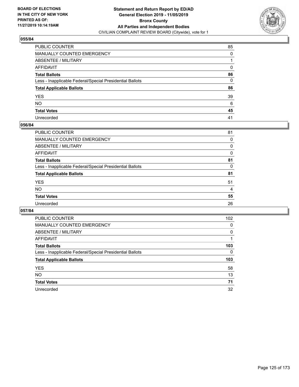

| PUBLIC COUNTER                                           | 85 |
|----------------------------------------------------------|----|
| MANUALLY COUNTED EMERGENCY                               | 0  |
| ABSENTEE / MILITARY                                      | 1  |
| AFFIDAVIT                                                | 0  |
| Total Ballots                                            | 86 |
| Less - Inapplicable Federal/Special Presidential Ballots | 0  |
| <b>Total Applicable Ballots</b>                          | 86 |
| YES                                                      | 39 |
| NO.                                                      | 6  |
| <b>Total Votes</b>                                       | 45 |
| Unrecorded                                               | 41 |

### **056/84**

| PUBLIC COUNTER                                           | 81 |
|----------------------------------------------------------|----|
| MANUALLY COUNTED EMERGENCY                               | 0  |
| ABSENTEE / MILITARY                                      | 0  |
| AFFIDAVIT                                                | 0  |
| <b>Total Ballots</b>                                     | 81 |
| Less - Inapplicable Federal/Special Presidential Ballots | 0  |
| <b>Total Applicable Ballots</b>                          | 81 |
| <b>YES</b>                                               | 51 |
| <b>NO</b>                                                | 4  |
| <b>Total Votes</b>                                       | 55 |
| Unrecorded                                               | 26 |
|                                                          |    |

| <b>PUBLIC COUNTER</b>                                    | 102      |
|----------------------------------------------------------|----------|
| <b>MANUALLY COUNTED EMERGENCY</b>                        | 0        |
| ABSENTEE / MILITARY                                      | $\Omega$ |
| AFFIDAVIT                                                |          |
| <b>Total Ballots</b>                                     | 103      |
| Less - Inapplicable Federal/Special Presidential Ballots | 0        |
| <b>Total Applicable Ballots</b>                          | 103      |
| <b>YES</b>                                               | 58       |
| NO.                                                      | 13       |
| <b>Total Votes</b>                                       | 71       |
| Unrecorded                                               | 32       |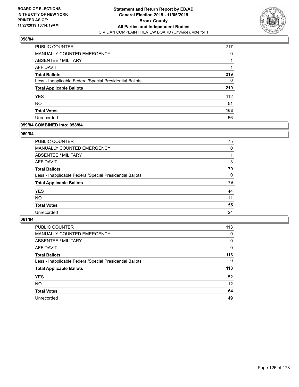

| PUBLIC COUNTER                                           | 217 |
|----------------------------------------------------------|-----|
| MANUALLY COUNTED EMERGENCY                               | 0   |
| ABSENTEE / MILITARY                                      |     |
| AFFIDAVIT                                                |     |
| <b>Total Ballots</b>                                     | 219 |
| Less - Inapplicable Federal/Special Presidential Ballots | 0   |
| <b>Total Applicable Ballots</b>                          | 219 |
| <b>YES</b>                                               | 112 |
| <b>NO</b>                                                | 51  |
| <b>Total Votes</b>                                       | 163 |
| Unrecorded                                               | 56  |

# **059/84 COMBINED into: 058/84**

### **060/84**

| <b>PUBLIC COUNTER</b>                                    | 75       |
|----------------------------------------------------------|----------|
| <b>MANUALLY COUNTED EMERGENCY</b>                        | $\Omega$ |
| ABSENTEE / MILITARY                                      |          |
| AFFIDAVIT                                                | 3        |
| <b>Total Ballots</b>                                     | 79       |
| Less - Inapplicable Federal/Special Presidential Ballots | $\Omega$ |
| <b>Total Applicable Ballots</b>                          | 79       |
| <b>YES</b>                                               | 44       |
| <b>NO</b>                                                | 11       |
| <b>Total Votes</b>                                       | 55       |
| Unrecorded                                               | 24       |
|                                                          |          |

| <b>PUBLIC COUNTER</b>                                    | 113      |
|----------------------------------------------------------|----------|
| <b>MANUALLY COUNTED EMERGENCY</b>                        | 0        |
| ABSENTEE / MILITARY                                      | 0        |
| AFFIDAVIT                                                | $\Omega$ |
| <b>Total Ballots</b>                                     | 113      |
| Less - Inapplicable Federal/Special Presidential Ballots | $\Omega$ |
| <b>Total Applicable Ballots</b>                          | 113      |
| <b>YES</b>                                               | 52       |
| <b>NO</b>                                                | 12       |
|                                                          |          |
| <b>Total Votes</b>                                       | 64       |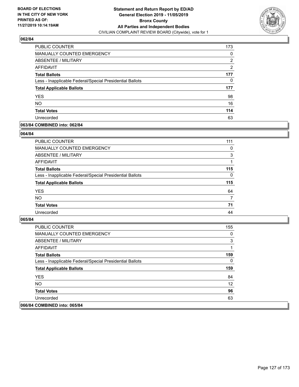

| PUBLIC COUNTER                                           | 173           |
|----------------------------------------------------------|---------------|
| <b>MANUALLY COUNTED EMERGENCY</b>                        | 0             |
| ABSENTEE / MILITARY                                      | 2             |
| AFFIDAVIT                                                | $\mathcal{P}$ |
| <b>Total Ballots</b>                                     | 177           |
| Less - Inapplicable Federal/Special Presidential Ballots | 0             |
| <b>Total Applicable Ballots</b>                          | 177           |
| <b>YES</b>                                               | 98            |
| <b>NO</b>                                                | 16            |
| <b>Total Votes</b>                                       | 114           |
| Unrecorded                                               | 63            |

# **063/84 COMBINED into: 062/84**

#### **064/84**

| <b>PUBLIC COUNTER</b>                                    | 111      |
|----------------------------------------------------------|----------|
| MANUALLY COUNTED EMERGENCY                               | $\Omega$ |
| ABSENTEE / MILITARY                                      | 3        |
| AFFIDAVIT                                                |          |
| <b>Total Ballots</b>                                     | 115      |
| Less - Inapplicable Federal/Special Presidential Ballots | $\Omega$ |
| <b>Total Applicable Ballots</b>                          | 115      |
| <b>YES</b>                                               | 64       |
| <b>NO</b>                                                | 7        |
| <b>Total Votes</b>                                       | 71       |
| Unrecorded                                               | 44       |
|                                                          |          |

| PUBLIC COUNTER                                           | 155 |
|----------------------------------------------------------|-----|
| <b>MANUALLY COUNTED EMERGENCY</b>                        | 0   |
| ABSENTEE / MILITARY                                      | 3   |
| AFFIDAVIT                                                |     |
| <b>Total Ballots</b>                                     | 159 |
| Less - Inapplicable Federal/Special Presidential Ballots | 0   |
| <b>Total Applicable Ballots</b>                          | 159 |
| <b>YES</b>                                               | 84  |
| NO.                                                      | 12  |
| <b>Total Votes</b>                                       | 96  |
| Unrecorded                                               | 63  |
| 066/84 COMBINED into: 065/84                             |     |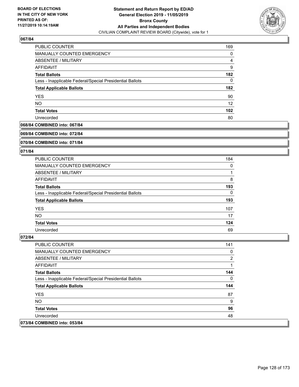

| PUBLIC COUNTER                                           | 169 |
|----------------------------------------------------------|-----|
| MANUALLY COUNTED EMERGENCY                               | 0   |
| ABSENTEE / MILITARY                                      | 4   |
| AFFIDAVIT                                                | 9   |
| <b>Total Ballots</b>                                     | 182 |
| Less - Inapplicable Federal/Special Presidential Ballots | 0   |
| <b>Total Applicable Ballots</b>                          | 182 |
| <b>YES</b>                                               | 90  |
| <b>NO</b>                                                | 12  |
| <b>Total Votes</b>                                       | 102 |
| Unrecorded                                               | 80  |

#### **068/84 COMBINED into: 067/84**

#### **069/84 COMBINED into: 072/84**

# **070/84 COMBINED into: 071/84**

#### **071/84**

| <b>PUBLIC COUNTER</b>                                    | 184 |
|----------------------------------------------------------|-----|
| <b>MANUALLY COUNTED EMERGENCY</b>                        | 0   |
| ABSENTEE / MILITARY                                      |     |
| AFFIDAVIT                                                | 8   |
| <b>Total Ballots</b>                                     | 193 |
| Less - Inapplicable Federal/Special Presidential Ballots | 0   |
| <b>Total Applicable Ballots</b>                          | 193 |
| <b>YES</b>                                               | 107 |
| <b>NO</b>                                                | 17  |
| <b>Total Votes</b>                                       | 124 |
| Unrecorded                                               | 69  |

| <b>PUBLIC COUNTER</b>                                    | 141 |
|----------------------------------------------------------|-----|
| <b>MANUALLY COUNTED EMERGENCY</b>                        | 0   |
| ABSENTEE / MILITARY                                      | 2   |
| AFFIDAVIT                                                |     |
| <b>Total Ballots</b>                                     | 144 |
| Less - Inapplicable Federal/Special Presidential Ballots | 0   |
| <b>Total Applicable Ballots</b>                          | 144 |
| <b>YES</b>                                               | 87  |
| NO.                                                      | 9   |
| <b>Total Votes</b>                                       | 96  |
| Unrecorded                                               | 48  |
| 073/84 COMBINED into: 053/84                             |     |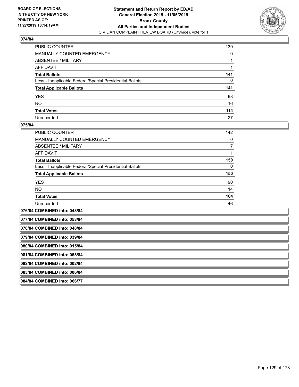

| PUBLIC COUNTER                                           | 139 |
|----------------------------------------------------------|-----|
| MANUALLY COUNTED EMERGENCY                               | 0   |
| ABSENTEE / MILITARY                                      |     |
| AFFIDAVIT                                                |     |
| Total Ballots                                            | 141 |
| Less - Inapplicable Federal/Special Presidential Ballots | 0   |
| <b>Total Applicable Ballots</b>                          | 141 |
| YES                                                      | 98  |
| NO.                                                      | 16  |
| <b>Total Votes</b>                                       | 114 |
| Unrecorded                                               | 27  |

#### **075/84**

| <b>PUBLIC COUNTER</b>                                    | 142          |
|----------------------------------------------------------|--------------|
| <b>MANUALLY COUNTED EMERGENCY</b>                        | 0            |
| ABSENTEE / MILITARY                                      | 7            |
| <b>AFFIDAVIT</b>                                         |              |
| <b>Total Ballots</b>                                     | 150          |
| Less - Inapplicable Federal/Special Presidential Ballots | $\mathbf{0}$ |
| <b>Total Applicable Ballots</b>                          | 150          |
| <b>YES</b>                                               | 90           |
| NO.                                                      | 14           |
| <b>Total Votes</b>                                       | 104          |
| Unrecorded                                               | 46           |
| 076/84 COMBINED into: 048/84                             |              |

**077/84 COMBINED into: 053/84**

**078/84 COMBINED into: 048/84**

**079/84 COMBINED into: 039/84**

**080/84 COMBINED into: 015/84**

**081/84 COMBINED into: 053/84**

**082/84 COMBINED into: 002/84**

**083/84 COMBINED into: 006/84**

**084/84 COMBINED into: 066/77**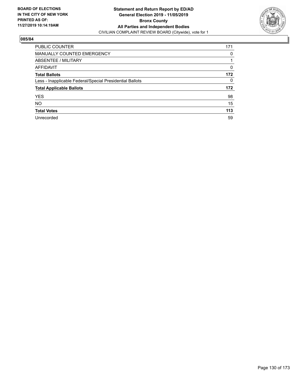

| <b>PUBLIC COUNTER</b>                                    | 171      |
|----------------------------------------------------------|----------|
| MANUALLY COUNTED EMERGENCY                               | 0        |
| ABSENTEE / MILITARY                                      |          |
| AFFIDAVIT                                                | $\Omega$ |
| <b>Total Ballots</b>                                     | 172      |
| Less - Inapplicable Federal/Special Presidential Ballots | 0        |
| <b>Total Applicable Ballots</b>                          | 172      |
| <b>YES</b>                                               | 98       |
| <b>NO</b>                                                | 15       |
| <b>Total Votes</b>                                       | 113      |
|                                                          |          |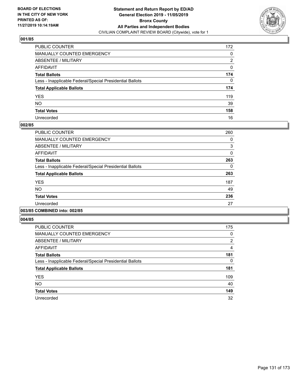

| PUBLIC COUNTER                                           | 172 |
|----------------------------------------------------------|-----|
| MANUALLY COUNTED EMERGENCY                               | 0   |
| ABSENTEE / MILITARY                                      | 2   |
| AFFIDAVIT                                                | 0   |
| Total Ballots                                            | 174 |
| Less - Inapplicable Federal/Special Presidential Ballots | 0   |
| <b>Total Applicable Ballots</b>                          | 174 |
| YES                                                      | 119 |
| NO.                                                      | 39  |
| <b>Total Votes</b>                                       | 158 |
| Unrecorded                                               | 16  |

### **002/85**

| <b>PUBLIC COUNTER</b>                                    | 260      |
|----------------------------------------------------------|----------|
| <b>MANUALLY COUNTED EMERGENCY</b>                        | 0        |
| ABSENTEE / MILITARY                                      | 3        |
| <b>AFFIDAVIT</b>                                         | 0        |
| <b>Total Ballots</b>                                     | 263      |
| Less - Inapplicable Federal/Special Presidential Ballots | $\Omega$ |
| <b>Total Applicable Ballots</b>                          | 263      |
| <b>YES</b>                                               | 187      |
| <b>NO</b>                                                | 49       |
| <b>Total Votes</b>                                       | 236      |
| Unrecorded                                               | 27       |
|                                                          |          |

## **003/85 COMBINED into: 002/85**

| <b>PUBLIC COUNTER</b>                                    | 175           |
|----------------------------------------------------------|---------------|
| <b>MANUALLY COUNTED EMERGENCY</b>                        | 0             |
| ABSENTEE / MILITARY                                      | $\mathcal{P}$ |
| AFFIDAVIT                                                | 4             |
| <b>Total Ballots</b>                                     | 181           |
| Less - Inapplicable Federal/Special Presidential Ballots | 0             |
| <b>Total Applicable Ballots</b>                          | 181           |
| <b>YES</b>                                               | 109           |
| <b>NO</b>                                                | 40            |
| <b>Total Votes</b>                                       | 149           |
| Unrecorded                                               | 32            |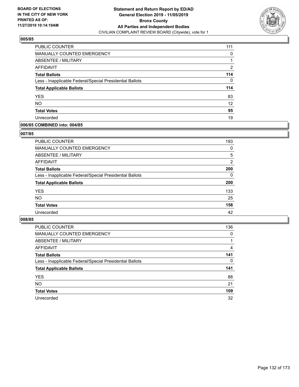

| <b>PUBLIC COUNTER</b>                                    | 111               |
|----------------------------------------------------------|-------------------|
| <b>MANUALLY COUNTED EMERGENCY</b>                        | 0                 |
| <b>ABSENTEE / MILITARY</b>                               |                   |
| AFFIDAVIT                                                | 2                 |
| <b>Total Ballots</b>                                     | 114               |
| Less - Inapplicable Federal/Special Presidential Ballots | 0                 |
| <b>Total Applicable Ballots</b>                          | 114               |
| <b>YES</b>                                               | 83                |
| <b>NO</b>                                                | $12 \overline{ }$ |
| <b>Total Votes</b>                                       | 95                |
| Unrecorded                                               | 19                |

# **006/85 COMBINED into: 004/85**

### **007/85**

| <b>PUBLIC COUNTER</b>                                    | 193      |
|----------------------------------------------------------|----------|
| <b>MANUALLY COUNTED EMERGENCY</b>                        | $\Omega$ |
| ABSENTEE / MILITARY                                      | 5        |
| AFFIDAVIT                                                | 2        |
| <b>Total Ballots</b>                                     | 200      |
| Less - Inapplicable Federal/Special Presidential Ballots | $\Omega$ |
| <b>Total Applicable Ballots</b>                          | 200      |
| <b>YES</b>                                               | 133      |
| <b>NO</b>                                                | 25       |
| <b>Total Votes</b>                                       | 158      |
| Unrecorded                                               | 42       |
|                                                          |          |

| <b>PUBLIC COUNTER</b>                                    | 136      |
|----------------------------------------------------------|----------|
| MANUALLY COUNTED EMERGENCY                               | $\Omega$ |
| ABSENTEE / MILITARY                                      |          |
| AFFIDAVIT                                                | 4        |
| <b>Total Ballots</b>                                     | 141      |
| Less - Inapplicable Federal/Special Presidential Ballots | $\Omega$ |
| <b>Total Applicable Ballots</b>                          | 141      |
| <b>YES</b>                                               | 88       |
| <b>NO</b>                                                | 21       |
| <b>Total Votes</b>                                       | 109      |
| Unrecorded                                               | 32       |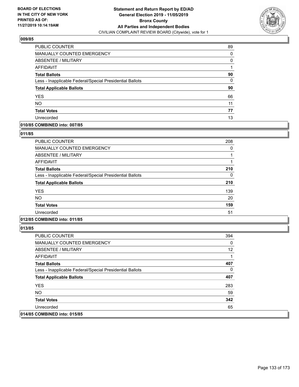

| PUBLIC COUNTER                                           | 89 |
|----------------------------------------------------------|----|
| <b>MANUALLY COUNTED EMERGENCY</b>                        | 0  |
| ABSENTEE / MILITARY                                      | 0  |
| AFFIDAVIT                                                |    |
| <b>Total Ballots</b>                                     | 90 |
| Less - Inapplicable Federal/Special Presidential Ballots | 0  |
| <b>Total Applicable Ballots</b>                          | 90 |
| <b>YES</b>                                               | 66 |
| <b>NO</b>                                                | 11 |
| <b>Total Votes</b>                                       | 77 |
| Unrecorded                                               | 13 |

# **010/85 COMBINED into: 007/85**

#### **011/85**

| <b>PUBLIC COUNTER</b>                                    | 208 |
|----------------------------------------------------------|-----|
| <b>MANUALLY COUNTED EMERGENCY</b>                        | 0   |
| ABSENTEE / MILITARY                                      |     |
| AFFIDAVIT                                                |     |
| <b>Total Ballots</b>                                     | 210 |
| Less - Inapplicable Federal/Special Presidential Ballots | 0   |
| <b>Total Applicable Ballots</b>                          | 210 |
| <b>YES</b>                                               | 139 |
| <b>NO</b>                                                | 20  |
| <b>Total Votes</b>                                       | 159 |
| Unrecorded                                               | 51  |

# **012/85 COMBINED into: 011/85**

| <b>PUBLIC COUNTER</b>                                    | 394 |
|----------------------------------------------------------|-----|
| <b>MANUALLY COUNTED EMERGENCY</b>                        | 0   |
| ABSENTEE / MILITARY                                      | 12  |
| AFFIDAVIT                                                | 1   |
| <b>Total Ballots</b>                                     | 407 |
| Less - Inapplicable Federal/Special Presidential Ballots | 0   |
| <b>Total Applicable Ballots</b>                          | 407 |
| <b>YES</b>                                               | 283 |
| NO.                                                      | 59  |
| <b>Total Votes</b>                                       | 342 |
| Unrecorded                                               | 65  |
| 014/85 COMBINED into: 015/85                             |     |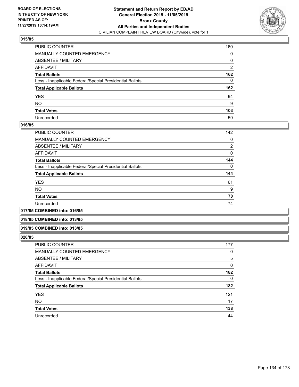

| PUBLIC COUNTER                                           | 160            |
|----------------------------------------------------------|----------------|
| MANUALLY COUNTED EMERGENCY                               | 0              |
| ABSENTEE / MILITARY                                      | 0              |
| AFFIDAVIT                                                | $\overline{2}$ |
| Total Ballots                                            | 162            |
| Less - Inapplicable Federal/Special Presidential Ballots | 0              |
| <b>Total Applicable Ballots</b>                          | 162            |
| YES                                                      | 94             |
| NO.                                                      | 9              |
| <b>Total Votes</b>                                       | 103            |
| Unrecorded                                               | 59             |

# **016/85**

| <b>PUBLIC COUNTER</b>                                    | 142            |
|----------------------------------------------------------|----------------|
| <b>MANUALLY COUNTED EMERGENCY</b>                        | 0              |
| ABSENTEE / MILITARY                                      | $\overline{2}$ |
| <b>AFFIDAVIT</b>                                         | 0              |
| <b>Total Ballots</b>                                     | 144            |
| Less - Inapplicable Federal/Special Presidential Ballots | $\Omega$       |
| <b>Total Applicable Ballots</b>                          | 144            |
| <b>YES</b>                                               | 61             |
| <b>NO</b>                                                | 9              |
| <b>Total Votes</b>                                       | 70             |
| Unrecorded                                               | 74             |
|                                                          |                |

#### **017/85 COMBINED into: 016/85**

#### **018/85 COMBINED into: 013/85**

#### **019/85 COMBINED into: 013/85**

| PUBLIC COUNTER                                           | 177      |
|----------------------------------------------------------|----------|
| MANUALLY COUNTED EMERGENCY                               | 0        |
| <b>ABSENTEE / MILITARY</b>                               | 5        |
| AFFIDAVIT                                                | 0        |
| <b>Total Ballots</b>                                     | 182      |
| Less - Inapplicable Federal/Special Presidential Ballots | $\Omega$ |
| <b>Total Applicable Ballots</b>                          | 182      |
| <b>YES</b>                                               | 121      |
| <b>NO</b>                                                | 17       |
| <b>Total Votes</b>                                       | 138      |
| Unrecorded                                               | 44       |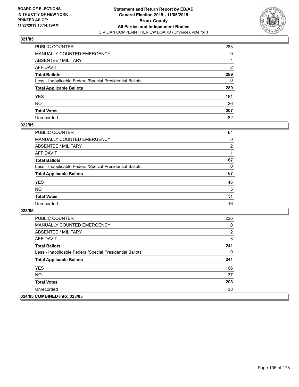

| PUBLIC COUNTER                                           | 283            |
|----------------------------------------------------------|----------------|
| MANUALLY COUNTED EMERGENCY                               | 0              |
| ABSENTEE / MILITARY                                      | 4              |
| AFFIDAVIT                                                | $\overline{2}$ |
| Total Ballots                                            | 289            |
| Less - Inapplicable Federal/Special Presidential Ballots | 0              |
| <b>Total Applicable Ballots</b>                          | 289            |
| YES                                                      | 181            |
| NO.                                                      | 26             |
| <b>Total Votes</b>                                       | 207            |
| Unrecorded                                               | 82             |

### **022/85**

| <b>PUBLIC COUNTER</b>                                    | 64             |
|----------------------------------------------------------|----------------|
| <b>MANUALLY COUNTED EMERGENCY</b>                        | 0              |
| ABSENTEE / MILITARY                                      | $\overline{2}$ |
| AFFIDAVIT                                                |                |
| <b>Total Ballots</b>                                     | 67             |
| Less - Inapplicable Federal/Special Presidential Ballots | 0              |
| <b>Total Applicable Ballots</b>                          | 67             |
| <b>YES</b>                                               | 46             |
| <b>NO</b>                                                | 5              |
| <b>Total Votes</b>                                       | 51             |
| Unrecorded                                               | 16             |

| <b>PUBLIC COUNTER</b>                                    | 236 |
|----------------------------------------------------------|-----|
| <b>MANUALLY COUNTED EMERGENCY</b>                        | 0   |
| ABSENTEE / MILITARY                                      | 2   |
| AFFIDAVIT                                                | 3   |
| <b>Total Ballots</b>                                     | 241 |
| Less - Inapplicable Federal/Special Presidential Ballots | 0   |
| <b>Total Applicable Ballots</b>                          | 241 |
| <b>YES</b>                                               | 166 |
| <b>NO</b>                                                | 37  |
| <b>Total Votes</b>                                       | 203 |
| Unrecorded                                               | 38  |
| 024/85 COMBINED into: 023/85                             |     |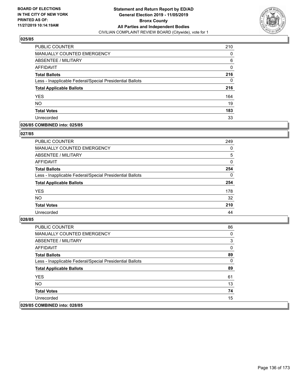

| PUBLIC COUNTER                                           | 210 |
|----------------------------------------------------------|-----|
| MANUALLY COUNTED EMERGENCY                               | 0   |
| ABSENTEE / MILITARY                                      | 6   |
| AFFIDAVIT                                                | 0   |
| <b>Total Ballots</b>                                     | 216 |
| Less - Inapplicable Federal/Special Presidential Ballots | 0   |
| <b>Total Applicable Ballots</b>                          | 216 |
| <b>YES</b>                                               | 164 |
| <b>NO</b>                                                | 19  |
| <b>Total Votes</b>                                       | 183 |
| Unrecorded                                               | 33  |

# **026/85 COMBINED into: 025/85**

### **027/85**

| PUBLIC COUNTER                                           | 249      |
|----------------------------------------------------------|----------|
| <b>MANUALLY COUNTED EMERGENCY</b>                        | $\Omega$ |
| ABSENTEE / MILITARY                                      | 5        |
| AFFIDAVIT                                                | $\Omega$ |
| <b>Total Ballots</b>                                     | 254      |
| Less - Inapplicable Federal/Special Presidential Ballots | $\Omega$ |
| <b>Total Applicable Ballots</b>                          | 254      |
| <b>YES</b>                                               | 178      |
| <b>NO</b>                                                | 32       |
| <b>Total Votes</b>                                       | 210      |
| Unrecorded                                               | 44       |
|                                                          |          |

| <b>PUBLIC COUNTER</b>                                    | 86 |
|----------------------------------------------------------|----|
| <b>MANUALLY COUNTED EMERGENCY</b>                        | 0  |
| ABSENTEE / MILITARY                                      | 3  |
| AFFIDAVIT                                                | 0  |
| <b>Total Ballots</b>                                     | 89 |
| Less - Inapplicable Federal/Special Presidential Ballots | 0  |
| <b>Total Applicable Ballots</b>                          | 89 |
| <b>YES</b>                                               | 61 |
| NO.                                                      | 13 |
| <b>Total Votes</b>                                       | 74 |
| Unrecorded                                               | 15 |
| 029/85 COMBINED into: 028/85                             |    |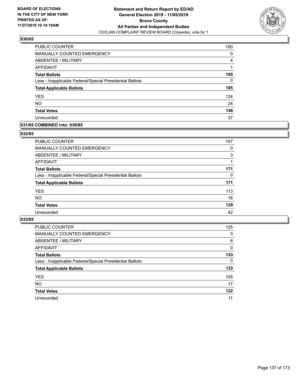

| PUBLIC COUNTER                                           | 180 |
|----------------------------------------------------------|-----|
| MANUALLY COUNTED EMERGENCY                               | 0   |
| <b>ABSENTEE / MILITARY</b>                               | 4   |
| AFFIDAVIT                                                |     |
| <b>Total Ballots</b>                                     | 185 |
| Less - Inapplicable Federal/Special Presidential Ballots | 0   |
| <b>Total Applicable Ballots</b>                          | 185 |
| <b>YES</b>                                               | 124 |
| <b>NO</b>                                                | 24  |
| <b>Total Votes</b>                                       | 148 |
| Unrecorded                                               | 37  |

# **031/85 COMBINED into: 030/85**

### **032/85**

| PUBLIC COUNTER                                           | 167      |
|----------------------------------------------------------|----------|
| <b>MANUALLY COUNTED EMERGENCY</b>                        | 0        |
| ABSENTEE / MILITARY                                      | 3        |
| AFFIDAVIT                                                |          |
| <b>Total Ballots</b>                                     | 171      |
| Less - Inapplicable Federal/Special Presidential Ballots | $\Omega$ |
| <b>Total Applicable Ballots</b>                          | 171      |
| <b>YES</b>                                               | 113      |
| <b>NO</b>                                                | 16       |
| <b>Total Votes</b>                                       | 129      |
| Unrecorded                                               | 42       |
|                                                          |          |

| <b>PUBLIC COUNTER</b>                                    | 125      |
|----------------------------------------------------------|----------|
| MANUALLY COUNTED EMERGENCY                               | $\Omega$ |
| ABSENTEE / MILITARY                                      | 8        |
| AFFIDAVIT                                                | $\Omega$ |
| <b>Total Ballots</b>                                     | 133      |
| Less - Inapplicable Federal/Special Presidential Ballots | 0        |
| <b>Total Applicable Ballots</b>                          | 133      |
| <b>YES</b>                                               | 105      |
| <b>NO</b>                                                | 17       |
| <b>Total Votes</b>                                       | 122      |
| Unrecorded                                               | 11       |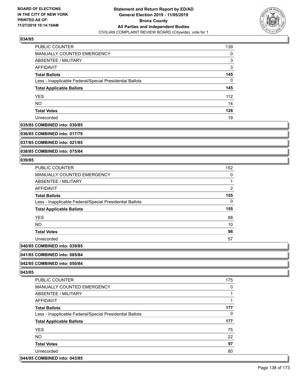

| PUBLIC COUNTER                                           | 139 |
|----------------------------------------------------------|-----|
| <b>MANUALLY COUNTED EMERGENCY</b>                        | 0   |
| ABSENTEE / MILITARY                                      | 3   |
| AFFIDAVIT                                                | 3   |
| <b>Total Ballots</b>                                     | 145 |
| Less - Inapplicable Federal/Special Presidential Ballots | 0   |
| <b>Total Applicable Ballots</b>                          | 145 |
| <b>YES</b>                                               | 112 |
| <b>NO</b>                                                | 14  |
| <b>Total Votes</b>                                       | 126 |
| Unrecorded                                               | 19  |

#### **035/85 COMBINED into: 030/85**

**036/85 COMBINED into: 017/79**

**037/85 COMBINED into: 021/85**

**038/85 COMBINED into: 075/84**

### **039/85**

| <b>PUBLIC COUNTER</b>                                    | 152            |
|----------------------------------------------------------|----------------|
| <b>MANUALLY COUNTED EMERGENCY</b>                        | 0              |
| ABSENTEE / MILITARY                                      | 1              |
| <b>AFFIDAVIT</b>                                         | $\overline{2}$ |
| <b>Total Ballots</b>                                     | 155            |
| Less - Inapplicable Federal/Special Presidential Ballots | 0              |
| <b>Total Applicable Ballots</b>                          | 155            |
| <b>YES</b>                                               | 88             |
| <b>NO</b>                                                | 10             |
| <b>Total Votes</b>                                       | 98             |
| Unrecorded                                               | 57             |
| 0.01101100                                               |                |

# **040/85 COMBINED into: 039/85**

# **041/85 COMBINED into: 085/84**

# **042/85 COMBINED into: 050/84**

**043/85** 

| PUBLIC COUNTER                                           | 175 |
|----------------------------------------------------------|-----|
| <b>MANUALLY COUNTED EMERGENCY</b>                        | 0   |
| ABSENTEE / MILITARY                                      |     |
| AFFIDAVIT                                                |     |
| <b>Total Ballots</b>                                     | 177 |
| Less - Inapplicable Federal/Special Presidential Ballots | 0   |
| <b>Total Applicable Ballots</b>                          | 177 |
|                                                          |     |
| <b>YES</b>                                               | 75  |
| <b>NO</b>                                                | 22  |
| <b>Total Votes</b>                                       | 97  |
| Unrecorded                                               | 80  |

# **044/85 COMBINED into: 043/85**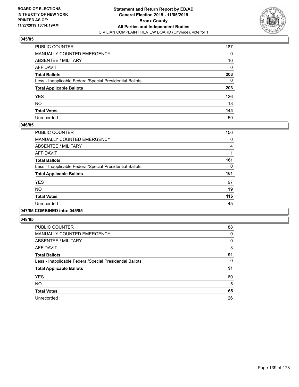

| PUBLIC COUNTER                                           | 187 |
|----------------------------------------------------------|-----|
| MANUALLY COUNTED EMERGENCY                               | 0   |
| ABSENTEE / MILITARY                                      | 16  |
| AFFIDAVIT                                                | 0   |
| Total Ballots                                            | 203 |
| Less - Inapplicable Federal/Special Presidential Ballots | 0   |
| <b>Total Applicable Ballots</b>                          | 203 |
| YES                                                      | 126 |
| NO.                                                      | 18  |
| <b>Total Votes</b>                                       | 144 |
| Unrecorded                                               | 59  |

### **046/85**

| <b>PUBLIC COUNTER</b>                                    | 156 |
|----------------------------------------------------------|-----|
| <b>MANUALLY COUNTED EMERGENCY</b>                        | 0   |
| ABSENTEE / MILITARY                                      | 4   |
| <b>AFFIDAVIT</b>                                         |     |
| <b>Total Ballots</b>                                     | 161 |
| Less - Inapplicable Federal/Special Presidential Ballots | 0   |
| <b>Total Applicable Ballots</b>                          | 161 |
| <b>YES</b>                                               | 97  |
| <b>NO</b>                                                | 19  |
| <b>Total Votes</b>                                       | 116 |
| Unrecorded                                               | 45  |
|                                                          |     |

#### **047/85 COMBINED into: 045/85**

| <b>PUBLIC COUNTER</b>                                    | 88 |
|----------------------------------------------------------|----|
| <b>MANUALLY COUNTED EMERGENCY</b>                        | 0  |
| ABSENTEE / MILITARY                                      | 0  |
| <b>AFFIDAVIT</b>                                         | 3  |
| <b>Total Ballots</b>                                     | 91 |
| Less - Inapplicable Federal/Special Presidential Ballots | 0  |
| <b>Total Applicable Ballots</b>                          | 91 |
| <b>YES</b>                                               | 60 |
| <b>NO</b>                                                | 5  |
| <b>Total Votes</b>                                       | 65 |
| Unrecorded                                               | 26 |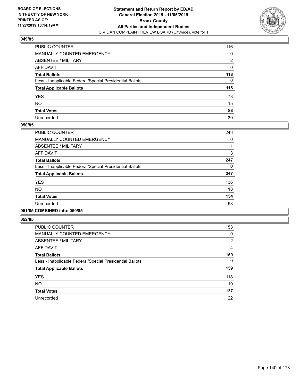

| PUBLIC COUNTER                                           | 116 |
|----------------------------------------------------------|-----|
| MANUALLY COUNTED EMERGENCY                               | 0   |
| ABSENTEE / MILITARY                                      | 2   |
| AFFIDAVIT                                                | 0   |
| Total Ballots                                            | 118 |
| Less - Inapplicable Federal/Special Presidential Ballots | 0   |
| <b>Total Applicable Ballots</b>                          | 118 |
| YES                                                      | 73  |
| NO.                                                      | 15  |
| <b>Total Votes</b>                                       | 88  |
| Unrecorded                                               | 30  |

### **050/85**

| <b>PUBLIC COUNTER</b>                                    | 243 |
|----------------------------------------------------------|-----|
| <b>MANUALLY COUNTED EMERGENCY</b>                        | 0   |
| ABSENTEE / MILITARY                                      |     |
| <b>AFFIDAVIT</b>                                         | 3   |
| <b>Total Ballots</b>                                     | 247 |
| Less - Inapplicable Federal/Special Presidential Ballots | 0   |
| <b>Total Applicable Ballots</b>                          | 247 |
| <b>YES</b>                                               | 136 |
| <b>NO</b>                                                | 18  |
| <b>Total Votes</b>                                       | 154 |
| Unrecorded                                               | 93  |
|                                                          |     |

#### **051/85 COMBINED into: 050/85**

| <b>PUBLIC COUNTER</b>                                    | 153      |
|----------------------------------------------------------|----------|
| <b>MANUALLY COUNTED EMERGENCY</b>                        | 0        |
| ABSENTEE / MILITARY                                      | 2        |
| <b>AFFIDAVIT</b>                                         | 4        |
| <b>Total Ballots</b>                                     | 159      |
| Less - Inapplicable Federal/Special Presidential Ballots | $\Omega$ |
| <b>Total Applicable Ballots</b>                          | 159      |
| <b>YES</b>                                               | 118      |
| <b>NO</b>                                                | 19       |
| <b>Total Votes</b>                                       | 137      |
| Unrecorded                                               | 22       |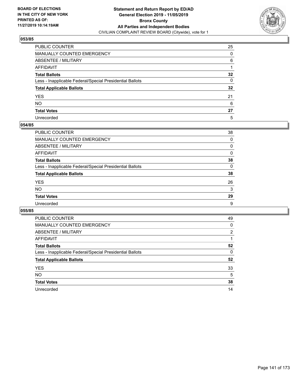

| PUBLIC COUNTER                                           | 25              |
|----------------------------------------------------------|-----------------|
| MANUALLY COUNTED EMERGENCY                               | 0               |
| ABSENTEE / MILITARY                                      | 6               |
| AFFIDAVIT                                                |                 |
| Total Ballots                                            | $32\phantom{a}$ |
| Less - Inapplicable Federal/Special Presidential Ballots | 0               |
| <b>Total Applicable Ballots</b>                          | $32\phantom{a}$ |
| YES                                                      | 21              |
| NO.                                                      | 6               |
| <b>Total Votes</b>                                       | 27              |
| Unrecorded                                               | 5               |

### **054/85**

| <b>PUBLIC COUNTER</b>                                    | 38       |
|----------------------------------------------------------|----------|
| MANUALLY COUNTED EMERGENCY                               | $\Omega$ |
| ABSENTEE / MILITARY                                      | 0        |
| AFFIDAVIT                                                | $\Omega$ |
| <b>Total Ballots</b>                                     | 38       |
| Less - Inapplicable Federal/Special Presidential Ballots | $\Omega$ |
| <b>Total Applicable Ballots</b>                          | 38       |
| <b>YES</b>                                               | 26       |
| <b>NO</b>                                                | 3        |
| <b>Total Votes</b>                                       | 29       |
| Unrecorded                                               | 9        |

| <b>PUBLIC COUNTER</b>                                    | 49       |
|----------------------------------------------------------|----------|
| <b>MANUALLY COUNTED EMERGENCY</b>                        | 0        |
| ABSENTEE / MILITARY                                      | 2        |
| AFFIDAVIT                                                |          |
| <b>Total Ballots</b>                                     | 52       |
| Less - Inapplicable Federal/Special Presidential Ballots | $\Omega$ |
| <b>Total Applicable Ballots</b>                          | 52       |
| <b>YES</b>                                               | 33       |
| <b>NO</b>                                                | 5        |
| <b>Total Votes</b>                                       | 38       |
| Unrecorded                                               | 14       |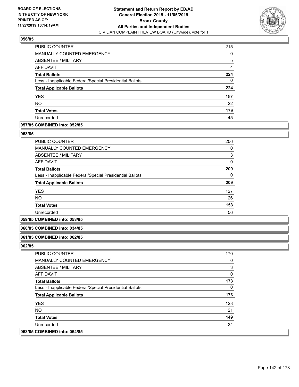

| PUBLIC COUNTER                                           | 215 |
|----------------------------------------------------------|-----|
| <b>MANUALLY COUNTED EMERGENCY</b>                        | 0   |
| ABSENTEE / MILITARY                                      | 5   |
| AFFIDAVIT                                                | 4   |
| <b>Total Ballots</b>                                     | 224 |
| Less - Inapplicable Federal/Special Presidential Ballots | 0   |
| <b>Total Applicable Ballots</b>                          | 224 |
| <b>YES</b>                                               | 157 |
| <b>NO</b>                                                | 22  |
| <b>Total Votes</b>                                       | 179 |
| Unrecorded                                               | 45  |

# **057/85 COMBINED into: 052/85**

#### **058/85**

| <b>PUBLIC COUNTER</b>                                    | 206          |
|----------------------------------------------------------|--------------|
| <b>MANUALLY COUNTED EMERGENCY</b>                        | 0            |
| ABSENTEE / MILITARY                                      | 3            |
| AFFIDAVIT                                                | $\mathbf{0}$ |
| <b>Total Ballots</b>                                     | 209          |
| Less - Inapplicable Federal/Special Presidential Ballots | 0            |
| <b>Total Applicable Ballots</b>                          | 209          |
| <b>YES</b>                                               | 127          |
| <b>NO</b>                                                | 26           |
| <b>Total Votes</b>                                       | 153          |
| Unrecorded                                               | 56           |

#### **059/85 COMBINED into: 058/85**

### **060/85 COMBINED into: 034/85**

#### **061/85 COMBINED into: 062/85**

| <b>PUBLIC COUNTER</b>                                    | 170 |
|----------------------------------------------------------|-----|
| MANUALLY COUNTED EMERGENCY                               | 0   |
| ABSENTEE / MILITARY                                      | 3   |
| AFFIDAVIT                                                | 0   |
| <b>Total Ballots</b>                                     | 173 |
| Less - Inapplicable Federal/Special Presidential Ballots | 0   |
| <b>Total Applicable Ballots</b>                          | 173 |
| <b>YES</b>                                               | 128 |
| NO.                                                      | 21  |
| <b>Total Votes</b>                                       | 149 |
| Unrecorded                                               | 24  |
| 063/85 COMBINED into: 064/85                             |     |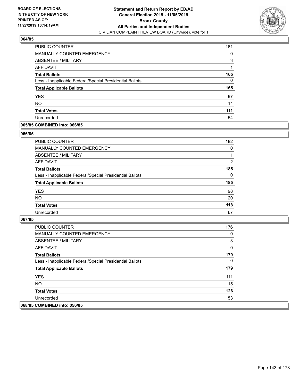

| PUBLIC COUNTER                                           | 161 |
|----------------------------------------------------------|-----|
| <b>MANUALLY COUNTED EMERGENCY</b>                        | 0   |
| ABSENTEE / MILITARY                                      | 3   |
| AFFIDAVIT                                                |     |
| <b>Total Ballots</b>                                     | 165 |
| Less - Inapplicable Federal/Special Presidential Ballots | 0   |
| <b>Total Applicable Ballots</b>                          | 165 |
| <b>YES</b>                                               | 97  |
| <b>NO</b>                                                | 14  |
| <b>Total Votes</b>                                       | 111 |
| Unrecorded                                               | 54  |

# **065/85 COMBINED into: 066/85**

#### **066/85**

| PUBLIC COUNTER                                           | 182      |
|----------------------------------------------------------|----------|
| <b>MANUALLY COUNTED EMERGENCY</b>                        | $\Omega$ |
| ABSENTEE / MILITARY                                      |          |
| AFFIDAVIT                                                | 2        |
| <b>Total Ballots</b>                                     | 185      |
| Less - Inapplicable Federal/Special Presidential Ballots | $\Omega$ |
| <b>Total Applicable Ballots</b>                          | 185      |
| <b>YES</b>                                               | 98       |
| <b>NO</b>                                                | 20       |
| <b>Total Votes</b>                                       | 118      |
| Unrecorded                                               | 67       |
|                                                          |          |

| <b>PUBLIC COUNTER</b>                                    | 176 |
|----------------------------------------------------------|-----|
| <b>MANUALLY COUNTED EMERGENCY</b>                        | 0   |
| ABSENTEE / MILITARY                                      | 3   |
| AFFIDAVIT                                                | 0   |
| <b>Total Ballots</b>                                     | 179 |
| Less - Inapplicable Federal/Special Presidential Ballots | 0   |
| <b>Total Applicable Ballots</b>                          | 179 |
| <b>YES</b>                                               | 111 |
| NO.                                                      | 15  |
| <b>Total Votes</b>                                       | 126 |
| Unrecorded                                               | 53  |
| 068/85 COMBINED into: 056/85                             |     |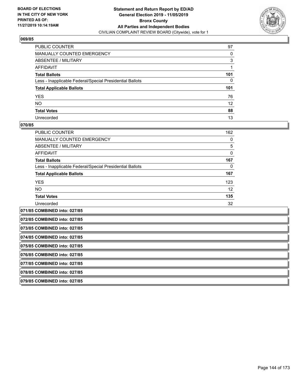

| PUBLIC COUNTER                                           | 97  |
|----------------------------------------------------------|-----|
| MANUALLY COUNTED EMERGENCY                               | 0   |
| ABSENTEE / MILITARY                                      | 3   |
| AFFIDAVIT                                                |     |
| Total Ballots                                            | 101 |
| Less - Inapplicable Federal/Special Presidential Ballots | 0   |
| <b>Total Applicable Ballots</b>                          | 101 |
| YES                                                      | 76  |
| NO.                                                      | 12  |
| <b>Total Votes</b>                                       | 88  |
| Unrecorded                                               | 13  |

### **070/85**

| <b>PUBLIC COUNTER</b>                                    | 162 |
|----------------------------------------------------------|-----|
| <b>MANUALLY COUNTED EMERGENCY</b>                        | 0   |
| ABSENTEE / MILITARY                                      | 5   |
| AFFIDAVIT                                                | 0   |
| <b>Total Ballots</b>                                     | 167 |
| Less - Inapplicable Federal/Special Presidential Ballots | 0   |
| <b>Total Applicable Ballots</b>                          | 167 |
| <b>YES</b>                                               | 123 |
| <b>NO</b>                                                | 12  |
| <b>Total Votes</b>                                       | 135 |
| Unrecorded                                               | 32  |
|                                                          |     |

**071/85 COMBINED into: 027/85 072/85 COMBINED into: 027/85 073/85 COMBINED into: 027/85 074/85 COMBINED into: 027/85 075/85 COMBINED into: 027/85 076/85 COMBINED into: 027/85 077/85 COMBINED into: 027/85 078/85 COMBINED into: 027/85 079/85 COMBINED into: 027/85**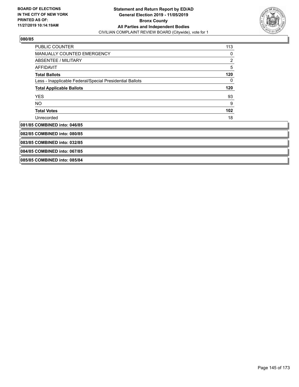

| <b>PUBLIC COUNTER</b>                                    | 113 |
|----------------------------------------------------------|-----|
| MANUALLY COUNTED EMERGENCY                               | 0   |
| <b>ABSENTEE / MILITARY</b>                               | 2   |
| <b>AFFIDAVIT</b>                                         | 5   |
| <b>Total Ballots</b>                                     | 120 |
| Less - Inapplicable Federal/Special Presidential Ballots | 0   |
| <b>Total Applicable Ballots</b>                          | 120 |
| <b>YES</b>                                               | 93  |
| NO.                                                      | 9   |
| <b>Total Votes</b>                                       | 102 |
| Unrecorded                                               | 18  |
| 081/85 COMBINED into: 046/85                             |     |
| 082/85 COMBINED into: 080/85                             |     |
| 083/85 COMBINED into: 032/85                             |     |
| 084/85 COMBINED into: 067/85                             |     |
| 085/85 COMBINED into: 085/84                             |     |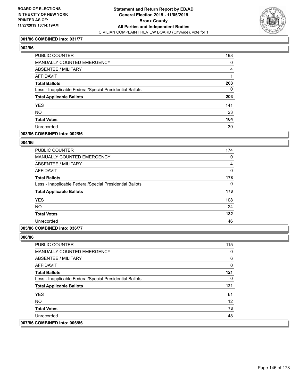

### **001/86 COMBINED into: 031/77**

# **002/86**

| PUBLIC COUNTER                                           | 198      |
|----------------------------------------------------------|----------|
| <b>MANUALLY COUNTED EMERGENCY</b>                        | $\Omega$ |
| ABSENTEE / MILITARY                                      | 4        |
| AFFIDAVIT                                                |          |
| <b>Total Ballots</b>                                     | 203      |
| Less - Inapplicable Federal/Special Presidential Ballots | $\Omega$ |
| <b>Total Applicable Ballots</b>                          | 203      |
| <b>YES</b>                                               | 141      |
| <b>NO</b>                                                | 23       |
| <b>Total Votes</b>                                       | 164      |
| Unrecorded                                               | 39       |
|                                                          |          |

### **003/86 COMBINED into: 002/86**

### **004/86**

| <b>PUBLIC COUNTER</b>                                    | 174          |
|----------------------------------------------------------|--------------|
| <b>MANUALLY COUNTED EMERGENCY</b>                        | 0            |
| ABSENTEE / MILITARY                                      | 4            |
| AFFIDAVIT                                                | $\mathbf{0}$ |
| <b>Total Ballots</b>                                     | 178          |
| Less - Inapplicable Federal/Special Presidential Ballots | 0            |
| <b>Total Applicable Ballots</b>                          | 178          |
| <b>YES</b>                                               | 108          |
| <b>NO</b>                                                | 24           |
| <b>Total Votes</b>                                       | 132          |
| Unrecorded                                               | 46           |

# **005/86 COMBINED into: 036/77**

| <b>PUBLIC COUNTER</b>                                    | 115 |
|----------------------------------------------------------|-----|
| <b>MANUALLY COUNTED EMERGENCY</b>                        | 0   |
| ABSENTEE / MILITARY                                      | 6   |
| AFFIDAVIT                                                | 0   |
| <b>Total Ballots</b>                                     | 121 |
| Less - Inapplicable Federal/Special Presidential Ballots | 0   |
| <b>Total Applicable Ballots</b>                          | 121 |
| <b>YES</b>                                               | 61  |
| NO.                                                      | 12  |
| <b>Total Votes</b>                                       | 73  |
| Unrecorded                                               | 48  |
| 007/86 COMBINED into: 006/86                             |     |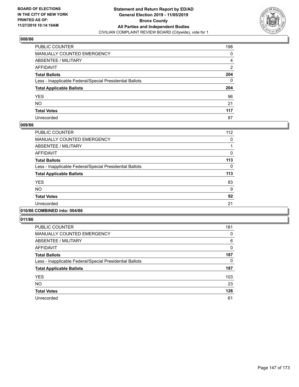

| PUBLIC COUNTER                                           | 198            |
|----------------------------------------------------------|----------------|
| MANUALLY COUNTED EMERGENCY                               | 0              |
| ABSENTEE / MILITARY                                      | 4              |
| AFFIDAVIT                                                | $\overline{2}$ |
| Total Ballots                                            | 204            |
| Less - Inapplicable Federal/Special Presidential Ballots | 0              |
| <b>Total Applicable Ballots</b>                          | 204            |
| YES                                                      | 96             |
| NO.                                                      | 21             |
| <b>Total Votes</b>                                       | 117            |
| Unrecorded                                               | 87             |

#### **009/86**

| <b>PUBLIC COUNTER</b>                                    | 112      |
|----------------------------------------------------------|----------|
| <b>MANUALLY COUNTED EMERGENCY</b>                        | 0        |
| ABSENTEE / MILITARY                                      |          |
| <b>AFFIDAVIT</b>                                         | $\Omega$ |
| <b>Total Ballots</b>                                     | 113      |
| Less - Inapplicable Federal/Special Presidential Ballots | $\Omega$ |
| <b>Total Applicable Ballots</b>                          | 113      |
| <b>YES</b>                                               | 83       |
| <b>NO</b>                                                | 9        |
| <b>Total Votes</b>                                       | 92       |
| Unrecorded                                               | 21       |
| .                                                        |          |

# **010/86 COMBINED into: 004/86**

| <b>PUBLIC COUNTER</b>                                    | 181          |
|----------------------------------------------------------|--------------|
| <b>MANUALLY COUNTED EMERGENCY</b>                        | 0            |
| ABSENTEE / MILITARY                                      | 6            |
| <b>AFFIDAVIT</b>                                         | $\mathbf{0}$ |
| <b>Total Ballots</b>                                     | 187          |
| Less - Inapplicable Federal/Special Presidential Ballots | 0            |
| <b>Total Applicable Ballots</b>                          | 187          |
| <b>YES</b>                                               | 103          |
| <b>NO</b>                                                | 23           |
| <b>Total Votes</b>                                       | 126          |
| Unrecorded                                               | 61           |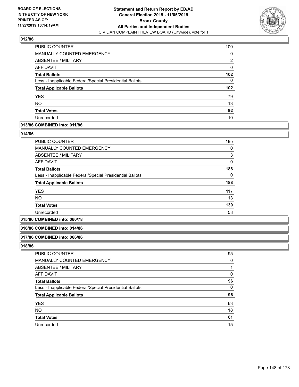

| PUBLIC COUNTER                                           | 100              |
|----------------------------------------------------------|------------------|
| MANUALLY COUNTED EMERGENCY                               | 0                |
| ABSENTEE / MILITARY                                      | 2                |
| AFFIDAVIT                                                | $\Omega$         |
| <b>Total Ballots</b>                                     | 102              |
| Less - Inapplicable Federal/Special Presidential Ballots | 0                |
| <b>Total Applicable Ballots</b>                          | 102 <sub>2</sub> |
| <b>YES</b>                                               | 79               |
| <b>NO</b>                                                | 13               |
| <b>Total Votes</b>                                       | 92               |
| Unrecorded                                               | 10               |

# **013/86 COMBINED into: 011/86**

#### **014/86**

| <b>PUBLIC COUNTER</b>                                    | 185          |
|----------------------------------------------------------|--------------|
| <b>MANUALLY COUNTED EMERGENCY</b>                        | 0            |
| ABSENTEE / MILITARY                                      | 3            |
| AFFIDAVIT                                                | $\mathbf{0}$ |
| <b>Total Ballots</b>                                     | 188          |
| Less - Inapplicable Federal/Special Presidential Ballots | 0            |
| <b>Total Applicable Ballots</b>                          | 188          |
| <b>YES</b>                                               | 117          |
| <b>NO</b>                                                | 13           |
| <b>Total Votes</b>                                       | 130          |
| Unrecorded                                               | 58           |

### **015/86 COMBINED into: 060/78**

#### **016/86 COMBINED into: 014/86**

#### **017/86 COMBINED into: 066/86**

| <b>PUBLIC COUNTER</b>                                    | 95       |
|----------------------------------------------------------|----------|
| MANUALLY COUNTED EMERGENCY                               | 0        |
| ABSENTEE / MILITARY                                      |          |
| AFFIDAVIT                                                | 0        |
| <b>Total Ballots</b>                                     | 96       |
| Less - Inapplicable Federal/Special Presidential Ballots | $\Omega$ |
| <b>Total Applicable Ballots</b>                          | 96       |
| <b>YES</b>                                               | 63       |
| <b>NO</b>                                                | 18       |
| <b>Total Votes</b>                                       | 81       |
| Unrecorded                                               | 15       |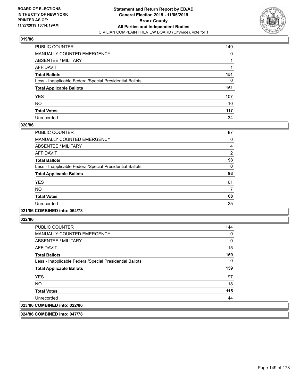

| PUBLIC COUNTER                                           | 149 |
|----------------------------------------------------------|-----|
| MANUALLY COUNTED EMERGENCY                               | 0   |
| ABSENTEE / MILITARY                                      |     |
| AFFIDAVIT                                                |     |
| Total Ballots                                            | 151 |
| Less - Inapplicable Federal/Special Presidential Ballots | 0   |
| <b>Total Applicable Ballots</b>                          | 151 |
| YES                                                      | 107 |
| NO.                                                      | 10  |
| <b>Total Votes</b>                                       | 117 |
| Unrecorded                                               | 34  |

#### **020/86**

| <b>PUBLIC COUNTER</b>                                    | 87       |
|----------------------------------------------------------|----------|
| <b>MANUALLY COUNTED EMERGENCY</b>                        | 0        |
| ABSENTEE / MILITARY                                      | 4        |
| <b>AFFIDAVIT</b>                                         | 2        |
| <b>Total Ballots</b>                                     | 93       |
| Less - Inapplicable Federal/Special Presidential Ballots | $\Omega$ |
| <b>Total Applicable Ballots</b>                          | 93       |
| <b>YES</b>                                               | 61       |
| <b>NO</b>                                                | 7        |
| <b>Total Votes</b>                                       | 68       |
| Unrecorded                                               | 25       |
|                                                          |          |

#### **021/86 COMBINED into: 064/78**

**022/86** 

| <b>PUBLIC COUNTER</b>                                    | 144 |
|----------------------------------------------------------|-----|
| <b>MANUALLY COUNTED EMERGENCY</b>                        | 0   |
| ABSENTEE / MILITARY                                      | 0   |
| AFFIDAVIT                                                | 15  |
| <b>Total Ballots</b>                                     | 159 |
| Less - Inapplicable Federal/Special Presidential Ballots | 0   |
| <b>Total Applicable Ballots</b>                          | 159 |
| <b>YES</b>                                               | 97  |
| NO.                                                      | 18  |
| <b>Total Votes</b>                                       | 115 |
| Unrecorded                                               | 44  |
| 023/86 COMBINED into: 022/86                             |     |

**024/86 COMBINED into: 047/78**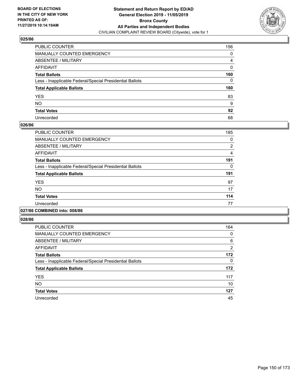

| PUBLIC COUNTER                                           | 156 |
|----------------------------------------------------------|-----|
| MANUALLY COUNTED EMERGENCY                               | 0   |
| ABSENTEE / MILITARY                                      | 4   |
| AFFIDAVIT                                                | 0   |
| Total Ballots                                            | 160 |
| Less - Inapplicable Federal/Special Presidential Ballots | 0   |
| <b>Total Applicable Ballots</b>                          | 160 |
| YES                                                      | 83  |
| NO.                                                      | 9   |
| <b>Total Votes</b>                                       | 92  |
| Unrecorded                                               | 68  |

#### **026/86**

| <b>PUBLIC COUNTER</b>                                    | 185 |
|----------------------------------------------------------|-----|
| <b>MANUALLY COUNTED EMERGENCY</b>                        | 0   |
| ABSENTEE / MILITARY                                      | 2   |
| <b>AFFIDAVIT</b>                                         | 4   |
| <b>Total Ballots</b>                                     | 191 |
| Less - Inapplicable Federal/Special Presidential Ballots | 0   |
| <b>Total Applicable Ballots</b>                          | 191 |
| <b>YES</b>                                               | 97  |
| <b>NO</b>                                                | 17  |
| <b>Total Votes</b>                                       | 114 |
| Unrecorded                                               | 77  |
|                                                          |     |

#### **027/86 COMBINED into: 008/86**

| PUBLIC COUNTER                                           | 164            |
|----------------------------------------------------------|----------------|
| <b>MANUALLY COUNTED EMERGENCY</b>                        | 0              |
| ABSENTEE / MILITARY                                      | 6              |
| <b>AFFIDAVIT</b>                                         | $\overline{2}$ |
| <b>Total Ballots</b>                                     | 172            |
| Less - Inapplicable Federal/Special Presidential Ballots | 0              |
| <b>Total Applicable Ballots</b>                          | 172            |
| <b>YES</b>                                               | 117            |
| <b>NO</b>                                                | 10             |
| <b>Total Votes</b>                                       | 127            |
| Unrecorded                                               | 45             |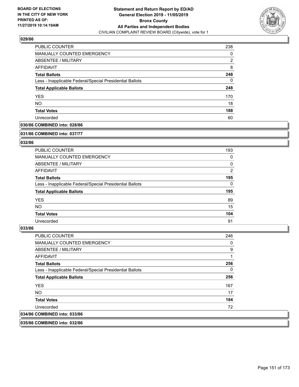

| <b>PUBLIC COUNTER</b>                                    | 238 |
|----------------------------------------------------------|-----|
| MANUALLY COUNTED EMERGENCY                               | 0   |
| <b>ABSENTEE / MILITARY</b>                               | 2   |
| AFFIDAVIT                                                | 8   |
| <b>Total Ballots</b>                                     | 248 |
| Less - Inapplicable Federal/Special Presidential Ballots | 0   |
| <b>Total Applicable Ballots</b>                          | 248 |
| <b>YES</b>                                               | 170 |
| <b>NO</b>                                                | 18  |
| <b>Total Votes</b>                                       | 188 |
| Unrecorded                                               | 60  |

## **030/86 COMBINED into: 028/86**

#### **031/86 COMBINED into: 037/77**

# **032/86**

| <b>PUBLIC COUNTER</b>                                    | 193            |
|----------------------------------------------------------|----------------|
| <b>MANUALLY COUNTED EMERGENCY</b>                        | 0              |
| ABSENTEE / MILITARY                                      | 0              |
| AFFIDAVIT                                                | $\overline{2}$ |
| <b>Total Ballots</b>                                     | 195            |
| Less - Inapplicable Federal/Special Presidential Ballots | $\Omega$       |
| <b>Total Applicable Ballots</b>                          | 195            |
| <b>YES</b>                                               | 89             |
| NO.                                                      | 15             |
| <b>Total Votes</b>                                       | 104            |
| Unrecorded                                               | 91             |

#### **033/86**

| <b>PUBLIC COUNTER</b>                                    | 246 |
|----------------------------------------------------------|-----|
| <b>MANUALLY COUNTED EMERGENCY</b>                        | 0   |
| ABSENTEE / MILITARY                                      | 9   |
| AFFIDAVIT                                                | 1   |
| <b>Total Ballots</b>                                     | 256 |
| Less - Inapplicable Federal/Special Presidential Ballots | 0   |
| <b>Total Applicable Ballots</b>                          | 256 |
| <b>YES</b>                                               | 167 |
| NO.                                                      | 17  |
| <b>Total Votes</b>                                       | 184 |
| Unrecorded                                               | 72  |
| 034/86 COMBINED into: 033/86                             |     |
|                                                          |     |

**035/86 COMBINED into: 032/86**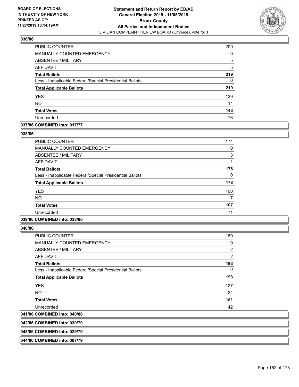

| PUBLIC COUNTER                                           | 209 |
|----------------------------------------------------------|-----|
| <b>MANUALLY COUNTED EMERGENCY</b>                        | 0   |
| ABSENTEE / MILITARY                                      | 5   |
| AFFIDAVIT                                                | 5   |
| <b>Total Ballots</b>                                     | 219 |
| Less - Inapplicable Federal/Special Presidential Ballots | 0   |
| <b>Total Applicable Ballots</b>                          | 219 |
| <b>YES</b>                                               | 129 |
| <b>NO</b>                                                | 14  |
| <b>Total Votes</b>                                       | 143 |
| Unrecorded                                               | 76  |

## **037/86 COMBINED into: 017/77**

#### **038/86**

| <b>PUBLIC COUNTER</b>                                    | 174      |
|----------------------------------------------------------|----------|
| MANUALLY COUNTED EMERGENCY                               | $\Omega$ |
| ABSENTEE / MILITARY                                      | 3        |
| AFFIDAVIT                                                |          |
| <b>Total Ballots</b>                                     | 178      |
| Less - Inapplicable Federal/Special Presidential Ballots | 0        |
| <b>Total Applicable Ballots</b>                          | 178      |
| <b>YES</b>                                               | 100      |
| <b>NO</b>                                                | 7        |
| <b>Total Votes</b>                                       | 107      |
| Unrecorded                                               | 71       |
|                                                          |          |

### **039/86 COMBINED into: 038/86**

**040/86** 

| <b>PUBLIC COUNTER</b>                                    | 189      |
|----------------------------------------------------------|----------|
| <b>MANUALLY COUNTED EMERGENCY</b>                        | 0        |
| ABSENTEE / MILITARY                                      | 2        |
| AFFIDAVIT                                                | 2        |
| <b>Total Ballots</b>                                     | 193      |
| Less - Inapplicable Federal/Special Presidential Ballots | $\Omega$ |
| <b>Total Applicable Ballots</b>                          | 193      |
| <b>YES</b>                                               | 127      |
| NO.                                                      | 24       |
| <b>Total Votes</b>                                       | 151      |
| Unrecorded                                               | 42       |
| 041/86 COMBINED into: 040/86                             |          |
|                                                          |          |

**042/86 COMBINED into: 030/79**

**043/86 COMBINED into: 029/79**

**044/86 COMBINED into: 007/79**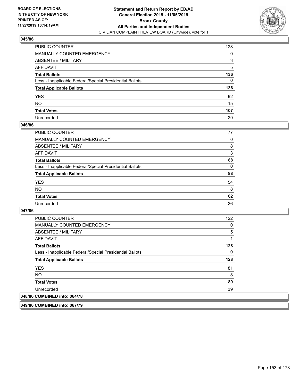

| PUBLIC COUNTER                                           | 128 |
|----------------------------------------------------------|-----|
| MANUALLY COUNTED EMERGENCY                               | 0   |
| ABSENTEE / MILITARY                                      | 3   |
| AFFIDAVIT                                                | 5   |
| Total Ballots                                            | 136 |
| Less - Inapplicable Federal/Special Presidential Ballots | 0   |
| <b>Total Applicable Ballots</b>                          | 136 |
| YES                                                      | 92  |
| NO.                                                      | 15  |
| <b>Total Votes</b>                                       | 107 |
| Unrecorded                                               | 29  |

#### **046/86**

| PUBLIC COUNTER                                           | 77       |
|----------------------------------------------------------|----------|
| MANUALLY COUNTED EMERGENCY                               | 0        |
| ABSENTEE / MILITARY                                      | 8        |
| AFFIDAVIT                                                | 3        |
| <b>Total Ballots</b>                                     | 88       |
| Less - Inapplicable Federal/Special Presidential Ballots | $\Omega$ |
| <b>Total Applicable Ballots</b>                          | 88       |
| <b>YES</b>                                               | 54       |
| <b>NO</b>                                                | 8        |
| <b>Total Votes</b>                                       | 62       |
| Unrecorded                                               | 26       |

#### **047/86**

| <b>PUBLIC COUNTER</b>                                    | 122 |
|----------------------------------------------------------|-----|
| <b>MANUALLY COUNTED EMERGENCY</b>                        | 0   |
| ABSENTEE / MILITARY                                      | 5   |
| AFFIDAVIT                                                | 1   |
| <b>Total Ballots</b>                                     | 128 |
| Less - Inapplicable Federal/Special Presidential Ballots | 0   |
| <b>Total Applicable Ballots</b>                          | 128 |
| <b>YES</b>                                               | 81  |
| NO.                                                      | 8   |
| <b>Total Votes</b>                                       | 89  |
| Unrecorded                                               | 39  |
| 048/86 COMBINED into: 064/78                             |     |

**049/86 COMBINED into: 067/79**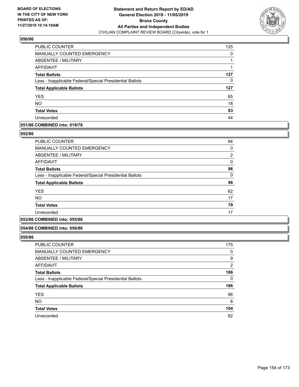

| PUBLIC COUNTER                                           | 125 |
|----------------------------------------------------------|-----|
| <b>MANUALLY COUNTED EMERGENCY</b>                        | 0   |
| ABSENTEE / MILITARY                                      |     |
| AFFIDAVIT                                                |     |
| <b>Total Ballots</b>                                     | 127 |
| Less - Inapplicable Federal/Special Presidential Ballots | 0   |
| <b>Total Applicable Ballots</b>                          | 127 |
| <b>YES</b>                                               | 65  |
| <b>NO</b>                                                | 18  |
| <b>Total Votes</b>                                       | 83  |
| Unrecorded                                               | 44  |

## **051/86 COMBINED into: 019/78**

#### **052/86**

| <b>PUBLIC COUNTER</b>                                    | 94             |
|----------------------------------------------------------|----------------|
| <b>MANUALLY COUNTED EMERGENCY</b>                        | 0              |
| ABSENTEE / MILITARY                                      | $\overline{2}$ |
| <b>AFFIDAVIT</b>                                         | 0              |
| <b>Total Ballots</b>                                     | 96             |
| Less - Inapplicable Federal/Special Presidential Ballots | $\Omega$       |
| <b>Total Applicable Ballots</b>                          | 96             |
| <b>YES</b>                                               | 62             |
| <b>NO</b>                                                | 17             |
| <b>Total Votes</b>                                       | 79             |
| Unrecorded                                               | 17             |
| .                                                        |                |

# **053/86 COMBINED into: 055/86**

#### **054/86 COMBINED into: 056/86**

| <b>PUBLIC COUNTER</b>                                    | 175            |
|----------------------------------------------------------|----------------|
| <b>MANUALLY COUNTED EMERGENCY</b>                        | 0              |
| ABSENTEE / MILITARY                                      | 9              |
| AFFIDAVIT                                                | $\overline{2}$ |
| <b>Total Ballots</b>                                     | 186            |
| Less - Inapplicable Federal/Special Presidential Ballots | 0              |
| <b>Total Applicable Ballots</b>                          | 186            |
| <b>YES</b>                                               | 96             |
| <b>NO</b>                                                | 8              |
| <b>Total Votes</b>                                       | 104            |
| Unrecorded                                               | 82             |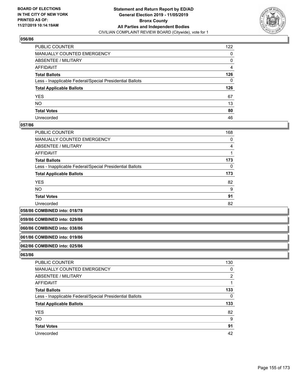

| PUBLIC COUNTER                                           | 122 |
|----------------------------------------------------------|-----|
| MANUALLY COUNTED EMERGENCY                               | 0   |
| ABSENTEE / MILITARY                                      | 0   |
| AFFIDAVIT                                                | 4   |
| Total Ballots                                            | 126 |
| Less - Inapplicable Federal/Special Presidential Ballots | 0   |
| <b>Total Applicable Ballots</b>                          | 126 |
| YES                                                      | 67  |
| NO.                                                      | 13  |
| <b>Total Votes</b>                                       | 80  |
| Unrecorded                                               | 46  |

#### **057/86**

| <b>PUBLIC COUNTER</b>                                    | 168 |
|----------------------------------------------------------|-----|
| MANUALLY COUNTED EMERGENCY                               | 0   |
| ABSENTEE / MILITARY                                      | 4   |
| AFFIDAVIT                                                |     |
| <b>Total Ballots</b>                                     | 173 |
| Less - Inapplicable Federal/Special Presidential Ballots | 0   |
| <b>Total Applicable Ballots</b>                          | 173 |
| <b>YES</b>                                               | 82  |
| <b>NO</b>                                                | 9   |
| <b>Total Votes</b>                                       | 91  |
| Unrecorded                                               | 82  |

**058/86 COMBINED into: 018/78**

**059/86 COMBINED into: 029/86**

#### **060/86 COMBINED into: 038/86**

#### **061/86 COMBINED into: 019/86**

### **062/86 COMBINED into: 025/86**

| <b>PUBLIC COUNTER</b>                                    | 130 |
|----------------------------------------------------------|-----|
| MANUALLY COUNTED EMERGENCY                               | 0   |
| ABSENTEE / MILITARY                                      | 2   |
| AFFIDAVIT                                                |     |
| <b>Total Ballots</b>                                     | 133 |
| Less - Inapplicable Federal/Special Presidential Ballots | 0   |
| <b>Total Applicable Ballots</b>                          | 133 |
| <b>YES</b>                                               | 82  |
| <b>NO</b>                                                | 9   |
| <b>Total Votes</b>                                       | 91  |
| Unrecorded                                               | 42  |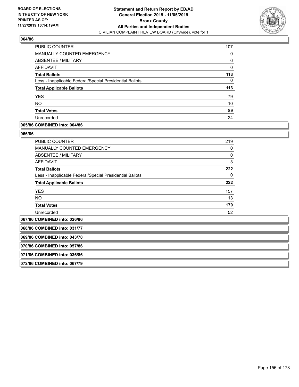

| PUBLIC COUNTER                                           | 107      |
|----------------------------------------------------------|----------|
| MANUALLY COUNTED EMERGENCY                               | 0        |
| <b>ABSENTEE / MILITARY</b>                               | 6        |
| AFFIDAVIT                                                | $\Omega$ |
| <b>Total Ballots</b>                                     | 113      |
| Less - Inapplicable Federal/Special Presidential Ballots | 0        |
| <b>Total Applicable Ballots</b>                          | 113      |
| <b>YES</b>                                               | 79       |
| <b>NO</b>                                                | 10       |
| <b>Total Votes</b>                                       | 89       |
| Unrecorded                                               | 24       |

# **065/86 COMBINED into: 004/86**

#### **066/86**

| PUBLIC COUNTER                                           | 219      |
|----------------------------------------------------------|----------|
| <b>MANUALLY COUNTED EMERGENCY</b>                        | 0        |
| ABSENTEE / MILITARY                                      | $\Omega$ |
| <b>AFFIDAVIT</b>                                         | 3        |
| <b>Total Ballots</b>                                     | 222      |
| Less - Inapplicable Federal/Special Presidential Ballots | 0        |
| <b>Total Applicable Ballots</b>                          | 222      |
| <b>YES</b>                                               | 157      |
| NO.                                                      | 13       |
| <b>Total Votes</b>                                       | 170      |
| Unrecorded                                               | 52       |
|                                                          |          |

**067/86 COMBINED into: 026/86**

**068/86 COMBINED into: 031/77**

**069/86 COMBINED into: 043/78**

**070/86 COMBINED into: 057/86**

**071/86 COMBINED into: 036/86**

**072/86 COMBINED into: 067/79**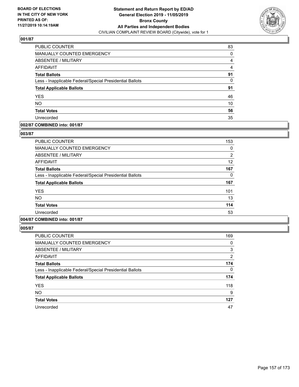

| PUBLIC COUNTER                                           | 83 |
|----------------------------------------------------------|----|
| <b>MANUALLY COUNTED EMERGENCY</b>                        | 0  |
| ABSENTEE / MILITARY                                      | 4  |
| <b>AFFIDAVIT</b>                                         | 4  |
| <b>Total Ballots</b>                                     | 91 |
| Less - Inapplicable Federal/Special Presidential Ballots | 0  |
| <b>Total Applicable Ballots</b>                          | 91 |
| <b>YES</b>                                               | 46 |
| <b>NO</b>                                                | 10 |
| <b>Total Votes</b>                                       | 56 |
| Unrecorded                                               | 35 |

### **002/87 COMBINED into: 001/87**

#### **003/87**

| <b>PUBLIC COUNTER</b>                                    | 153            |
|----------------------------------------------------------|----------------|
| <b>MANUALLY COUNTED EMERGENCY</b>                        | 0              |
| ABSENTEE / MILITARY                                      | $\overline{2}$ |
| <b>AFFIDAVIT</b>                                         | 12             |
| <b>Total Ballots</b>                                     | 167            |
| Less - Inapplicable Federal/Special Presidential Ballots | 0              |
| <b>Total Applicable Ballots</b>                          | 167            |
| <b>YES</b>                                               | 101            |
| <b>NO</b>                                                | 13             |
| <b>Total Votes</b>                                       | 114            |
| Unrecorded                                               | 53             |
|                                                          |                |

# **004/87 COMBINED into: 001/87**

| <b>PUBLIC COUNTER</b>                                    | 169      |
|----------------------------------------------------------|----------|
| MANUALLY COUNTED EMERGENCY                               | 0        |
| ABSENTEE / MILITARY                                      | 3        |
| <b>AFFIDAVIT</b>                                         | 2        |
| <b>Total Ballots</b>                                     | 174      |
| Less - Inapplicable Federal/Special Presidential Ballots | $\Omega$ |
| <b>Total Applicable Ballots</b>                          | 174      |
| <b>YES</b>                                               | 118      |
| <b>NO</b>                                                | 9        |
| <b>Total Votes</b>                                       | 127      |
| Unrecorded                                               | 47       |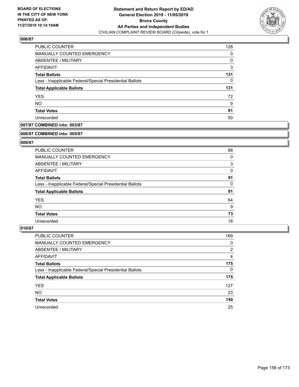

| <b>PUBLIC COUNTER</b>                                    | 128 |
|----------------------------------------------------------|-----|
| <b>MANUALLY COUNTED EMERGENCY</b>                        | 0   |
| ABSENTEE / MILITARY                                      | 0   |
| AFFIDAVIT                                                | 3   |
| <b>Total Ballots</b>                                     | 131 |
| Less - Inapplicable Federal/Special Presidential Ballots | 0   |
| <b>Total Applicable Ballots</b>                          | 131 |
| <b>YES</b>                                               | 72  |
| <b>NO</b>                                                | 9   |
| <b>Total Votes</b>                                       | 81  |
| Unrecorded                                               | 50  |

# **007/87 COMBINED into: 003/87**

#### **008/87 COMBINED into: 005/87**

# **009/87**

| <b>PUBLIC COUNTER</b>                                    | 88 |
|----------------------------------------------------------|----|
| <b>MANUALLY COUNTED EMERGENCY</b>                        | 0  |
| ABSENTEE / MILITARY                                      | 3  |
| AFFIDAVIT                                                | 0  |
| <b>Total Ballots</b>                                     | 91 |
| Less - Inapplicable Federal/Special Presidential Ballots | 0  |
| <b>Total Applicable Ballots</b>                          | 91 |
| <b>YES</b>                                               | 64 |
| NO.                                                      | 9  |
| <b>Total Votes</b>                                       | 73 |
| Unrecorded                                               | 18 |

| PUBLIC COUNTER                                           | 169            |
|----------------------------------------------------------|----------------|
| <b>MANUALLY COUNTED EMERGENCY</b>                        | 0              |
| ABSENTEE / MILITARY                                      | $\overline{2}$ |
| AFFIDAVIT                                                | 4              |
| <b>Total Ballots</b>                                     | 175            |
| Less - Inapplicable Federal/Special Presidential Ballots | $\Omega$       |
| <b>Total Applicable Ballots</b>                          | 175            |
| <b>YES</b>                                               | 127            |
| <b>NO</b>                                                | 23             |
| <b>Total Votes</b>                                       | 150            |
| Unrecorded                                               | 25             |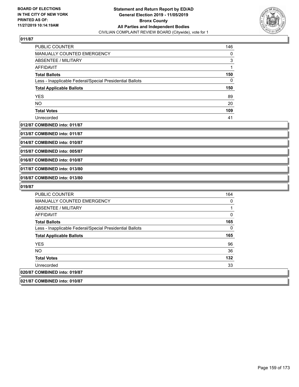

| <b>PUBLIC COUNTER</b>                                    | 146 |
|----------------------------------------------------------|-----|
| <b>MANUALLY COUNTED EMERGENCY</b>                        | 0   |
| ABSENTEE / MILITARY                                      | 3   |
| AFFIDAVIT                                                |     |
| <b>Total Ballots</b>                                     | 150 |
| Less - Inapplicable Federal/Special Presidential Ballots | 0   |
| <b>Total Applicable Ballots</b>                          | 150 |
| <b>YES</b>                                               | 89  |
| <b>NO</b>                                                | 20  |
| <b>Total Votes</b>                                       | 109 |
| Unrecorded                                               | 41  |

#### **012/87 COMBINED into: 011/87**

**013/87 COMBINED into: 011/87**

**014/87 COMBINED into: 010/87**

**015/87 COMBINED into: 005/87**

**016/87 COMBINED into: 010/87**

**017/87 COMBINED into: 013/80**

**018/87 COMBINED into: 013/80**

| <b>PUBLIC COUNTER</b>                                    | 164 |
|----------------------------------------------------------|-----|
| <b>MANUALLY COUNTED EMERGENCY</b>                        | 0   |
| ABSENTEE / MILITARY                                      |     |
| AFFIDAVIT                                                | 0   |
| <b>Total Ballots</b>                                     | 165 |
| Less - Inapplicable Federal/Special Presidential Ballots | 0   |
| <b>Total Applicable Ballots</b>                          | 165 |
| <b>YES</b>                                               | 96  |
| <b>NO</b>                                                | 36  |
| <b>Total Votes</b>                                       | 132 |
| Unrecorded                                               | 33  |
| 020/87 COMBINED into: 019/87                             |     |
| 021/87 COMBINED into: 010/87                             |     |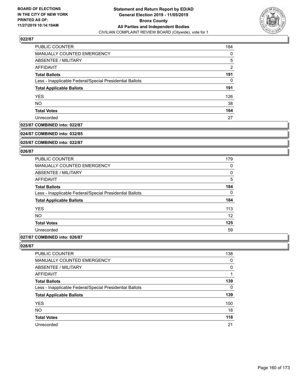

| PUBLIC COUNTER                                           | 184            |
|----------------------------------------------------------|----------------|
| <b>MANUALLY COUNTED EMERGENCY</b>                        | 0              |
| ABSENTEE / MILITARY                                      | 5              |
| AFFIDAVIT                                                | $\overline{2}$ |
| <b>Total Ballots</b>                                     | 191            |
| Less - Inapplicable Federal/Special Presidential Ballots | 0              |
| <b>Total Applicable Ballots</b>                          | 191            |
| <b>YES</b>                                               | 126            |
| <b>NO</b>                                                | 38             |
| <b>Total Votes</b>                                       | 164            |
| Unrecorded                                               | 27             |

### **023/87 COMBINED into: 022/87**

#### **024/87 COMBINED into: 032/85**

**025/87 COMBINED into: 022/87**

#### **026/87**

| <b>PUBLIC COUNTER</b>                                    | 179 |
|----------------------------------------------------------|-----|
| <b>MANUALLY COUNTED EMERGENCY</b>                        | 0   |
| ABSENTEE / MILITARY                                      | 0   |
| <b>AFFIDAVIT</b>                                         | 5   |
| <b>Total Ballots</b>                                     | 184 |
| Less - Inapplicable Federal/Special Presidential Ballots | 0   |
| <b>Total Applicable Ballots</b>                          | 184 |
| <b>YES</b>                                               | 113 |
| <b>NO</b>                                                | 12  |
| <b>Total Votes</b>                                       | 125 |
| Unrecorded                                               | 59  |
|                                                          |     |

# **027/87 COMBINED into: 026/87**

| <b>PUBLIC COUNTER</b>                                    | 138      |
|----------------------------------------------------------|----------|
| <b>MANUALLY COUNTED EMERGENCY</b>                        | 0        |
| ABSENTEE / MILITARY                                      | $\Omega$ |
| AFFIDAVIT                                                |          |
| <b>Total Ballots</b>                                     | 139      |
| Less - Inapplicable Federal/Special Presidential Ballots | 0        |
| <b>Total Applicable Ballots</b>                          | 139      |
| <b>YES</b>                                               | 100      |
| <b>NO</b>                                                | 18       |
| <b>Total Votes</b>                                       | 118      |
| Unrecorded                                               | 21       |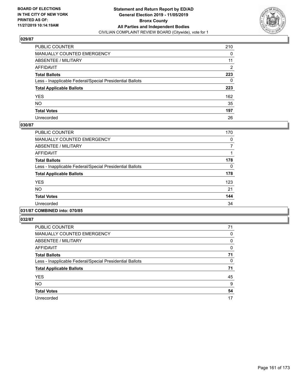

| PUBLIC COUNTER                                           | 210            |
|----------------------------------------------------------|----------------|
| MANUALLY COUNTED EMERGENCY                               | 0              |
| ABSENTEE / MILITARY                                      | 11             |
| AFFIDAVIT                                                | $\overline{2}$ |
| Total Ballots                                            | 223            |
| Less - Inapplicable Federal/Special Presidential Ballots | 0              |
| <b>Total Applicable Ballots</b>                          | 223            |
| YES                                                      | 162            |
| NO.                                                      | 35             |
| <b>Total Votes</b>                                       | 197            |
| Unrecorded                                               | 26             |

# **030/87**

| <b>PUBLIC COUNTER</b>                                    | 170 |
|----------------------------------------------------------|-----|
| <b>MANUALLY COUNTED EMERGENCY</b>                        | 0   |
| ABSENTEE / MILITARY                                      | 7   |
| <b>AFFIDAVIT</b>                                         |     |
| <b>Total Ballots</b>                                     | 178 |
| Less - Inapplicable Federal/Special Presidential Ballots | 0   |
| <b>Total Applicable Ballots</b>                          | 178 |
| <b>YES</b>                                               | 123 |
| <b>NO</b>                                                | 21  |
| <b>Total Votes</b>                                       | 144 |
| Unrecorded                                               | 34  |
|                                                          |     |

# **031/87 COMBINED into: 070/85**

| <b>PUBLIC COUNTER</b>                                    | 71 |
|----------------------------------------------------------|----|
| MANUALLY COUNTED EMERGENCY                               | 0  |
| ABSENTEE / MILITARY                                      | 0  |
| AFFIDAVIT                                                | 0  |
| <b>Total Ballots</b>                                     | 71 |
| Less - Inapplicable Federal/Special Presidential Ballots | 0  |
| <b>Total Applicable Ballots</b>                          | 71 |
| <b>YES</b>                                               | 45 |
| <b>NO</b>                                                | 9  |
| <b>Total Votes</b>                                       | 54 |
| Unrecorded                                               | 17 |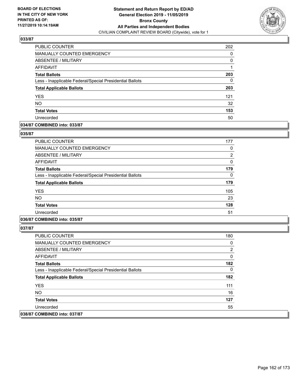

| PUBLIC COUNTER                                           | 202 |
|----------------------------------------------------------|-----|
| MANUALLY COUNTED EMERGENCY                               | 0   |
| ABSENTEE / MILITARY                                      | 0   |
| AFFIDAVIT                                                |     |
| <b>Total Ballots</b>                                     | 203 |
| Less - Inapplicable Federal/Special Presidential Ballots | 0   |
| <b>Total Applicable Ballots</b>                          | 203 |
| <b>YES</b>                                               | 121 |
| <b>NO</b>                                                | 32  |
| <b>Total Votes</b>                                       | 153 |
| Unrecorded                                               | 50  |

### **034/87 COMBINED into: 033/87**

#### **035/87**

| <b>PUBLIC COUNTER</b>                                    | 177 |
|----------------------------------------------------------|-----|
| <b>MANUALLY COUNTED EMERGENCY</b>                        | 0   |
| ABSENTEE / MILITARY                                      | 2   |
| AFFIDAVIT                                                | 0   |
| <b>Total Ballots</b>                                     | 179 |
| Less - Inapplicable Federal/Special Presidential Ballots | 0   |
| <b>Total Applicable Ballots</b>                          | 179 |
| <b>YES</b>                                               | 105 |
| <b>NO</b>                                                | 23  |
| <b>Total Votes</b>                                       | 128 |
| Unrecorded                                               | 51  |

# **036/87 COMBINED into: 035/87**

| <b>PUBLIC COUNTER</b>                                    | 180 |
|----------------------------------------------------------|-----|
| <b>MANUALLY COUNTED EMERGENCY</b>                        | 0   |
| ABSENTEE / MILITARY                                      | 2   |
| AFFIDAVIT                                                | 0   |
| <b>Total Ballots</b>                                     | 182 |
| Less - Inapplicable Federal/Special Presidential Ballots | 0   |
| <b>Total Applicable Ballots</b>                          | 182 |
| <b>YES</b>                                               | 111 |
| NO.                                                      | 16  |
| <b>Total Votes</b>                                       | 127 |
| Unrecorded                                               | 55  |
| 038/87 COMBINED into: 037/87                             |     |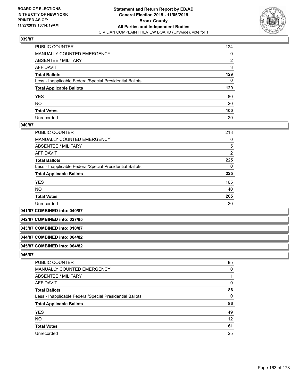

| PUBLIC COUNTER                                           | 124 |
|----------------------------------------------------------|-----|
| MANUALLY COUNTED EMERGENCY                               | 0   |
| ABSENTEE / MILITARY                                      | 2   |
| AFFIDAVIT                                                | 3   |
| Total Ballots                                            | 129 |
| Less - Inapplicable Federal/Special Presidential Ballots | 0   |
| <b>Total Applicable Ballots</b>                          | 129 |
| YES                                                      | 80  |
| NO.                                                      | 20  |
| <b>Total Votes</b>                                       | 100 |
| Unrecorded                                               | 29  |

#### **040/87**

| <b>PUBLIC COUNTER</b>                                    | 218 |
|----------------------------------------------------------|-----|
| <b>MANUALLY COUNTED EMERGENCY</b>                        | 0   |
| <b>ABSENTEE / MILITARY</b>                               | 5   |
| <b>AFFIDAVIT</b>                                         | 2   |
| <b>Total Ballots</b>                                     | 225 |
| Less - Inapplicable Federal/Special Presidential Ballots | 0   |
| <b>Total Applicable Ballots</b>                          | 225 |
| <b>YES</b>                                               | 165 |
| <b>NO</b>                                                | 40  |
| <b>Total Votes</b>                                       | 205 |
| Unrecorded                                               | 20  |

**041/87 COMBINED into: 040/87**

**042/87 COMBINED into: 027/85**

#### **043/87 COMBINED into: 010/87**

#### **044/87 COMBINED into: 064/82**

#### **045/87 COMBINED into: 064/82**

| <b>PUBLIC COUNTER</b>                                    | 85       |
|----------------------------------------------------------|----------|
| MANUALLY COUNTED EMERGENCY                               | $\Omega$ |
| <b>ABSENTEE / MILITARY</b>                               |          |
| AFFIDAVIT                                                | 0        |
| <b>Total Ballots</b>                                     | 86       |
| Less - Inapplicable Federal/Special Presidential Ballots | $\Omega$ |
| <b>Total Applicable Ballots</b>                          | 86       |
| <b>YES</b>                                               | 49       |
| <b>NO</b>                                                | 12       |
| <b>Total Votes</b>                                       | 61       |
| Unrecorded                                               | 25       |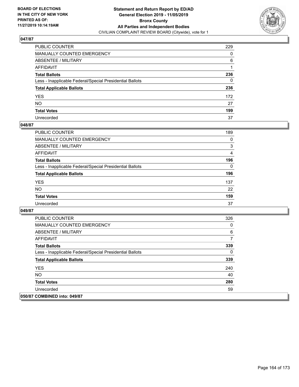

| PUBLIC COUNTER                                           | 229 |
|----------------------------------------------------------|-----|
| MANUALLY COUNTED EMERGENCY                               | 0   |
| ABSENTEE / MILITARY                                      | 6   |
| AFFIDAVIT                                                |     |
| Total Ballots                                            | 236 |
| Less - Inapplicable Federal/Special Presidential Ballots | 0   |
| <b>Total Applicable Ballots</b>                          | 236 |
| YES                                                      | 172 |
| NO.                                                      | 27  |
| <b>Total Votes</b>                                       | 199 |
| Unrecorded                                               | 37  |

### **048/87**

| <b>PUBLIC COUNTER</b>                                    | 189      |
|----------------------------------------------------------|----------|
| <b>MANUALLY COUNTED EMERGENCY</b>                        | $\Omega$ |
| ABSENTEE / MILITARY                                      | 3        |
| AFFIDAVIT                                                | 4        |
| <b>Total Ballots</b>                                     | 196      |
| Less - Inapplicable Federal/Special Presidential Ballots | $\Omega$ |
| <b>Total Applicable Ballots</b>                          | 196      |
| <b>YES</b>                                               | 137      |
| <b>NO</b>                                                | 22       |
| <b>Total Votes</b>                                       | 159      |
| Unrecorded                                               | 37       |

| <b>PUBLIC COUNTER</b>                                    | 326 |
|----------------------------------------------------------|-----|
| <b>MANUALLY COUNTED EMERGENCY</b>                        | 0   |
| ABSENTEE / MILITARY                                      | 6   |
| AFFIDAVIT                                                | 7   |
| <b>Total Ballots</b>                                     | 339 |
| Less - Inapplicable Federal/Special Presidential Ballots | 0   |
| <b>Total Applicable Ballots</b>                          | 339 |
| <b>YES</b>                                               | 240 |
| NO.                                                      | 40  |
| <b>Total Votes</b>                                       | 280 |
| Unrecorded                                               | 59  |
| 050/87 COMBINED into: 049/87                             |     |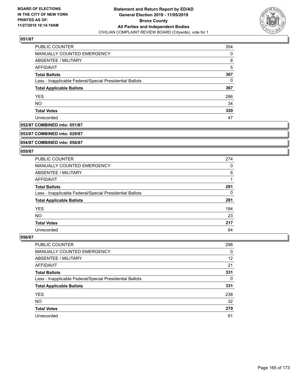

| PUBLIC COUNTER                                           | 354 |
|----------------------------------------------------------|-----|
| MANUALLY COUNTED EMERGENCY                               | 0   |
| ABSENTEE / MILITARY                                      | 8   |
| AFFIDAVIT                                                | 5   |
| <b>Total Ballots</b>                                     | 367 |
| Less - Inapplicable Federal/Special Presidential Ballots | 0   |
| <b>Total Applicable Ballots</b>                          | 367 |
| <b>YES</b>                                               | 286 |
| <b>NO</b>                                                | 34  |
| <b>Total Votes</b>                                       | 320 |
| Unrecorded                                               | 47  |

# **052/87 COMBINED into: 051/87**

#### **053/87 COMBINED into: 029/87**

### **054/87 COMBINED into: 056/87**

#### **055/87**

| <b>PUBLIC COUNTER</b>                                    | 274 |
|----------------------------------------------------------|-----|
| MANUALLY COUNTED EMERGENCY                               | 0   |
| ABSENTEE / MILITARY                                      | 6   |
| AFFIDAVIT                                                |     |
| <b>Total Ballots</b>                                     | 281 |
| Less - Inapplicable Federal/Special Presidential Ballots | 0   |
| <b>Total Applicable Ballots</b>                          | 281 |
| <b>YES</b>                                               | 194 |
| <b>NO</b>                                                | 23  |
| <b>Total Votes</b>                                       | 217 |
| Unrecorded                                               | 64  |

| <b>PUBLIC COUNTER</b>                                    | 298      |
|----------------------------------------------------------|----------|
| MANUALLY COUNTED EMERGENCY                               | $\Omega$ |
| ABSENTEE / MILITARY                                      | 12       |
| AFFIDAVIT                                                | 21       |
| <b>Total Ballots</b>                                     | 331      |
| Less - Inapplicable Federal/Special Presidential Ballots | 0        |
| <b>Total Applicable Ballots</b>                          | 331      |
| <b>YES</b>                                               | 238      |
| <b>NO</b>                                                | 32       |
| <b>Total Votes</b>                                       | 270      |
| Unrecorded                                               | 61       |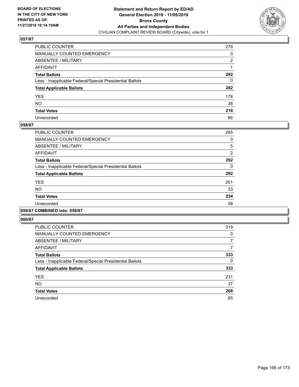

| PUBLIC COUNTER                                           | 279 |
|----------------------------------------------------------|-----|
| MANUALLY COUNTED EMERGENCY                               | 0   |
| ABSENTEE / MILITARY                                      | 2   |
| AFFIDAVIT                                                |     |
| Total Ballots                                            | 282 |
| Less - Inapplicable Federal/Special Presidential Ballots | 0   |
| <b>Total Applicable Ballots</b>                          | 282 |
| YES                                                      | 178 |
| NO.                                                      | 38  |
| <b>Total Votes</b>                                       | 216 |
| Unrecorded                                               | 66  |

### **058/87**

| <b>PUBLIC COUNTER</b>                                    | 285            |
|----------------------------------------------------------|----------------|
| MANUALLY COUNTED EMERGENCY                               | 0              |
| ABSENTEE / MILITARY                                      | 5              |
| AFFIDAVIT                                                | $\overline{2}$ |
| <b>Total Ballots</b>                                     | 292            |
| Less - Inapplicable Federal/Special Presidential Ballots | 0              |
| <b>Total Applicable Ballots</b>                          | 292            |
| <b>YES</b>                                               | 201            |
| <b>NO</b>                                                | 33             |
| <b>Total Votes</b>                                       | 234            |
| Unrecorded                                               | 58             |
|                                                          |                |

#### **059/87 COMBINED into: 058/87**

| <b>PUBLIC COUNTER</b>                                    | 319 |
|----------------------------------------------------------|-----|
| <b>MANUALLY COUNTED EMERGENCY</b>                        | 0   |
| ABSENTEE / MILITARY                                      | 7   |
| <b>AFFIDAVIT</b>                                         |     |
| <b>Total Ballots</b>                                     | 333 |
| Less - Inapplicable Federal/Special Presidential Ballots | 0   |
| <b>Total Applicable Ballots</b>                          | 333 |
| <b>YES</b>                                               | 231 |
| <b>NO</b>                                                | 37  |
| <b>Total Votes</b>                                       | 268 |
| Unrecorded                                               | 65  |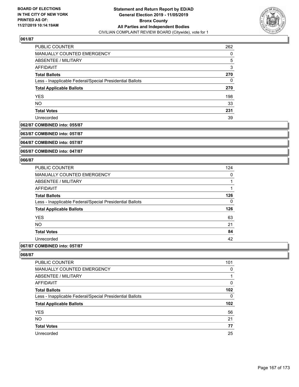

| PUBLIC COUNTER                                           | 262 |
|----------------------------------------------------------|-----|
| <b>MANUALLY COUNTED EMERGENCY</b>                        | 0   |
| ABSENTEE / MILITARY                                      | 5   |
| AFFIDAVIT                                                | 3   |
| <b>Total Ballots</b>                                     | 270 |
| Less - Inapplicable Federal/Special Presidential Ballots | 0   |
| <b>Total Applicable Ballots</b>                          | 270 |
| <b>YES</b>                                               | 198 |
| <b>NO</b>                                                | 33  |
| <b>Total Votes</b>                                       | 231 |
| Unrecorded                                               | 39  |

# **062/87 COMBINED into: 055/87**

**063/87 COMBINED into: 057/87**

**064/87 COMBINED into: 057/87**

**065/87 COMBINED into: 047/87**

#### **066/87**

| <b>PUBLIC COUNTER</b>                                    | 124 |
|----------------------------------------------------------|-----|
| <b>MANUALLY COUNTED EMERGENCY</b>                        | 0   |
| ABSENTEE / MILITARY                                      | 1   |
| <b>AFFIDAVIT</b>                                         | 1   |
| <b>Total Ballots</b>                                     | 126 |
| Less - Inapplicable Federal/Special Presidential Ballots | 0   |
| <b>Total Applicable Ballots</b>                          | 126 |
| <b>YES</b>                                               | 63  |
| <b>NO</b>                                                | 21  |
| <b>Total Votes</b>                                       | 84  |
| Unrecorded                                               | 42  |
|                                                          |     |

# **067/87 COMBINED into: 057/87**

| <b>PUBLIC COUNTER</b>                                    | 101 |
|----------------------------------------------------------|-----|
| <b>MANUALLY COUNTED EMERGENCY</b>                        | 0   |
| ABSENTEE / MILITARY                                      |     |
| AFFIDAVIT                                                | 0   |
| <b>Total Ballots</b>                                     | 102 |
| Less - Inapplicable Federal/Special Presidential Ballots | 0   |
| <b>Total Applicable Ballots</b>                          | 102 |
| <b>YES</b>                                               | 56  |
| <b>NO</b>                                                | 21  |
| <b>Total Votes</b>                                       | 77  |
| Unrecorded                                               | 25  |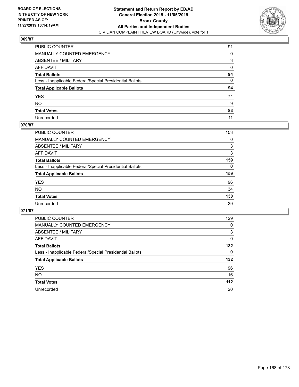

| PUBLIC COUNTER                                           | 91           |
|----------------------------------------------------------|--------------|
| MANUALLY COUNTED EMERGENCY                               | 0            |
| ABSENTEE / MILITARY                                      | 3            |
| AFFIDAVIT                                                | 0            |
| Total Ballots                                            | 94           |
| Less - Inapplicable Federal/Special Presidential Ballots | $\mathbf{0}$ |
| <b>Total Applicable Ballots</b>                          | 94           |
| YES                                                      | 74           |
| NO.                                                      | 9            |
| <b>Total Votes</b>                                       | 83           |
| Unrecorded                                               | 11           |

### **070/87**

| PUBLIC COUNTER                                           | 153      |
|----------------------------------------------------------|----------|
| MANUALLY COUNTED EMERGENCY                               | 0        |
| ABSENTEE / MILITARY                                      | 3        |
| AFFIDAVIT                                                | 3        |
| <b>Total Ballots</b>                                     | 159      |
| Less - Inapplicable Federal/Special Presidential Ballots | $\Omega$ |
| <b>Total Applicable Ballots</b>                          | 159      |
| <b>YES</b>                                               | 96       |
| <b>NO</b>                                                | 34       |
| <b>Total Votes</b>                                       | 130      |
| Unrecorded                                               | 29       |

| <b>PUBLIC COUNTER</b>                                    | 129      |
|----------------------------------------------------------|----------|
| <b>MANUALLY COUNTED EMERGENCY</b>                        | 0        |
| ABSENTEE / MILITARY                                      | 3        |
| AFFIDAVIT                                                | $\Omega$ |
| <b>Total Ballots</b>                                     | 132      |
| Less - Inapplicable Federal/Special Presidential Ballots | $\Omega$ |
| <b>Total Applicable Ballots</b>                          | 132      |
| <b>YES</b>                                               | 96       |
| NO.                                                      | 16       |
| <b>Total Votes</b>                                       | $112$    |
| Unrecorded                                               | 20       |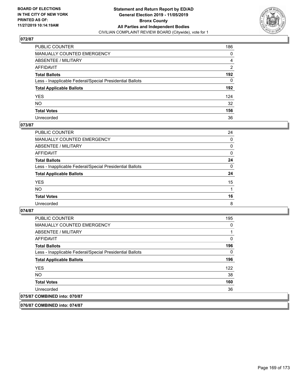

| PUBLIC COUNTER                                           | 186          |
|----------------------------------------------------------|--------------|
| MANUALLY COUNTED EMERGENCY                               | 0            |
| ABSENTEE / MILITARY                                      | 4            |
| AFFIDAVIT                                                | 2            |
| Total Ballots                                            | 192          |
| Less - Inapplicable Federal/Special Presidential Ballots | $\mathbf{0}$ |
| <b>Total Applicable Ballots</b>                          | 192          |
| YES                                                      | 124          |
| NO.                                                      | 32           |
| <b>Total Votes</b>                                       | 156          |
| Unrecorded                                               | 36           |

### **073/87**

| <b>PUBLIC COUNTER</b>                                    | 24       |
|----------------------------------------------------------|----------|
| <b>MANUALLY COUNTED EMERGENCY</b>                        | $\Omega$ |
| ABSENTEE / MILITARY                                      | 0        |
| AFFIDAVIT                                                | $\Omega$ |
| <b>Total Ballots</b>                                     | 24       |
| Less - Inapplicable Federal/Special Presidential Ballots | $\Omega$ |
| <b>Total Applicable Ballots</b>                          | 24       |
| <b>YES</b>                                               | 15       |
| <b>NO</b>                                                |          |
| <b>Total Votes</b>                                       | 16       |
| Unrecorded                                               | 8        |

#### **074/87**

| <b>PUBLIC COUNTER</b>                                    | 195 |
|----------------------------------------------------------|-----|
| <b>MANUALLY COUNTED EMERGENCY</b>                        | 0   |
| ABSENTEE / MILITARY                                      |     |
| AFFIDAVIT                                                | 0   |
| <b>Total Ballots</b>                                     | 196 |
| Less - Inapplicable Federal/Special Presidential Ballots | 0   |
| <b>Total Applicable Ballots</b>                          | 196 |
| <b>YES</b>                                               | 122 |
| <b>NO</b>                                                | 38  |
| <b>Total Votes</b>                                       | 160 |
| Unrecorded                                               | 36  |
| 075/87 COMBINED into: 070/87                             |     |

**076/87 COMBINED into: 074/87**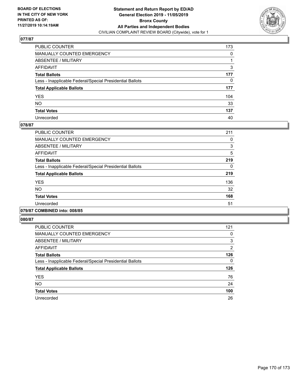

| PUBLIC COUNTER                                           | 173 |
|----------------------------------------------------------|-----|
| MANUALLY COUNTED EMERGENCY                               | 0   |
| ABSENTEE / MILITARY                                      | 1   |
| AFFIDAVIT                                                | 3   |
| Total Ballots                                            | 177 |
| Less - Inapplicable Federal/Special Presidential Ballots | 0   |
| <b>Total Applicable Ballots</b>                          | 177 |
| YES                                                      | 104 |
| NO.                                                      | 33  |
| <b>Total Votes</b>                                       | 137 |
| Unrecorded                                               | 40  |

### **078/87**

| <b>PUBLIC COUNTER</b>                                    | 211 |
|----------------------------------------------------------|-----|
| <b>MANUALLY COUNTED EMERGENCY</b>                        | 0   |
| ABSENTEE / MILITARY                                      | 3   |
| <b>AFFIDAVIT</b>                                         | 5   |
| <b>Total Ballots</b>                                     | 219 |
| Less - Inapplicable Federal/Special Presidential Ballots | 0   |
| <b>Total Applicable Ballots</b>                          | 219 |
| <b>YES</b>                                               | 136 |
| <b>NO</b>                                                | 32  |
| <b>Total Votes</b>                                       | 168 |
| Unrecorded                                               | 51  |
|                                                          |     |

#### **079/87 COMBINED into: 008/85**

| <b>PUBLIC COUNTER</b>                                    | 121            |
|----------------------------------------------------------|----------------|
| <b>MANUALLY COUNTED EMERGENCY</b>                        | 0              |
| ABSENTEE / MILITARY                                      | 3              |
| <b>AFFIDAVIT</b>                                         | $\overline{2}$ |
| <b>Total Ballots</b>                                     | 126            |
| Less - Inapplicable Federal/Special Presidential Ballots | 0              |
| <b>Total Applicable Ballots</b>                          | 126            |
| <b>YES</b>                                               | 76             |
| <b>NO</b>                                                | 24             |
| <b>Total Votes</b>                                       | 100            |
| Unrecorded                                               | 26             |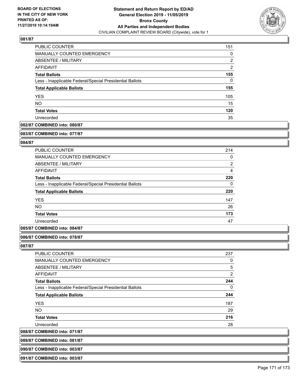

| PUBLIC COUNTER                                           | 151 |
|----------------------------------------------------------|-----|
| <b>MANUALLY COUNTED EMERGENCY</b>                        | 0   |
| ABSENTEE / MILITARY                                      | 2   |
| AFFIDAVIT                                                | 2   |
| <b>Total Ballots</b>                                     | 155 |
| Less - Inapplicable Federal/Special Presidential Ballots | 0   |
| <b>Total Applicable Ballots</b>                          | 155 |
| <b>YES</b>                                               | 105 |
| <b>NO</b>                                                | 15  |
| <b>Total Votes</b>                                       | 120 |
| Unrecorded                                               | 35  |

# **082/87 COMBINED into: 080/87**

#### **083/87 COMBINED into: 077/87**

### **084/87**

| 214            |
|----------------|
| 0              |
| $\overline{2}$ |
| 4              |
| 220            |
| $\Omega$       |
| 220            |
| 147            |
| 26             |
| 173            |
| 47             |
|                |

### **085/87 COMBINED into: 084/87**

#### **086/87 COMBINED into: 078/87**

**087/87** 

| PUBLIC COUNTER                                           | 237            |
|----------------------------------------------------------|----------------|
| <b>MANUALLY COUNTED EMERGENCY</b>                        | 0              |
| ABSENTEE / MILITARY                                      | 5              |
| AFFIDAVIT                                                | $\overline{2}$ |
| <b>Total Ballots</b>                                     | 244            |
| Less - Inapplicable Federal/Special Presidential Ballots | 0              |
| <b>Total Applicable Ballots</b>                          | 244            |
| <b>YES</b>                                               | 187            |
| <b>NO</b>                                                | 29             |
| <b>Total Votes</b>                                       | 216            |
| Unrecorded                                               | 28             |
|                                                          |                |

**088/87 COMBINED into: 071/87**

| 089/87 COMBINED into: 081/87 |  |
|------------------------------|--|
| 090/87 COMBINED into: 003/87 |  |

**091/87 COMBINED into: 003/87**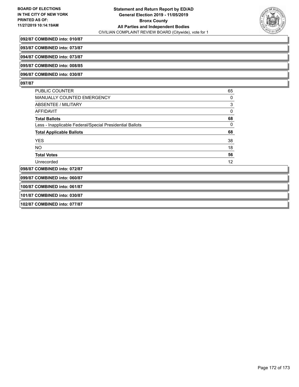

#### **092/87 COMBINED into: 010/87**

**093/87 COMBINED into: 073/87**

**094/87 COMBINED into: 073/87**

**095/87 COMBINED into: 008/85**

**096/87 COMBINED into: 030/87**

#### **097/87**

| <b>PUBLIC COUNTER</b>                                    | 65 |
|----------------------------------------------------------|----|
| MANUALLY COUNTED EMERGENCY                               | 0  |
| ABSENTEE / MILITARY                                      | 3  |
| AFFIDAVIT                                                | 0  |
| <b>Total Ballots</b>                                     | 68 |
| Less - Inapplicable Federal/Special Presidential Ballots | 0  |
| <b>Total Applicable Ballots</b>                          | 68 |
| <b>YES</b>                                               | 38 |
| NO.                                                      | 18 |
| <b>Total Votes</b>                                       | 56 |
| Unrecorded                                               | 12 |
| 098/87 COMBINED into: 072/87                             |    |

**099/87 COMBINED into: 060/87**

**100/87 COMBINED into: 061/87**

**101/87 COMBINED into: 030/87**

**102/87 COMBINED into: 077/87**